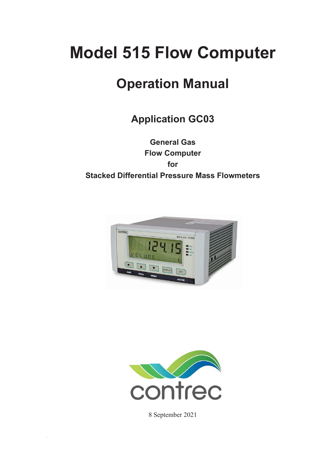# **Model 515 Flow Computer**

# **Operation Manual**

# **Application GC03**

**General Gas Flow Computer for Stacked Differential Pressure Mass Flowmeters** 





8 September 2021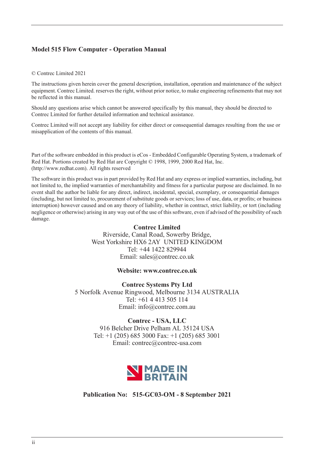### **Model 515 Flow Computer - Operation Manual**

#### © Contrec Limited 2021

The instructions given herein cover the general description, installation, operation and maintenance of the subject equipment. Contrec Limited. reserves the right, without prior notice, to make engineering refinements that may not be reflected in this manual.

Should any questions arise which cannot be answered specifically by this manual, they should be directed to Contrec Limited for further detailed information and technical assistance.

Contrec Limited will not accept any liability for either direct or consequential damages resulting from the use or misapplication of the contents of this manual.

Part of the software embedded in this product is eCos - Embedded Configurable Operating System, a trademark of Red Hat. Portions created by Red Hat are Copyright © 1998, 1999, 2000 Red Hat, Inc. (http://www.redhat.com). All rights reserved

The software in this product was in part provided by Red Hat and any express or implied warranties, including, but not limited to, the implied warranties of merchantability and fitness for a particular purpose are disclaimed. In no event shall the author be liable for any direct, indirect, incidental, special, exemplary, or consequential damages (including, but not limited to, procurement of substitute goods or services; loss of use, data, or profits; or business interruption) however caused and on any theory of liability, whether in contract, strict liability, or tort (including negligence or otherwise) arising in any way out of the use of this software, even if advised of the possibility of such damage.

#### **Contrec Limited**

Riverside, Canal Road, Sowerby Bridge, West Yorkshire HX6 2AY UNITED KINGDOM Tel: +44 1422 829944 Email: sales@contrec.co.uk

#### **Website: www.contrec.co.uk**

**Contrec Systems Pty Ltd** 5 Norfolk Avenue Ringwood, Melbourne 3134 AUSTRALIA Tel: +61 4 413 505 114 Email: info@contrec.com.au

#### **Contrec - USA, LLC**

916 Belcher Drive Pelham AL 35124 USA Tel: +1 (205) 685 3000 Fax: +1 (205) 685 3001 Email: contrec@contrec-usa.com



**Publication No: 515-GC03-OM - 8 September 2021**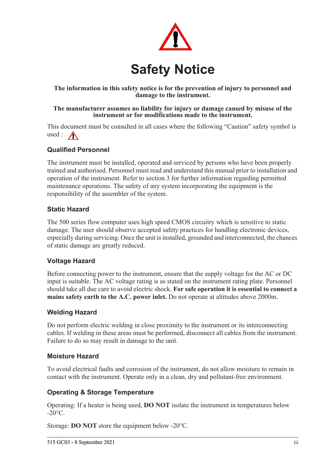

### **The information in this safety notice is for the prevention of injury to personnel and damage to the instrument.**

#### **The manufacturer assumes no liability for injury or damage caused by misuse of the instrument or for modifications made to the instrument.**

This document must be consulted in all cases where the following "Caution" safety symbol is used :  $\bigwedge$ 

### **Qualified Personnel**

The instrument must be installed, operated and serviced by persons who have been properly trained and authorised. Personnel must read and understand this manual prior to installation and operation of the instrument. Refer to section 3 for further information regarding permitted maintenance operations. The safety of any system incorporating the equipment is the responsibility of the assembler of the system.

### **Static Hazard**

The 500 series flow computer uses high speed CMOS circuitry which is sensitive to static damage. The user should observe accepted safety practices for handling electronic devices, especially during servicing. Once the unit is installed, grounded and interconnected, the chances of static damage are greatly reduced.

### **Voltage Hazard**

Before connecting power to the instrument, ensure that the supply voltage for the AC or DC input is suitable. The AC voltage rating is as stated on the instrument rating plate. Personnel should take all due care to avoid electric shock. **For safe operation it is essential to connect a mains safety earth to the A.C. power inlet.** Do not operate at altitudes above 2000m.

### **Welding Hazard**

Do not perform electric welding in close proximity to the instrument or its interconnecting cables. If welding in these areas must be performed, disconnect all cables from the instrument. Failure to do so may result in damage to the unit.

### **Moisture Hazard**

To avoid electrical faults and corrosion of the instrument, do not allow moisture to remain in contact with the instrument. Operate only in a clean, dry and pollutant-free environment.

### **Operating & Storage Temperature**

Operating: If a heater is being used, **DO NOT** isolate the instrument in temperatures below  $-20^{\circ}$ C.

Storage: **DO NOT** store the equipment below -20°C.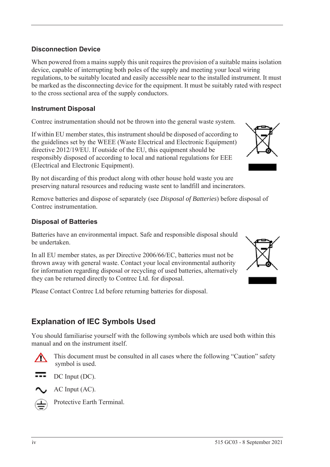### **Disconnection Device**

When powered from a mains supply this unit requires the provision of a suitable mains isolation device, capable of interrupting both poles of the supply and meeting your local wiring regulations, to be suitably located and easily accessible near to the installed instrument. It must be marked as the disconnecting device for the equipment. It must be suitably rated with respect to the cross sectional area of the supply conductors.

### **Instrument Disposal**

Contrec instrumentation should not be thrown into the general waste system.

If within EU member states, this instrument should be disposed of according to the guidelines set by the WEEE (Waste Electrical and Electronic Equipment) directive 2012/19/EU. If outside of the EU, this equipment should be responsibly disposed of according to local and national regulations for EEE (Electrical and Electronic Equipment).

By not discarding of this product along with other house hold waste you are preserving natural resources and reducing waste sent to landfill and incinerators.

Remove batteries and dispose of separately (see *Disposal of Batteries*) before disposal of Contrec instrumentation.

### **Disposal of Batteries**

Batteries have an environmental impact. Safe and responsible disposal should be undertaken.

In all EU member states, as per Directive 2006/66/EC, batteries must not be thrown away with general waste. Contact your local environmental authority for information regarding disposal or recycling of used batteries, alternatively they can be returned directly to Contrec Ltd. for disposal.

Please Contact Contrec Ltd before returning batteries for disposal.

# **Explanation of IEC Symbols Used**

You should familiarise yourself with the following symbols which are used both within this manual and on the instrument itself.



 This document must be consulted in all cases where the following "Caution" safety symbol is used.



AC Input (AC).



Protective Earth Terminal.



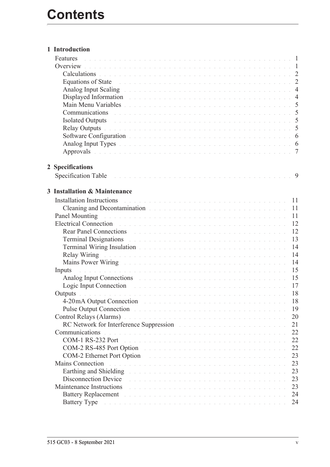|   | <b>Features</b> entering the contract of the contract of the contract of the contract of the contract of the contract of the contract of the contract of the contract of the contract of the contract of the contract of the contra |    |
|---|-------------------------------------------------------------------------------------------------------------------------------------------------------------------------------------------------------------------------------------|----|
|   |                                                                                                                                                                                                                                     |    |
|   | Calculations de la commune de la commune de la commune de la commune de la commune de 2                                                                                                                                             |    |
|   |                                                                                                                                                                                                                                     |    |
|   |                                                                                                                                                                                                                                     |    |
|   | Displayed Information and the contract of the contract of the contract of the contract of the 4                                                                                                                                     |    |
|   |                                                                                                                                                                                                                                     |    |
|   | Communications de la communication de la communication de la communication de la communication de la communication de la communication de la communication de la communication de la communication de la communication de la c      |    |
|   | Isolated Outputs and a contract the contract of the contract of the contract of the S                                                                                                                                               |    |
|   | Relay Outputs des des des deux des deux des deux des deux des deux des deux des 5                                                                                                                                                   |    |
|   |                                                                                                                                                                                                                                     |    |
|   |                                                                                                                                                                                                                                     |    |
|   | Approvals received a construction of the contract of the construction of T                                                                                                                                                          |    |
|   | 2 Specifications                                                                                                                                                                                                                    |    |
|   |                                                                                                                                                                                                                                     |    |
|   |                                                                                                                                                                                                                                     |    |
| 3 | <b>Installation &amp; Maintenance</b>                                                                                                                                                                                               |    |
|   | <b>Installation Instructions</b>                                                                                                                                                                                                    |    |
|   | Cleaning and Decontamination and a substitution of the contract of the contract of the contract of the contract of the contract of the contract of the contract of the contract of the contract of the contract of the contrac      |    |
|   | Panel Mounting research and contract the contract of the contract of the contract of 11                                                                                                                                             |    |
|   | Electrical Connection and a constant of the contract of the contract of the contract of the contract of the contract of the contract of the contract of the contract of the contract of the contract of the contract of the co      |    |
|   | Rear Panel Connections and a construction of the contract of the contract of the contract of the contract of the contract of the contract of the contract of the contract of the contract of the contract of the contract of t      | 12 |
|   | <b>Terminal Designations <i>CONDITION CONDITION CONDITION CONDITION</i> <b><i>CONDITION CONDITION CONDITION</i> <b><i>CONDITION CONDITION</i> CONDITION</b></b></b>                                                                 | 13 |
|   | Terminal Wiring Insulation and a contract of the contract of the contract of the 14                                                                                                                                                 |    |
|   |                                                                                                                                                                                                                                     |    |
|   | Mains Power Wiring Theory of the community of the community of the community of the Main Power Wiring                                                                                                                               |    |
|   | Inputs                                                                                                                                                                                                                              |    |
|   |                                                                                                                                                                                                                                     |    |
|   | Logic Input Connection and a construction of the contract of the contract of the 17                                                                                                                                                 |    |
|   |                                                                                                                                                                                                                                     |    |
|   | 4-20 mA Output Connection and a construction of the contract of the contract of the contract of the contract of                                                                                                                     | 18 |
|   | Pulse Output Connection entry the connection of the connection of the connection of the connection of the connection of the connection of the connection of the connection of the connection of the connection of the connecti      | 19 |
|   | Control Relays (Alarms) and a control of the control of the control of the control of the control of the control of the control of the control of the control of the control of the control of the control of the control of t      | 20 |
|   | RC Network for Interference Suppression and a contract to the contract of the set of the set of the set of the                                                                                                                      | 21 |
|   | Communications                                                                                                                                                                                                                      | 22 |
|   | COM-1 RS-232 Port                                                                                                                                                                                                                   | 22 |
|   | COM-2 RS-485 Port Option                                                                                                                                                                                                            | 22 |
|   | COM-2 Ethernet Port Option                                                                                                                                                                                                          | 23 |
|   | <b>Mains Connection</b><br>.<br>The second complete the second complete state of the second complete state of the second complete state of the                                                                                      | 23 |
|   | Earthing and Shielding Theorem 2010 Community of the Community Community of the Community of the Community Community Community of the Community Community Community Community Community Community Community Community Communit      | 23 |
|   | Disconnection Device<br>.<br>In the first product of the first product of the first product of the first product of the first product of th                                                                                         | 23 |
|   | Maintenance Instructions<br>a construcción de la construcción de la construcción de la construcción de la construcción de la construcción                                                                                           | 23 |
|   | Battery Replacement and a substitution of the contract of the contract of the contract of the contract of the contract of the contract of the contract of the contract of the contract of the contract of the contract of the       | 24 |
|   | <b>Battery Type</b><br>المعاونة والمتعاونة والمتعاونة والمتعاونة والمتعاونة والمتعاونة والمتعاونة والمتعاونة والمتعاونة والمتعاونة والمتعاون                                                                                        | 24 |
|   |                                                                                                                                                                                                                                     |    |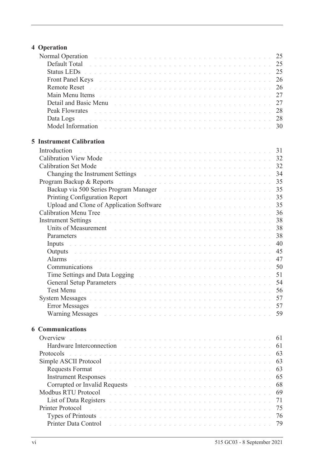# **[4 Operation](#page-34-0)**

| Normal Operation and a contract the contract of the contract of the contract of the 25                                                                                                                                         |  |  |  |  |  |  |  |    |
|--------------------------------------------------------------------------------------------------------------------------------------------------------------------------------------------------------------------------------|--|--|--|--|--|--|--|----|
| Default Total de la commune de la commune de la commune de la commune de la commune de 25                                                                                                                                      |  |  |  |  |  |  |  |    |
| Status LEDs <b>Election Community 25</b> Status Leader Community 25                                                                                                                                                            |  |  |  |  |  |  |  |    |
| Front Panel Keys and a construction of the construction of the construction of 26                                                                                                                                              |  |  |  |  |  |  |  |    |
|                                                                                                                                                                                                                                |  |  |  |  |  |  |  |    |
| Main Menu Items des anderes and des anderes and des anderes and the contract of 27                                                                                                                                             |  |  |  |  |  |  |  |    |
|                                                                                                                                                                                                                                |  |  |  |  |  |  |  |    |
|                                                                                                                                                                                                                                |  |  |  |  |  |  |  |    |
| Data Logs de la component de la component de la component de la component de 28                                                                                                                                                |  |  |  |  |  |  |  |    |
|                                                                                                                                                                                                                                |  |  |  |  |  |  |  |    |
|                                                                                                                                                                                                                                |  |  |  |  |  |  |  |    |
| <b>5 Instrument Calibration</b>                                                                                                                                                                                                |  |  |  |  |  |  |  |    |
| Introduction                                                                                                                                                                                                                   |  |  |  |  |  |  |  |    |
|                                                                                                                                                                                                                                |  |  |  |  |  |  |  |    |
|                                                                                                                                                                                                                                |  |  |  |  |  |  |  |    |
| Changing the Instrument Settings and a contract of the contract of the state of the 34                                                                                                                                         |  |  |  |  |  |  |  |    |
| Program Backup & Reports and a contract the contract of the contract of the state of the 35                                                                                                                                    |  |  |  |  |  |  |  |    |
|                                                                                                                                                                                                                                |  |  |  |  |  |  |  |    |
|                                                                                                                                                                                                                                |  |  |  |  |  |  |  |    |
| Upload and Clone of Application Software and a substitution of the Software and a substitution of Application Software                                                                                                         |  |  |  |  |  |  |  |    |
| Calibration Menu Tree Albert and Albert and Albert and Albert and Albert and Albert 36                                                                                                                                         |  |  |  |  |  |  |  |    |
|                                                                                                                                                                                                                                |  |  |  |  |  |  |  |    |
| Units of Measurement                                                                                                                                                                                                           |  |  |  |  |  |  |  | 38 |
| Parameters and a construction of the construction of the construction of the 38                                                                                                                                                |  |  |  |  |  |  |  |    |
| Inputs and a communication of the communication of the communication of the communication of the communication                                                                                                                 |  |  |  |  |  |  |  | 40 |
| Outputs and a construction of the construction of the construction of the construction of the construction of the construction of the construction of the construction of the construction of the construction of the construc |  |  |  |  |  |  |  | 45 |
| Alarms                                                                                                                                                                                                                         |  |  |  |  |  |  |  | 47 |
| de la caractería de la caractería de la caractería de la caractería de la caractería de la caractería de la ca                                                                                                                 |  |  |  |  |  |  |  |    |
| Communications des contracts and contracts are a series and contract and the 50                                                                                                                                                |  |  |  |  |  |  |  | 51 |
| Time Settings and Data Logging The Contract of the Contract of the Settings and Data Logging                                                                                                                                   |  |  |  |  |  |  |  |    |
| General Setup Parameters and a construction of the construction of the state of the 54                                                                                                                                         |  |  |  |  |  |  |  |    |
| Test Menu barramente de la construcción de la construcción de la construcción de la construcción de 56                                                                                                                         |  |  |  |  |  |  |  |    |
|                                                                                                                                                                                                                                |  |  |  |  |  |  |  |    |
| <b>Error Messages</b>                                                                                                                                                                                                          |  |  |  |  |  |  |  | 57 |
| Warning Messages entertainment and the contract of the contract of the contract of the contract of the contract of the contract of the contract of the contract of the contract of the contract of the contract of the contrac |  |  |  |  |  |  |  | 59 |
| <b>6 Communications</b>                                                                                                                                                                                                        |  |  |  |  |  |  |  |    |
|                                                                                                                                                                                                                                |  |  |  |  |  |  |  |    |
| Overview<br>.<br>In the second complete state of the second complete state of the second complete state of the second complete                                                                                                 |  |  |  |  |  |  |  | 61 |
| Hardware Interconnection<br>.<br>The contract of the contract of the contract of the contract of the contract of the contract of the contract o                                                                                |  |  |  |  |  |  |  | 61 |
| Protocols<br>a constitución de la constitución de la constitución de la constitución de la constitución de la constitución                                                                                                     |  |  |  |  |  |  |  | 63 |
| Simple ASCII Protocol<br>.<br>In the second complete state of the second complete state of the second complete state of the second complete                                                                                    |  |  |  |  |  |  |  | 63 |
| <b>Requests Format</b>                                                                                                                                                                                                         |  |  |  |  |  |  |  | 63 |
| Instrument Responses and a contract the contract of the contract of the contract of the contract of the contract of the contract of the contract of the contract of the contract of the contract of the contract of the contra |  |  |  |  |  |  |  | 65 |
| Corrupted or Invalid Requests and a contract the contract of the contract of the contract of the contract of the contract of the contract of the contract of the contract of the contract of the contract of the contract of t |  |  |  |  |  |  |  | 68 |
| <b>Modbus RTU Protocol</b><br>والمتعاون والمتعاون والمتعاون والمتعاونة والمتعاونة والمتعاونة والمتعاونة والمتعاونة والمتعاونة والمتعاونة                                                                                       |  |  |  |  |  |  |  | 69 |
| List of Data Registers and a conservation of the conservation of the conservation of the conservation of the conservation of the conservation of the conservation of the conservation of the conservation of the conservation  |  |  |  |  |  |  |  | 71 |
| Printer Protocol<br><u>. In the second terms of the second terms of the second terms of the second terms of the second terms of the second</u>                                                                                 |  |  |  |  |  |  |  | 75 |
| Types of Printouts and a contract the contract of the contract of the contract of the contract of the contract of the contract of the contract of the contract of the contract of the contract of the contract of the contract |  |  |  |  |  |  |  | 76 |
| Printer Data Control<br>.<br>In the second complete state of the second complete state of the second complete state of the second complete                                                                                     |  |  |  |  |  |  |  | 79 |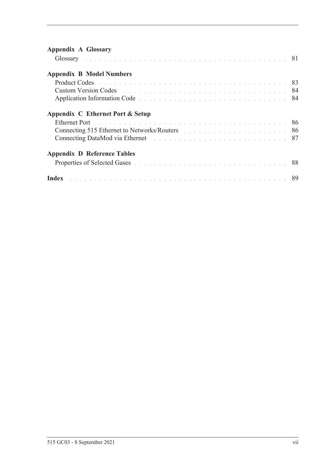| <b>Appendix A Glossary</b>                                                                                                                                                                                                       |  |
|----------------------------------------------------------------------------------------------------------------------------------------------------------------------------------------------------------------------------------|--|
| Glossary received a contract of the contract of the contract of the contract of $81$                                                                                                                                             |  |
| <b>Appendix B Model Numbers</b>                                                                                                                                                                                                  |  |
|                                                                                                                                                                                                                                  |  |
|                                                                                                                                                                                                                                  |  |
| Application Information Code enterity and the contract of the contract of the S4                                                                                                                                                 |  |
| Appendix C Ethernet Port & Setup                                                                                                                                                                                                 |  |
| Ethernet Port de la communicación de la communicación de la communicación de la communicación 86                                                                                                                                 |  |
| Connecting 515 Ethernet to Networks/Routers and the connecting 515 Ethernet to Networks/Routers                                                                                                                                  |  |
|                                                                                                                                                                                                                                  |  |
| <b>Appendix D Reference Tables</b>                                                                                                                                                                                               |  |
| <b>Properties of Selected Gases All 2008 Contract Contract Contract Contract Contract Contract Contract Contract Contract Contract Contract Contract Contract Contract Contract Contract Contract Contract Contract Contract</b> |  |
|                                                                                                                                                                                                                                  |  |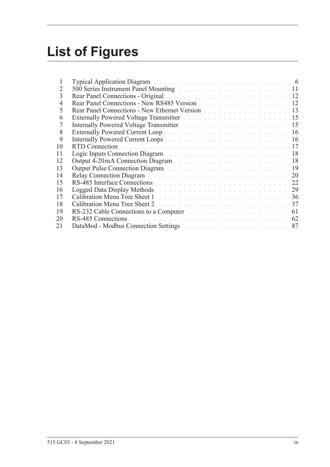# **List of Figures**

| T              | <b>Typical Application Diagram</b> and a contract the contract of the contract of the <b>6</b>                                                                                                                                 |    |
|----------------|--------------------------------------------------------------------------------------------------------------------------------------------------------------------------------------------------------------------------------|----|
| 2              | 500 Series Instrument Panel Mounting and a contract of the series of the 11                                                                                                                                                    |    |
| 3              | Rear Panel Connections - Original entrepreneur and a series of the series of the 12                                                                                                                                            |    |
| $\overline{4}$ | Rear Panel Connections - New RS485 Version                                                                                                                                                                                     | 12 |
| 5              | Rear Panel Connections - New Ethernet Version                                                                                                                                                                                  | 13 |
| 6              | Externally Powered Voltage Transmitter North State Land and Alexandre Powered Voltage Transmitter North State Land                                                                                                             | 15 |
| 7              | Internally Powered Voltage Transmitter March 2014 and State and State and State and                                                                                                                                            | 15 |
| 8              |                                                                                                                                                                                                                                | 16 |
| 9              | Internally Powered Current Loops and a substitution of the contract of the set of the set of the set of the set of the set of the set of the set of the set of the set of the set of the set of the set of the set of the set  | 16 |
| 10             |                                                                                                                                                                                                                                | 17 |
| 11             | Logic Inputs Connection Diagram and a connection of the Connection of the Connection of the Connection of the Connection of the Connection of the Connection of the Connection of the Connection of the Connection of the Conn | 18 |
| 12             |                                                                                                                                                                                                                                | 18 |
| 13             | Output Pulse Connection Diagram and a connection of the Connection of the Connection of the Connection of the Connection of the Connection of the Connection of the Connection of the Connection of the Connection of the Conn | 19 |
| 14             | Relay Connection Diagram and a connection of the connection of the Connection of the Connection of the Connection of the Connection of the Connection of the Connection of the Connection of the Connection of the Connection  | 20 |
| 15             |                                                                                                                                                                                                                                | 22 |
| 16             | Logged Data Display Methods and a contract the contract of the contract of the contract of the contract of the                                                                                                                 | 29 |
| 17             |                                                                                                                                                                                                                                | 36 |
| 18             | Calibration Menu Tree Sheet 2 and the contract of the contract of the contract of the Contract of the Contract of the Contract of the Contract of the Contract of the Contract of the Contract of the Contract of the Contract | 37 |
| 19             | RS-232 Cable Connections to a Computer and a substitution of the set of the set of the set of the set of the set of the set of the set of the set of the set of the set of the set of the set of the set of the set of the set | 61 |
| 20             |                                                                                                                                                                                                                                | 62 |
| 21             | DataMod - Modbus Connection Settings and the connection of the connection of the connection of the connection of the connection of the connection of the connection of the connection of the connection of the connection of t | 87 |
|                |                                                                                                                                                                                                                                |    |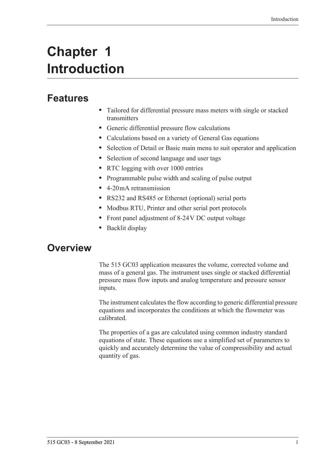# <span id="page-10-0"></span>**Chapter 1 Introduction**

# <span id="page-10-1"></span>**Features**

- **•** Tailored for differential pressure mass meters with single or stacked transmitters
- **•** Generic differential pressure flow calculations
- **•** Calculations based on a variety of General Gas equations
- **•** Selection of Detail or Basic main menu to suit operator and application
- **•** Selection of second language and user tags
- **•** RTC logging with over 1000 entries
- **•** Programmable pulse width and scaling of pulse output
- **•** 4-20 mA retransmission
- **•** RS232 and RS485 or Ethernet (optional) serial ports
- **•** Modbus RTU, Printer and other serial port protocols
- **•** Front panel adjustment of 8-24 V DC output voltage
- **•** Backlit display

# <span id="page-10-2"></span>**Overview**

The 515 GC03 application measures the volume, corrected volume and mass of a general gas. The instrument uses single or stacked differential pressure mass flow inputs and analog temperature and pressure sensor inputs.

The instrument calculates the flow according to generic differential pressure equations and incorporates the conditions at which the flowmeter was calibrated.

The properties of a gas are calculated using common industry standard equations of state. These equations use a simplified set of parameters to quickly and accurately determine the value of compressibility and actual quantity of gas.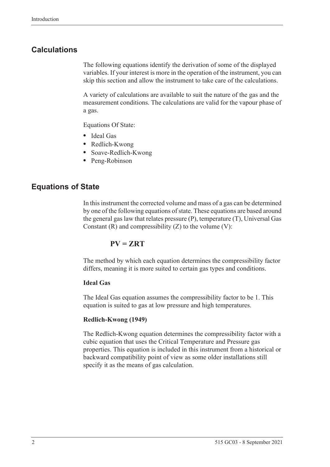# <span id="page-11-0"></span>**Calculations**

The following equations identify the derivation of some of the displayed variables. If your interest is more in the operation of the instrument, you can skip this section and allow the instrument to take care of the calculations.

A variety of calculations are available to suit the nature of the gas and the measurement conditions. The calculations are valid for the vapour phase of a gas.

Equations Of State:

- **•** Ideal Gas
- **•** Redlich-Kwong
- **•** Soave-Redlich-Kwong
- **•** Peng-Robinson

### <span id="page-11-1"></span>**Equations of State**

In this instrument the corrected volume and mass of a gas can be determined by one of the following equations of state. These equations are based around the general gas law that relates pressure (P), temperature (T), Universal Gas Constant  $(R)$  and compressibility  $(Z)$  to the volume  $(V)$ :

### **PV = ZRT**

The method by which each equation determines the compressibility factor differs, meaning it is more suited to certain gas types and conditions.

#### **Ideal Gas**

The Ideal Gas equation assumes the compressibility factor to be 1. This equation is suited to gas at low pressure and high temperatures.

#### **Redlich-Kwong (1949)**

The Redlich-Kwong equation determines the compressibility factor with a cubic equation that uses the Critical Temperature and Pressure gas properties. This equation is included in this instrument from a historical or backward compatibility point of view as some older installations still specify it as the means of gas calculation.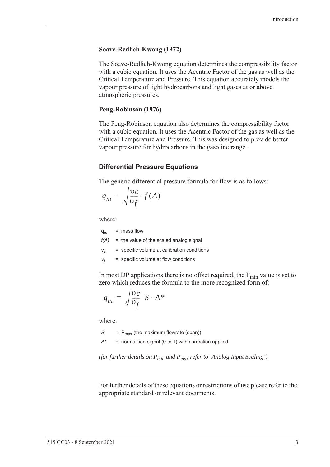#### **Soave-Redlich-Kwong (1972)**

The Soave-Redlich-Kwong equation determines the compressibility factor with a cubic equation. It uses the Acentric Factor of the gas as well as the Critical Temperature and Pressure. This equation accurately models the vapour pressure of light hydrocarbons and light gases at or above atmospheric pressures.

#### **Peng-Robinson (1976)**

The Peng-Robinson equation also determines the compressibility factor with a cubic equation. It uses the Acentric Factor of the gas as well as the Critical Temperature and Pressure. This was designed to provide better vapour pressure for hydrocarbons in the gasoline range.

### **Differential Pressure Equations**

The generic differential pressure formula for flow is as follows:

$$
q_m = \sqrt{\frac{\mathrm{v}_c}{\mathrm{v}_f}} \cdot f(A)
$$

where:

|       | $q_m$ = mass flow                              |
|-------|------------------------------------------------|
|       | $f(A)$ = the value of the scaled analog signal |
| $V_C$ | = specific volume at calibration conditions    |
| $V_f$ | = specific volume at flow conditions           |

In most DP applications there is no offset required, the  $P_{min}$  value is set to zero which reduces the formula to the more recognized form of:

$$
q_m = \sqrt{\frac{\mathrm{v}_c}{\mathrm{v}_f}} \cdot S \cdot A^*
$$

where:

 $S = P_{\text{max}}$  (the maximum flowrate (span))

*A\** = normalised signal (0 to 1) with correction applied

*(for further details on Pmin and Pmax refer to 'Analog Input Scaling')*

For further details of these equations or restrictions of use please refer to the appropriate standard or relevant documents.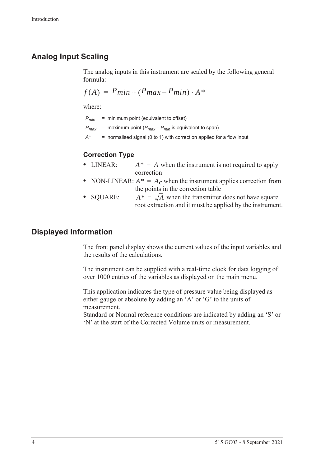# <span id="page-13-0"></span>**Analog Input Scaling**

The analog inputs in this instrument are scaled by the following general formula:

$$
f(A) = P_{min} + (P_{max} - P_{min}) \cdot A^*
$$

where:

*Pmin* = minimum point (equivalent to offset)  $P_{\text{max}}$  = maximum point ( $P_{\text{max}} - P_{\text{min}}$  is equivalent to span) *A\** = normalised signal (0 to 1) with correction applied for a flow input

### **Correction Type**

- LINEAR:  $A^* = A$  when the instrument is not required to apply correction
- NON-LINEAR:  $A^* = A_c$  when the instrument applies correction from the points in the correction table
- SQUARE:  $A^* = \sqrt{A}$  when the transmitter does not have square root extraction and it must be applied by the instrument.

### <span id="page-13-1"></span>**Displayed Information**

The front panel display shows the current values of the input variables and the results of the calculations.

The instrument can be supplied with a real-time clock for data logging of over 1000 entries of the variables as displayed on the main menu.

This application indicates the type of pressure value being displayed as either gauge or absolute by adding an 'A' or 'G' to the units of measurement.

Standard or Normal reference conditions are indicated by adding an 'S' or 'N' at the start of the Corrected Volume units or measurement.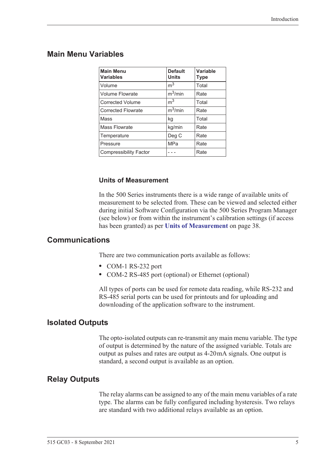### <span id="page-14-0"></span>**Main Menu Variables**

| <b>Main Menu</b><br><b>Variables</b> | <b>Default</b><br><b>Units</b> | Variable<br><b>Type</b> |
|--------------------------------------|--------------------------------|-------------------------|
| Volume                               | m <sup>3</sup>                 | Total                   |
| <b>Volume Flowrate</b>               | $m^3/m$ in                     | Rate                    |
| <b>Corrected Volume</b>              | m <sup>3</sup>                 | Total                   |
| <b>Corrected Flowrate</b>            | $m^3/m$ in                     | Rate                    |
| Mass                                 | kg                             | Total                   |
| <b>Mass Flowrate</b>                 | kg/min                         | Rate                    |
| Temperature                          | Deg C                          | Rate                    |
| Pressure                             | MPa                            | Rate                    |
| <b>Compressibility Factor</b>        |                                | Rate                    |

### **Units of Measurement**

In the 500 Series instruments there is a wide range of available units of measurement to be selected from. These can be viewed and selected either during initial Software Configuration via the 500 Series Program Manager (see below) or from within the instrument's calibration settings (if access has been granted) as per **[Units of Measurement](#page-47-3)** on page 38.

### <span id="page-14-1"></span>**Communications**

There are two communication ports available as follows:

- **•** COM-1 RS-232 port
- **•** COM-2 RS-485 port (optional) or Ethernet (optional)

All types of ports can be used for remote data reading, while RS-232 and RS-485 serial ports can be used for printouts and for uploading and downloading of the application software to the instrument.

### <span id="page-14-2"></span>**Isolated Outputs**

The opto-isolated outputs can re-transmit any main menu variable. The type of output is determined by the nature of the assigned variable. Totals are output as pulses and rates are output as 4-20 mA signals. One output is standard, a second output is available as an option.

### <span id="page-14-3"></span>**Relay Outputs**

The relay alarms can be assigned to any of the main menu variables of a rate type. The alarms can be fully configured including hysteresis. Two relays are standard with two additional relays available as an option.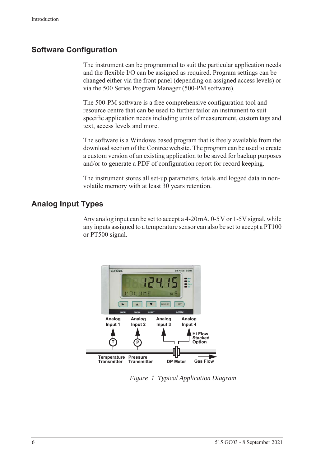# <span id="page-15-0"></span>**Software Configuration**

The instrument can be programmed to suit the particular application needs and the flexible I/O can be assigned as required. Program settings can be changed either via the front panel (depending on assigned access levels) or via the 500 Series Program Manager (500-PM software).

The 500-PM software is a free comprehensive configuration tool and resource centre that can be used to further tailor an instrument to suit specific application needs including units of measurement, custom tags and text, access levels and more.

The software is a Windows based program that is freely available from the download section of the Contrec website. The program can be used to create a custom version of an existing application to be saved for backup purposes and/or to generate a PDF of configuration report for record keeping.

The instrument stores all set-up parameters, totals and logged data in nonvolatile memory with at least 30 years retention.

# <span id="page-15-1"></span>**Analog Input Types**

Any analog input can be set to accept a 4-20 mA, 0-5 V or 1-5 V signal, while any inputs assigned to a temperature sensor can also be set to accept a PT100 or PT500 signal.



<span id="page-15-2"></span>*Figure 1 Typical Application Diagram*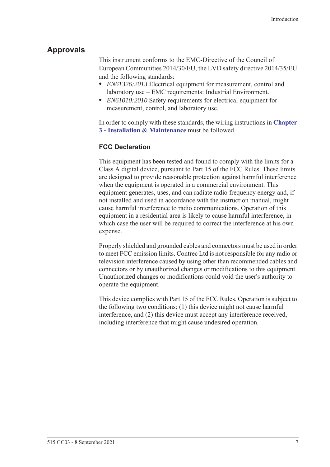# <span id="page-16-0"></span>**Approvals**

This instrument conforms to the EMC-Directive of the Council of European Communities 2014/30/EU, the LVD safety directive 2014/35/EU and the following standards:

- **•** *EN61326:2013* Electrical equipment for measurement, control and laboratory use – EMC requirements: Industrial Environment.
- **•** *EN61010:2010* Safety requirements for electrical equipment for measurement, control, and laboratory use.

In order to comply with these standards, the wiring instructions in **[Chapter](#page-20-5)  [3 - Installation & Maintenance](#page-20-5)** must be followed.

### **FCC Declaration**

This equipment has been tested and found to comply with the limits for a Class A digital device, pursuant to Part 15 of the FCC Rules. These limits are designed to provide reasonable protection against harmful interference when the equipment is operated in a commercial environment. This equipment generates, uses, and can radiate radio frequency energy and, if not installed and used in accordance with the instruction manual, might cause harmful interference to radio communications. Operation of this equipment in a residential area is likely to cause harmful interference, in which case the user will be required to correct the interference at his own expense.

Properly shielded and grounded cables and connectors must be used in order to meet FCC emission limits. Contrec Ltd is not responsible for any radio or television interference caused by using other than recommended cables and connectors or by unauthorized changes or modifications to this equipment. Unauthorized changes or modifications could void the user's authority to operate the equipment.

This device complies with Part 15 of the FCC Rules. Operation is subject to the following two conditions: (1) this device might not cause harmful interference, and (2) this device must accept any interference received, including interference that might cause undesired operation.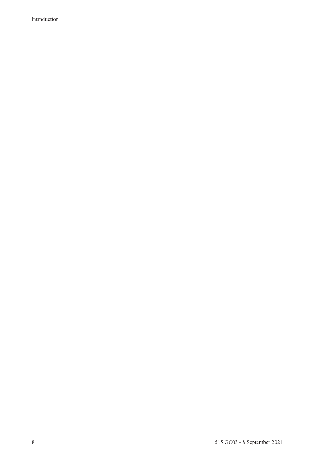Introduction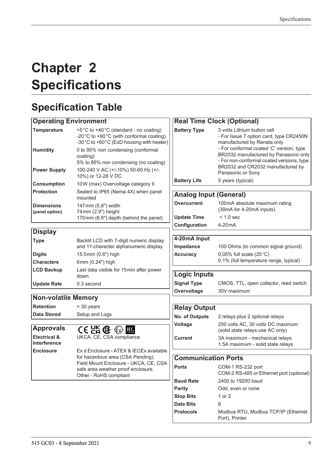# <span id="page-18-0"></span>**Chapter 2 Specifications**

# <span id="page-18-1"></span>**Specification Table**

| <b>Operating Environment</b>            |                                                                                                                                                                    | <b>Real Time Clock (Optional)</b> |                                                                                                                                                   |  |  |  |
|-----------------------------------------|--------------------------------------------------------------------------------------------------------------------------------------------------------------------|-----------------------------------|---------------------------------------------------------------------------------------------------------------------------------------------------|--|--|--|
| <b>Temperature</b><br>Humidity          | +5°C to +40°C (standard - no coating)<br>-20°C to +60°C (with conformal coating)<br>-30°C to +60°C (ExD housing with heater)<br>0 to 95% non condensing (conformal | <b>Battery Type</b>               | 3 volts Lithium button cell<br>- For Issue 7 option card, type CR2450N<br>manufactured by Renata only<br>- For conformal coated 'C' version, type |  |  |  |
| <b>Power Supply</b>                     | coating)<br>5% to 85% non condensing (no coating)<br>100-240 V AC (+/-10%) 50-60 Hz (+/-                                                                           |                                   | BR2032 manufactured by Panasonic only<br>- For non-conformal coated versions, type<br>BR2032 and CR2032 manufactured by<br>Panasonic or Sony      |  |  |  |
|                                         | 10%) or 12-28 V DC                                                                                                                                                 | <b>Battery Life</b>               | 5 years (typical)                                                                                                                                 |  |  |  |
| <b>Consumption</b>                      | 10W (max) Overvoltage category II                                                                                                                                  |                                   |                                                                                                                                                   |  |  |  |
| <b>Protection</b>                       | Sealed to IP65 (Nema 4X) when panel<br>mounted                                                                                                                     | <b>Analog Input (General)</b>     |                                                                                                                                                   |  |  |  |
| <b>Dimensions</b><br>(panel option)     | 147mm (5.8") width<br>74mm (2.9") height                                                                                                                           | <b>Overcurrent</b>                | 100mA absolute maximum rating<br>(30mA for 4-20mA inputs)                                                                                         |  |  |  |
|                                         | 170mm (6.6") depth (behind the panel)                                                                                                                              | <b>Update Time</b>                | $< 1.0$ sec                                                                                                                                       |  |  |  |
|                                         |                                                                                                                                                                    | Configuration                     | $4-20mA$                                                                                                                                          |  |  |  |
| <b>Display</b>                          |                                                                                                                                                                    | 4-20mA Input                      |                                                                                                                                                   |  |  |  |
| <b>Type</b>                             | Backlit LCD with 7-digit numeric display<br>and 11-character alphanumeric display                                                                                  | Impedance                         | 100 Ohms (to common signal ground)                                                                                                                |  |  |  |
| <b>Digits</b>                           | 15.5mm (0.6") high                                                                                                                                                 | <b>Accuracy</b>                   | 0.05% full scale $(20^{\circ}C)$                                                                                                                  |  |  |  |
| <b>Characters</b>                       | 6mm (0.24") high                                                                                                                                                   |                                   | 0.1% (full temperature range, typical)                                                                                                            |  |  |  |
| <b>LCD Backup</b>                       | Last data visible for 15min after power                                                                                                                            |                                   |                                                                                                                                                   |  |  |  |
|                                         | down                                                                                                                                                               | <b>Logic Inputs</b>               |                                                                                                                                                   |  |  |  |
| <b>Update Rate</b>                      | 0.3 second                                                                                                                                                         | <b>Signal Type</b>                | CMOS, TTL, open collector, reed switch                                                                                                            |  |  |  |
|                                         |                                                                                                                                                                    | Overvoltage                       | 30V maximum                                                                                                                                       |  |  |  |
| <b>Non-volatile Memory</b>              |                                                                                                                                                                    |                                   |                                                                                                                                                   |  |  |  |
| <b>Retention</b>                        | > 30 years                                                                                                                                                         | <b>Relay Output</b>               |                                                                                                                                                   |  |  |  |
| <b>Data Stored</b>                      | Setup and Logs                                                                                                                                                     | <b>No. of Outputs</b>             | 2 relays plus 2 optional relays                                                                                                                   |  |  |  |
| <b>Approvals</b>                        | $\mathsf{CE} \times \mathbb{C}$ $\mathbb{C}$                                                                                                                       | Voltage                           | 250 volts AC, 30 volts DC maximum<br>(solid state relays use AC only)                                                                             |  |  |  |
| <b>Electrical &amp;</b><br>Interference | UKCA, CE, CSA compliance                                                                                                                                           | <b>Current</b>                    | 3A maximum - mechanical relays<br>1.5A maximum - solid state relays                                                                               |  |  |  |
| <b>Enclosure</b>                        | Ex d Enclosure - ATEX & IECEx available                                                                                                                            |                                   |                                                                                                                                                   |  |  |  |
|                                         | for hazardous area (CSA Pending).<br>Field Mount Enclosure - UKCA, CE, CSA                                                                                         | <b>Communication Ports</b>        |                                                                                                                                                   |  |  |  |
|                                         | safe area weather proof enclosure.<br>Other - RoHS compliant                                                                                                       | Ports                             | COM-1 RS-232 port<br>COM-2 RS-485 or Ethernet port (optional)                                                                                     |  |  |  |
|                                         |                                                                                                                                                                    | <b>Baud Rate</b>                  | 2400 to 19200 baud                                                                                                                                |  |  |  |
|                                         |                                                                                                                                                                    | <b>Parity</b>                     | Odd, even or none                                                                                                                                 |  |  |  |
|                                         |                                                                                                                                                                    | <b>Stop Bits</b>                  | 1 or 2                                                                                                                                            |  |  |  |
|                                         |                                                                                                                                                                    | <b>Data Bits</b>                  | 8                                                                                                                                                 |  |  |  |
|                                         |                                                                                                                                                                    | <b>Protocols</b>                  | Modbus RTU, Modbus TCP/IP (Ethernet<br>Port), Printer                                                                                             |  |  |  |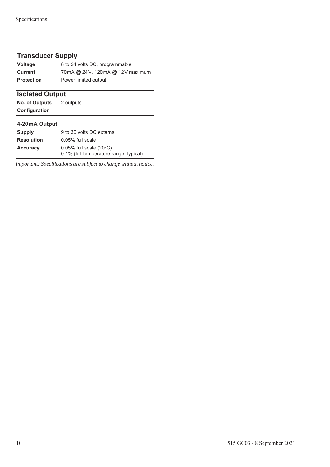| <b>Transducer Supply</b>                  |                                 |  |  |  |  |  |  |
|-------------------------------------------|---------------------------------|--|--|--|--|--|--|
| 8 to 24 volts DC, programmable<br>Voltage |                                 |  |  |  |  |  |  |
| <b>Current</b>                            | 70mA @ 24V, 120mA @ 12V maximum |  |  |  |  |  |  |
| <b>Protection</b>                         | Power limited output            |  |  |  |  |  |  |
|                                           |                                 |  |  |  |  |  |  |
| <b>Isolated Output</b>                    |                                 |  |  |  |  |  |  |
| <b>No. of Outputs</b>                     | 2 outputs                       |  |  |  |  |  |  |
| Configuration                             |                                 |  |  |  |  |  |  |
|                                           |                                 |  |  |  |  |  |  |
| 4-20mA Output                             |                                 |  |  |  |  |  |  |
|                                           |                                 |  |  |  |  |  |  |

| <b>Supply</b>     | 9 to 30 volts DC external                                                  |
|-------------------|----------------------------------------------------------------------------|
| <b>Resolution</b> | $0.05\%$ full scale                                                        |
| <b>Accuracy</b>   | 0.05% full scale $(20^{\circ}C)$<br>0.1% (full temperature range, typical) |

*Important: Specifications are subject to change without notice.*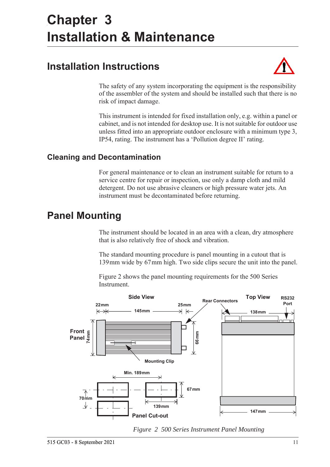# <span id="page-20-5"></span><span id="page-20-0"></span>**Chapter 3 Installation & Maintenance**

# <span id="page-20-1"></span>**Installation Instructions**



The safety of any system incorporating the equipment is the responsibility of the assembler of the system and should be installed such that there is no risk of impact damage.

This instrument is intended for fixed installation only, e.g. within a panel or cabinet, and is not intended for desktop use. It is not suitable for outdoor use unless fitted into an appropriate outdoor enclosure with a minimum type 3, IP54, rating. The instrument has a 'Pollution degree II' rating.

# <span id="page-20-2"></span>**Cleaning and Decontamination**

For general maintenance or to clean an instrument suitable for return to a service centre for repair or inspection, use only a damp cloth and mild detergent. Do not use abrasive cleaners or high pressure water jets. An instrument must be decontaminated before returning.

# <span id="page-20-3"></span>**Panel Mounting**

The instrument should be located in an area with a clean, dry atmosphere that is also relatively free of shock and vibration.

The standard mounting procedure is panel mounting in a cutout that is 139 mm wide by 67 mm high. Two side clips secure the unit into the panel.

[Figure 2](#page-20-4) shows the panel mounting requirements for the 500 Series Instrument.



<span id="page-20-4"></span>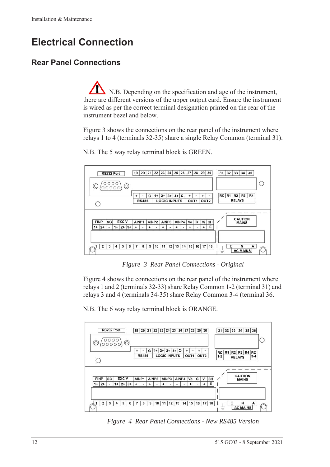# <span id="page-21-0"></span>**Electrical Connection**

# <span id="page-21-1"></span>**Rear Panel Connections**

N.B. Depending on the specification and age of the instrument, there are different versions of the upper output card. Ensure the instrument is wired as per the correct terminal designation printed on the rear of the instrument bezel and below.

[Figure 3](#page-21-2) shows the connections on the rear panel of the instrument where relays 1 to 4 (terminals 32-35) share a single Relay Common (terminal 31).



N.B. The 5 way relay terminal block is GREEN.

*Figure 3 Rear Panel Connections - Original*

<span id="page-21-2"></span>[Figure 4](#page-21-3) shows the connections on the rear panel of the instrument where relays 1 and 2 (terminals 32-33) share Relay Common 1-2 (terminal 31) and relays 3 and 4 (terminals 34-35) share Relay Common 3-4 (terminal 36.

N.B. The 6 way relay terminal block is ORANGE.



<span id="page-21-3"></span>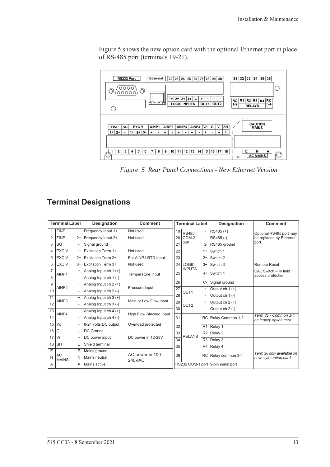[Figure 5](#page-22-1) shows the new option card with the optional Ethernet port in place of RS-485 port (terminals 19-21).



<span id="page-22-1"></span>*Figure 5 Rear Panel Connections - New Ethernet Version*

# <span id="page-22-0"></span>**Terminal Designations**

| <b>Terminal Label</b> |                                                                                                         |                          | <b>Designation</b>                 | <b>Comment</b>                     | <b>Terminal Label</b> |                               |           | <b>Designation</b>  | <b>Comment</b>                                |      |                           |                     |
|-----------------------|---------------------------------------------------------------------------------------------------------|--------------------------|------------------------------------|------------------------------------|-----------------------|-------------------------------|-----------|---------------------|-----------------------------------------------|------|---------------------------|---------------------|
| 1                     | <b>FINP</b>                                                                                             | $1+$                     | Frequency Input 1+                 | Not used                           | 19                    | <b>RS485</b>                  | $+$       | RS485 (+)           | Optional RS485 port may                       |      |                           |                     |
| 2                     | <b>FINP</b>                                                                                             | $2+$                     | Frequency Input 2+                 | Not used                           | 20                    | COM-2                         |           | RS485 (-)           | be replaced by Ethernet                       |      |                           |                     |
| 3                     | <b>SG</b>                                                                                               | $\blacksquare$           | Signal ground                      |                                    | 21                    | port                          | G         | RS485 ground        | port.                                         |      |                           |                     |
| 4                     | EXC V                                                                                                   | $1+$                     | Excitation Term 1+                 | Not used                           | 22                    |                               | $1+$      | Switch 1            |                                               |      |                           |                     |
| 5                     | <b>EXC V</b>                                                                                            | $2+$                     | <b>Excitation Term 2+</b>          | For AINP1 RTD Input                | 23                    |                               | $2+$      | Switch 2            |                                               |      |                           |                     |
| 6                     | <b>EXC V</b>                                                                                            | $3+$                     | <b>Excitation Term 3+</b>          | Not used                           | 24                    | <b>LOGIC</b><br><b>INPUTS</b> |           |                     |                                               | $3+$ | Switch 3                  | <b>Remote Reset</b> |
| $\overline{7}$        | AINP1                                                                                                   | $\ddot{}$                | Analog Input ch $1 (+)$            | Temperature Input                  | 25                    |                               | $4+$      | Switch 4            | CAL Switch - In field                         |      |                           |                     |
| 8                     |                                                                                                         | $\overline{\phantom{a}}$ | Analog Input ch 1 (-)              |                                    | 26                    |                               |           |                     | access protection                             |      |                           |                     |
| 9                     |                                                                                                         | $\ddot{}$                | Analog Input ch $2 (+)$            | Pressure Input<br>$\overline{27}$  |                       |                               | $C-$      | Signal ground       |                                               |      |                           |                     |
| 10                    | AINP <sub>2</sub>                                                                                       | $\overline{\phantom{a}}$ | Analog Input ch 2 (-)              |                                    |                       | OUT <sub>1</sub>              | $+$       | Output ch $1 (+)$   |                                               |      |                           |                     |
| 11                    |                                                                                                         | $\ddot{}$                | Analog Input ch $3 (+)$            | 28<br>Main or Low Flow Input<br>29 |                       |                               |           | Output ch 1 (-)     |                                               |      |                           |                     |
| 12                    | AINP3                                                                                                   | ٠                        | Analog Input ch 3 (-)              |                                    |                       | OUT <sub>2</sub>              | $\ddot{}$ | Output ch $2 (+)$   |                                               |      |                           |                     |
| $\overline{13}$       |                                                                                                         | $\ddot{}$                | Analog Input ch $4 (+)$            |                                    | 30                    |                               |           | Output $ch 2$ (-)   |                                               |      |                           |                     |
| 14                    | AINP4                                                                                                   | $\overline{\phantom{a}}$ | Analog Input ch 4 (-)              | High Flow Stacked Input            | 31                    |                               | RC        | Relay Common 1-2    | Term 31 - Common 1-4<br>on legacy option card |      |                           |                     |
| 15                    | <b>Vo</b>                                                                                               | $\ddot{}$                | 8-24 volts DC output               | Overload protected                 | 32                    |                               | R1        | Relay 1             |                                               |      |                           |                     |
| 16                    | G                                                                                                       | $\overline{\phantom{a}}$ | <b>DC</b> Ground                   |                                    | 33                    |                               |           | $R2$ Relay 2        |                                               |      |                           |                     |
| 17                    | l Vi                                                                                                    | $\ddot{}$                | DC power input                     | DC power in 12-28V                 | $\overline{34}$       | <b>RELAYS</b>                 |           | $R3$ Relay 3        |                                               |      |                           |                     |
| 18                    | <b>SH</b>                                                                                               | Ε                        | Shield terminal                    |                                    | 35                    |                               | R4        | Relay 4             |                                               |      |                           |                     |
| E                     |                                                                                                         | E                        | Mains ground                       |                                    | 36                    |                               |           |                     |                                               |      | Term 36 only available on |                     |
| N                     | AC power in 100-<br>AC<br>N<br>Mains neutral<br><b>MAINS</b><br><b>240VAC</b><br>A<br>Mains active<br>A |                          |                                    |                                    |                       |                               |           | RC Relay common 3-4 | new style option card                         |      |                           |                     |
|                       |                                                                                                         |                          | RS232 COM-1 port 9-pin serial port |                                    |                       |                               |           |                     |                                               |      |                           |                     |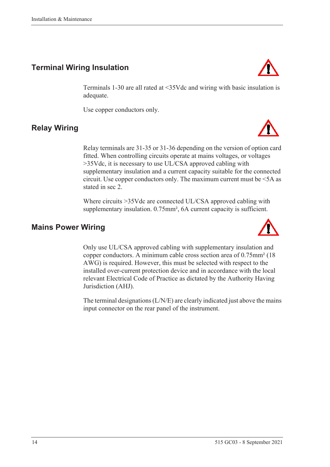# <span id="page-23-0"></span>**Terminal Wiring Insulation**

Terminals 1-30 are all rated at <35Vdc and wiring with basic insulation is adequate.

Use copper conductors only.

stated in sec 2.

# <span id="page-23-1"></span>**Relay Wiring**

Relay terminals are 31-35 or 31-36 depending on the version of option card fitted. When controlling circuits operate at mains voltages, or voltages >35Vdc, it is necessary to use UL/CSA approved cabling with supplementary insulation and a current capacity suitable for the connected circuit. Use copper conductors only. The maximum current must be <5A as

Where circuits >35Vdc are connected UL/CSA approved cabling with supplementary insulation. 0.75mm<sup>2</sup>, 6A current capacity is sufficient.

### <span id="page-23-2"></span>**Mains Power Wiring**

Only use UL/CSA approved cabling with supplementary insulation and copper conductors. A minimum cable cross section area of 0.75mm² (18 AWG) is required. However, this must be selected with respect to the installed over-current protection device and in accordance with the local relevant Electrical Code of Practice as dictated by the Authority Having Jurisdiction (AHJ).

The terminal designations (L/N/E) are clearly indicated just above the mains input connector on the rear panel of the instrument.







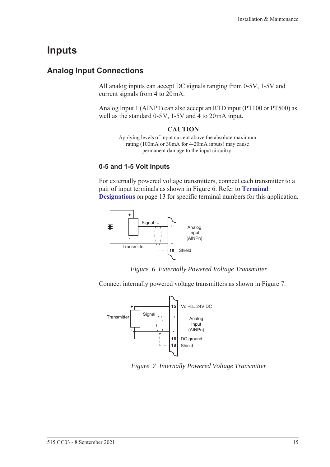# <span id="page-24-0"></span>**Inputs**

# <span id="page-24-1"></span>**Analog Input Connections**

All analog inputs can accept DC signals ranging from 0-5V, 1-5V and current signals from 4 to 20 mA.

Analog Input 1 (AINP1) can also accept an RTD input (PT100 or PT500) as well as the standard  $0-5V$ ,  $1-5V$  and  $4$  to  $20mA$  input.

#### **CAUTION**

Applying levels of input current above the absolute maximum rating (100mA or 30mA for 4-20mA inputs) may cause permanent damage to the input circuitry.

#### **0-5 and 1-5 Volt Inputs**

For externally powered voltage transmitters, connect each transmitter to a pair of input terminals as shown in [Figure 6.](#page-24-2) Refer to **[Terminal](#page-22-0)  [Designations](#page-22-0)** on page 13 for specific terminal numbers for this application.



*Figure 6 Externally Powered Voltage Transmitter*

<span id="page-24-2"></span>Connect internally powered voltage transmitters as shown in [Figure 7.](#page-24-3)



<span id="page-24-3"></span>*Figure 7 Internally Powered Voltage Transmitter*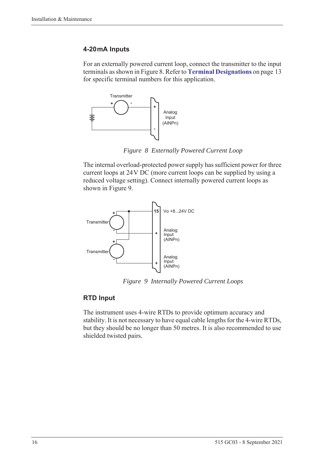### **4-20 mA Inputs**

For an externally powered current loop, connect the transmitter to the input terminals as shown in [Figure 8](#page-25-0). Refer to **[Terminal Designations](#page-22-0)** on page 13 for specific terminal numbers for this application.



*Figure 8 Externally Powered Current Loop*

<span id="page-25-0"></span>The internal overload-protected power supply has sufficient power for three current loops at 24 V DC (more current loops can be supplied by using a reduced voltage setting). Connect internally powered current loops as shown in [Figure 9](#page-25-1).



*Figure 9 Internally Powered Current Loops*

### <span id="page-25-1"></span>**RTD Input**

The instrument uses 4-wire RTDs to provide optimum accuracy and stability. It is not necessary to have equal cable lengths for the 4-wire RTDs, but they should be no longer than 50 metres. It is also recommended to use shielded twisted pairs.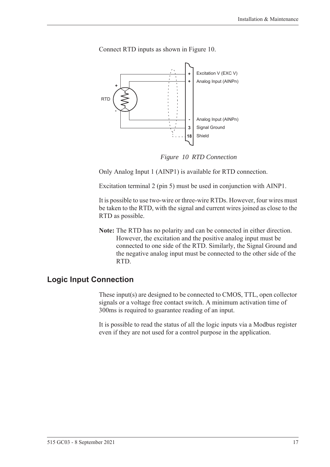

Connect RTD inputs as shown in [Figure 10.](#page-26-1)

*Figure 10 RTD Connection*

<span id="page-26-1"></span>Only Analog Input 1 (AINP1) is available for RTD connection.

Excitation terminal 2 (pin 5) must be used in conjunction with AINP1.

It is possible to use two-wire or three-wire RTDs. However, four wires must be taken to the RTD, with the signal and current wires joined as close to the RTD as possible.

**Note:** The RTD has no polarity and can be connected in either direction. However, the excitation and the positive analog input must be connected to one side of the RTD. Similarly, the Signal Ground and the negative analog input must be connected to the other side of the RTD.

### <span id="page-26-0"></span>**Logic Input Connection**

These input(s) are designed to be connected to CMOS, TTL, open collector signals or a voltage free contact switch. A minimum activation time of 300ms is required to guarantee reading of an input.

It is possible to read the status of all the logic inputs via a Modbus register even if they are not used for a control purpose in the application.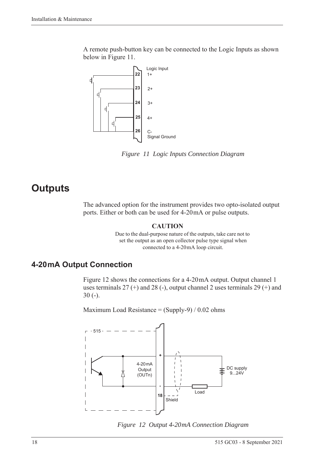A remote push-button key can be connected to the Logic Inputs as shown below in [Figure 11](#page-27-2).



<span id="page-27-2"></span>*Figure 11 Logic Inputs Connection Diagram*

# <span id="page-27-0"></span>**Outputs**

The advanced option for the instrument provides two opto-isolated output ports. Either or both can be used for 4-20 mA or pulse outputs.

#### **CAUTION**

Due to the dual-purpose nature of the outputs, take care not to set the output as an open collector pulse type signal when connected to a 4-20 mA loop circuit.

### <span id="page-27-1"></span>**4-20 mA Output Connection**

[Figure 12](#page-27-3) shows the connections for a 4-20 mA output. Output channel 1 uses terminals 27 (+) and 28 (-), output channel 2 uses terminals 29 (+) and 30 (-).

Maximum Load Resistance =  $(Supply-9) / 0.02$  ohms



<span id="page-27-3"></span>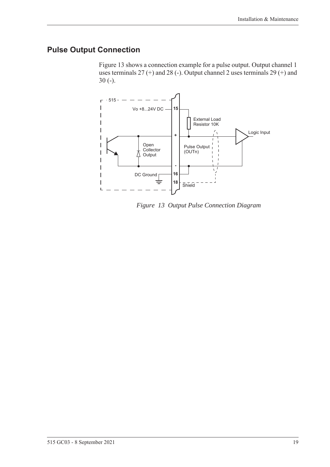# <span id="page-28-0"></span>**Pulse Output Connection**

[Figure 13](#page-28-1) shows a connection example for a pulse output. Output channel 1 uses terminals 27 (+) and 28 (-). Output channel 2 uses terminals 29 (+) and 30 (-).



<span id="page-28-1"></span>*Figure 13 Output Pulse Connection Diagram*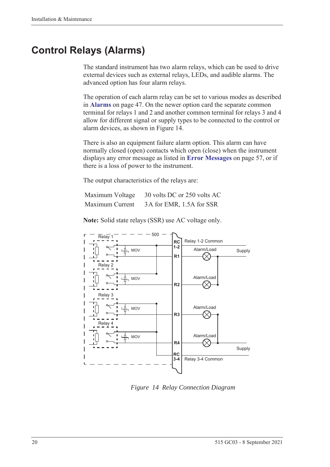# <span id="page-29-0"></span>**Control Relays (Alarms)**

The standard instrument has two alarm relays, which can be used to drive external devices such as external relays, LEDs, and audible alarms. The advanced option has four alarm relays.

The operation of each alarm relay can be set to various modes as described in **Alarms** [on page 47](#page-56-1). On the newer option card the separate common terminal for relays 1 and 2 and another common terminal for relays 3 and 4 allow for different signal or supply types to be connected to the control or alarm devices, as shown in [Figure 14.](#page-29-1)

There is also an equipment failure alarm option. This alarm can have normally closed (open) contacts which open (close) when the instrument displays any error message as listed in **[Error Messages](#page-66-2)** on page 57, or if there is a loss of power to the instrument.

The output characteristics of the relays are:

| Maximum Voltage | 30 volts DC or 250 volts AC |
|-----------------|-----------------------------|
| Maximum Current | 3A for EMR, 1.5A for SSR    |

**Note:** Solid state relays (SSR) use AC voltage only.



<span id="page-29-1"></span>*Figure 14 Relay Connection Diagram*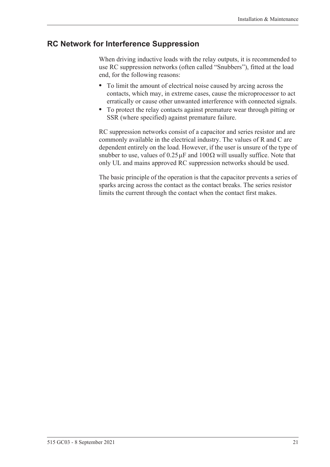### <span id="page-30-0"></span>**RC Network for Interference Suppression**

When driving inductive loads with the relay outputs, it is recommended to use RC suppression networks (often called "Snubbers"), fitted at the load end, for the following reasons:

- **•** To limit the amount of electrical noise caused by arcing across the contacts, which may, in extreme cases, cause the microprocessor to act erratically or cause other unwanted interference with connected signals.
- **•** To protect the relay contacts against premature wear through pitting or SSR (where specified) against premature failure.

RC suppression networks consist of a capacitor and series resistor and are commonly available in the electrical industry. The values of R and C are dependent entirely on the load. However, if the user is unsure of the type of snubber to use, values of  $0.25 \mu$ F and  $100 \Omega$  will usually suffice. Note that only UL and mains approved RC suppression networks should be used.

The basic principle of the operation is that the capacitor prevents a series of sparks arcing across the contact as the contact breaks. The series resistor limits the current through the contact when the contact first makes.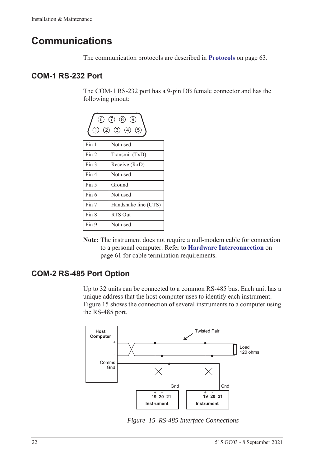# <span id="page-31-0"></span>**Communications**

The communication protocols are described in **Protocols** [on page 63.](#page-72-3)

### <span id="page-31-1"></span>**COM-1 RS-232 Port**

The COM-1 RS-232 port has a 9-pin DB female connector and has the following pinout:



**Note:** The instrument does not require a null-modem cable for connection to a personal computer. Refer to **[Hardware Interconnection](#page-70-4)** on [page 61](#page-70-4) for cable termination requirements.

# <span id="page-31-2"></span>**COM-2 RS-485 Port Option**

Up to 32 units can be connected to a common RS-485 bus. Each unit has a unique address that the host computer uses to identify each instrument. [Figure 15](#page-31-3) shows the connection of several instruments to a computer using the RS-485 port.



<span id="page-31-3"></span>*Figure 15 RS-485 Interface Connections*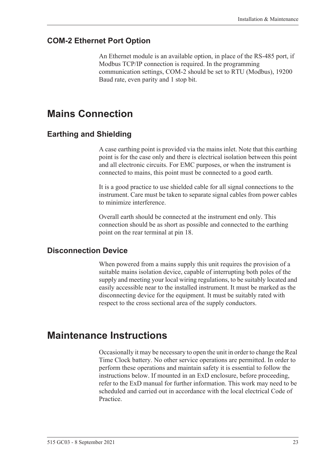### <span id="page-32-0"></span>**COM-2 Ethernet Port Option**

An Ethernet module is an available option, in place of the RS-485 port, if Modbus TCP/IP connection is required. In the programming communication settings, COM-2 should be set to RTU (Modbus), 19200 Baud rate, even parity and 1 stop bit.

# <span id="page-32-1"></span>**Mains Connection**

### <span id="page-32-2"></span>**Earthing and Shielding**

A case earthing point is provided via the mains inlet. Note that this earthing point is for the case only and there is electrical isolation between this point and all electronic circuits. For EMC purposes, or when the instrument is connected to mains, this point must be connected to a good earth.

It is a good practice to use shielded cable for all signal connections to the instrument. Care must be taken to separate signal cables from power cables to minimize interference.

Overall earth should be connected at the instrument end only. This connection should be as short as possible and connected to the earthing point on the rear terminal at pin 18.

### <span id="page-32-3"></span>**Disconnection Device**

When powered from a mains supply this unit requires the provision of a suitable mains isolation device, capable of interrupting both poles of the supply and meeting your local wiring regulations, to be suitably located and easily accessible near to the installed instrument. It must be marked as the disconnecting device for the equipment. It must be suitably rated with respect to the cross sectional area of the supply conductors.

# <span id="page-32-4"></span>**Maintenance Instructions**

Occasionally it may be necessary to open the unit in order to change the Real Time Clock battery. No other service operations are permitted. In order to perform these operations and maintain safety it is essential to follow the instructions below. If mounted in an ExD enclosure, before proceeding, refer to the ExD manual for further information. This work may need to be scheduled and carried out in accordance with the local electrical Code of Practice.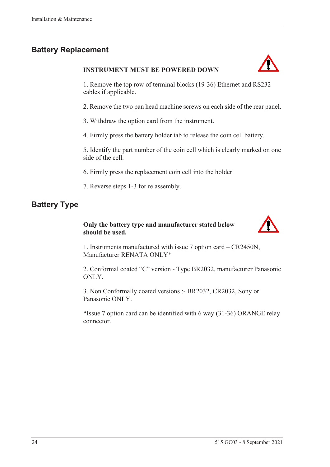# <span id="page-33-0"></span>**Battery Replacement**

### **INSTRUMENT MUST BE POWERED DOWN**



1. Remove the top row of terminal blocks (19-36) Ethernet and RS232 cables if applicable.

2. Remove the two pan head machine screws on each side of the rear panel.

3. Withdraw the option card from the instrument.

4. Firmly press the battery holder tab to release the coin cell battery.

5. Identify the part number of the coin cell which is clearly marked on one side of the cell.

6. Firmly press the replacement coin cell into the holder

7. Reverse steps 1-3 for re assembly.

# <span id="page-33-1"></span>**Battery Type**

### **Only the battery type and manufacturer stated below should be used.**



1. Instruments manufactured with issue 7 option card – CR2450N, Manufacturer RENATA ONLY\*

2. Conformal coated "C" version - Type BR2032, manufacturer Panasonic ONLY.

3. Non Conformally coated versions :- BR2032, CR2032, Sony or Panasonic ONLY.

\*Issue 7 option card can be identified with 6 way (31-36) ORANGE relay connector.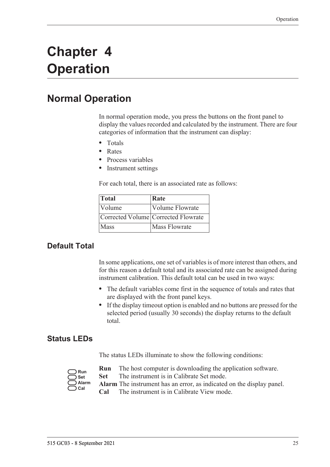# <span id="page-34-0"></span>**Chapter 4 Operation**

# <span id="page-34-1"></span>**Normal Operation**

In normal operation mode, you press the buttons on the front panel to display the values recorded and calculated by the instrument. There are four categories of information that the instrument can display:

- **•** Totals
- **•** Rates
- **•** Process variables
- **•** Instrument settings

For each total, there is an associated rate as follows:

| Total                       | Rate                                |
|-----------------------------|-------------------------------------|
| <i><u><b>Nolume</b></u></i> | Volume Flowrate                     |
|                             | Corrected Volume Corrected Flowrate |
| <i>Nass</i>                 | Mass Flowrate                       |

# <span id="page-34-2"></span>**Default Total**

In some applications, one set of variables is of more interest than others, and for this reason a default total and its associated rate can be assigned during instrument calibration. This default total can be used in two ways:

- **•** The default variables come first in the sequence of totals and rates that are displayed with the front panel keys.
- **•** If the display timeout option is enabled and no buttons are pressed for the selected period (usually 30 seconds) the display returns to the default total.

### <span id="page-34-3"></span>**Status LEDs**

The status LEDs illuminate to show the following conditions:

| Run   |
|-------|
| Set   |
| Alarm |
| :al   |

- **Run** The host computer is downloading the application software.
- **Set** The instrument is in Calibrate Set mode.
- **Alarm** The instrument has an error, as indicated on the display panel.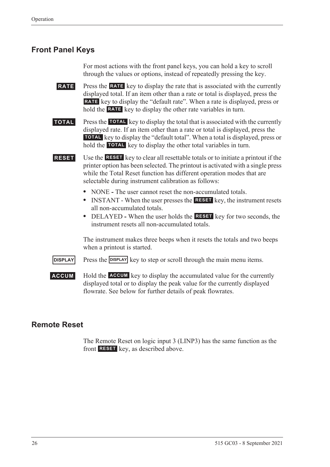# <span id="page-35-0"></span>**Front Panel Keys**

For most actions with the front panel keys, you can hold a key to scroll through the values or options, instead of repeatedly pressing the key.

**RATE** Press the **RATE** key to display the rate that is associated with the currently displayed total. If an item other than a rate or total is displayed, press the RATE key to display the "default rate". When a rate is displayed, press or hold the **RATE** key to display the other rate variables in turn.

**TOTAL** Press the TOTAL key to display the total that is associated with the currently displayed rate. If an item other than a rate or total is displayed, press the **TOTAL** key to display the "default total". When a total is displayed, press or hold the **TOTAL** key to display the other total variables in turn.

**RESET** Use the **RESET** key to clear all resettable totals or to initiate a printout if the printer option has been selected. The printout is activated with a single press while the Total Reset function has different operation modes that are selectable during instrument calibration as follows:

- NONE The user cannot reset the non-accumulated totals.
- INSTANT When the user presses the **RESET** key, the instrument resets all non-accumulated totals.
- DELAYED When the user holds the **RESET** key for two seconds, the instrument resets all non-accumulated totals.

The instrument makes three beeps when it resets the totals and two beeps when a printout is started.

**DISPLAY** Press the **DISPLAY** key to step or scroll through the main menu items.

**ACCUM** Hold the **ACCUM** key to display the accumulated value for the currently displayed total or to display the peak value for the currently displayed flowrate. See below for further details of peak flowrates.

### <span id="page-35-1"></span>**Remote Reset**

The Remote Reset on logic input 3 (LINP3) has the same function as the front **RESET** key, as described above.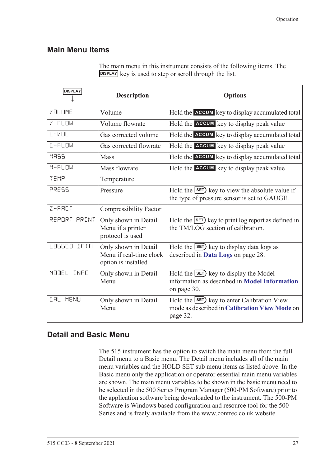### **Main Menu Items**

| <b>DISPLAY</b>  | <b>Description</b>                                                     | <b>Options</b>                                                                                                   |
|-----------------|------------------------------------------------------------------------|------------------------------------------------------------------------------------------------------------------|
| VOLUME          | Volume                                                                 | Hold the ACCUM key to display accumulated total                                                                  |
| $V$ -FLOW       | Volume flowrate                                                        | Hold the <b>ACCUM</b> key to display peak value                                                                  |
| $L - VDL$       | Gas corrected volume                                                   | Hold the ACCUM key to display accumulated total                                                                  |
| $L-FLDW$        | Gas corrected flowrate                                                 | Hold the <b>ACCUM</b> key to display peak value                                                                  |
| <b>MR55</b>     | Mass                                                                   | Hold the ACCUM key to display accumulated total                                                                  |
| $M-FLDW$        | Mass flowrate                                                          | Hold the <b>ACCUM</b> key to display peak value                                                                  |
| TEMP            | Temperature                                                            |                                                                                                                  |
| <b>PRESS</b>    | Pressure                                                               | Hold the SET key to view the absolute value if<br>the type of pressure sensor is set to GAUGE.                   |
| $Z-FRET$        | <b>Compressibility Factor</b>                                          |                                                                                                                  |
| REPORT PRINT    | Only shown in Detail<br>Menu if a printer<br>protocol is used          | Hold the SET key to print log report as defined in<br>the TM/LOG section of calibration.                         |
| LOGGED DATA     | Only shown in Detail<br>Menu if real-time clock<br>option is installed | Hold the SET) key to display data logs as<br>described in Data Logs on page 28.                                  |
| MODEL INFO      | Only shown in Detail<br>Menu                                           | Hold the <b>SET</b> key to display the Model<br>information as described in Model Information<br>on page 30.     |
| <b>CAL MENU</b> | Only shown in Detail<br>Menu                                           | Hold the <b>SET</b> ) key to enter Calibration View<br>mode as described in Calibration View Mode on<br>page 32. |

The main menu in this instrument consists of the following items. The **DISPLAY** key is used to step or scroll through the list.

### **Detail and Basic Menu**

The 515 instrument has the option to switch the main menu from the full Detail menu to a Basic menu. The Detail menu includes all of the main menu variables and the HOLD SET sub menu items as listed above. In the Basic menu only the application or operator essential main menu variables are shown. The main menu variables to be shown in the basic menu need to be selected in the 500 Series Program Manager (500-PM Software) prior to the application software being downloaded to the instrument. The 500-PM Software is Windows based configuration and resource tool for the 500 Series and is freely available from the www.contrec.co.uk website.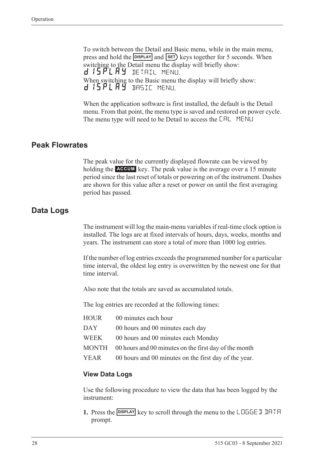To switch between the Detail and Basic menu, while in the main menu, press and hold the **DISPLAY** and **SET**) keys together for 5 seconds. When switching to the Detail menu the display will briefly show: d 15 PL A Y DETAIL MENU. When switching to the Basic menu the display will briefly show: d 15PLAY BASIC MENU.

When the application software is first installed, the default is the Detail menu. From that point, the menu type is saved and restored on power cycle. The menu type will need to be Detail to access the CAL MENU

#### **Peak Flowrates**

The peak value for the currently displayed flowrate can be viewed by holding the **ACCUM** key. The peak value is the average over a 15 minute period since the last reset of totals or powering on of the instrument. Dashes are shown for this value after a reset or power on until the first averaging period has passed.

#### <span id="page-37-0"></span>**Data Logs**

The instrument will log the main-menu variables if real-time clock option is installed. The logs are at fixed intervals of hours, days, weeks, months and years. The instrument can store a total of more than 1000 log entries.

If the number of log entries exceeds the programmed number for a particular time interval, the oldest log entry is overwritten by the newest one for that time interval.

Also note that the totals are saved as accumulated totals.

The log entries are recorded at the following times:

| HOUR | 00 minutes each hour                                        |
|------|-------------------------------------------------------------|
| DAY  | 00 hours and 00 minutes each day                            |
| WEEK | 00 hours and 00 minutes each Monday                         |
|      | MONTH 00 hours and 00 minutes on the first day of the month |
| YEAR | 00 hours and 00 minutes on the first day of the year.       |

#### **View Data Logs**

Use the following procedure to view the data that has been logged by the instrument:

**1.** Press the **DISPLAY** key to scroll through the menu to the LOGGE D DATA prompt.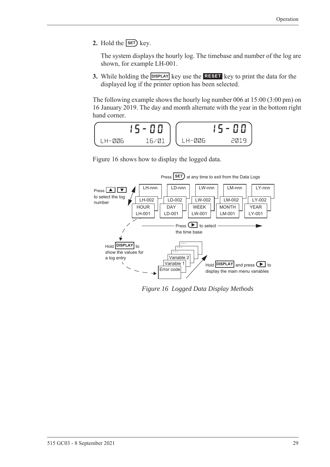**2.** Hold the  $\overline{\text{SET}}$  key.

The system displays the hourly log. The timebase and number of the log are shown, for example LH-001.

**3.** While holding the **DISPLAY** key use the **RESET** key to print the data for the displayed log if the printer option has been selected.

The following example shows the hourly log number 006 at 15:00 (3:00 pm) on 16 January 2019. The day and month alternate with the year in the bottom right hand corner.



[Figure 16](#page-38-0) shows how to display the logged data.



<span id="page-38-0"></span>*Figure 16 Logged Data Display Methods*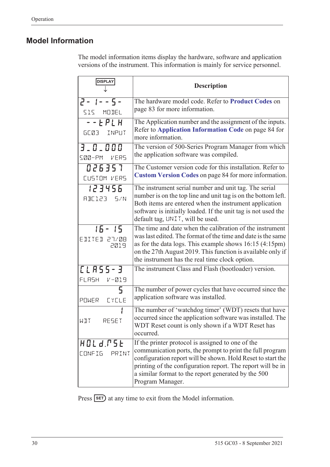## <span id="page-39-1"></span><span id="page-39-0"></span>**Model Information**

The model information items display the hardware, software and application versions of the instrument. This information is mainly for service personnel.

| <b>DISPLAY</b>                     | <b>Description</b>                                                                                                                                                                                                                                                                                                      |
|------------------------------------|-------------------------------------------------------------------------------------------------------------------------------------------------------------------------------------------------------------------------------------------------------------------------------------------------------------------------|
| $2 - 1 - 5 -$<br>515 MODEL         | The hardware model code. Refer to Product Codes on<br>page 83 for more information.                                                                                                                                                                                                                                     |
| $  EPLH$<br>GE03 INPUT             | The Application number and the assignment of the inputs.<br>Refer to Application Information Code on page 84 for<br>more information.                                                                                                                                                                                   |
| 3.0.000<br>SØØ-PM VERS             | The version of 500-Series Program Manager from which<br>the application software was compiled.                                                                                                                                                                                                                          |
| 026357<br>CUSTOM VERS              | The Customer version code for this installation. Refer to<br><b>Custom Version Codes on page 84 for more information.</b>                                                                                                                                                                                               |
| 123456<br>RBE123 5/N               | The instrument serial number and unit tag. The serial<br>number is on the top line and unit tag is on the bottom left.<br>Both items are entered when the instrument application<br>software is initially loaded. If the unit tag is not used the<br>default tag, UNIT, will be used.                                   |
| $15 - 15$<br>EDITED 27/08<br>2019  | The time and date when the calibration of the instrument<br>was last edited. The format of the time and date is the same<br>as for the data logs. This example shows $16:15(4:15pm)$<br>on the 27th August 2019. This function is available only if<br>the instrument has the real time clock option.                   |
| [LASS-3<br>FLASH<br>$V - 019$      | The instrument Class and Flash (bootloader) version.                                                                                                                                                                                                                                                                    |
| 5<br>POWER EYELE                   | The number of power cycles that have occurred since the<br>application software was installed.                                                                                                                                                                                                                          |
| RESET<br>WIT                       | The number of 'watchdog timer' (WDT) resets that have<br>occurred since the application software was installed. The<br>WDT Reset count is only shown if a WDT Reset has<br>occurred.                                                                                                                                    |
| HOLd.PSE<br><b>CONFIG</b><br>PRINT | If the printer protocol is assigned to one of the<br>communication ports, the prompt to print the full program<br>configuration report will be shown. Hold Reset to start the<br>printing of the configuration report. The report will be in<br>a similar format to the report generated by the 500<br>Program Manager. |

Press **SET**) at any time to exit from the Model information.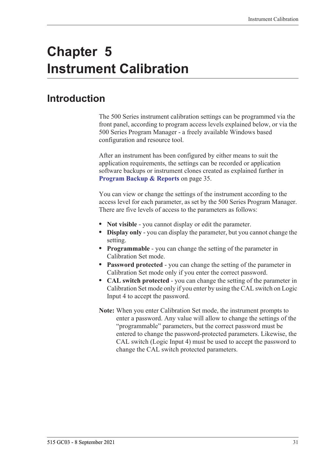# **Chapter 5 Instrument Calibration**

## **Introduction**

The 500 Series instrument calibration settings can be programmed via the front panel, according to program access levels explained below, or via the 500 Series Program Manager - a freely available Windows based configuration and resource tool.

After an instrument has been configured by either means to suit the application requirements, the settings can be recorded or application software backups or instrument clones created as explained further in **[Program Backup & Reports](#page-44-0)** on page 35.

You can view or change the settings of the instrument according to the access level for each parameter, as set by the 500 Series Program Manager. There are five levels of access to the parameters as follows:

- **• Not visible** you cannot display or edit the parameter.
- **• Display only** you can display the parameter, but you cannot change the setting.
- **• Programmable** you can change the setting of the parameter in Calibration Set mode.
- **• Password protected** you can change the setting of the parameter in Calibration Set mode only if you enter the correct password.
- **• CAL switch protected**  you can change the setting of the parameter in Calibration Set mode only if you enter by using the CAL switch on Logic Input 4 to accept the password.
- **Note:** When you enter Calibration Set mode, the instrument prompts to enter a password. Any value will allow to change the settings of the "programmable" parameters, but the correct password must be entered to change the password-protected parameters. Likewise, the CAL switch (Logic Input 4) must be used to accept the password to change the CAL switch protected parameters.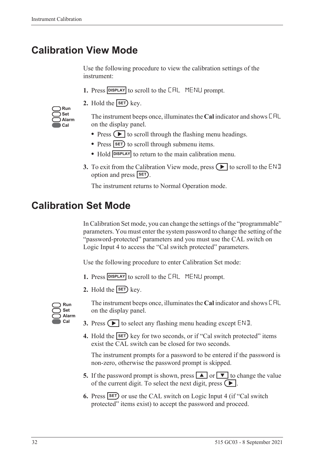## <span id="page-41-0"></span>**Calibration View Mode**

Use the following procedure to view the calibration settings of the instrument:

- 1. Press **DISPLAY** to scroll to the **CAL** MENLI prompt.
- **2.** Hold the  $\overline{\text{SET}}$  key.

| Run   |
|-------|
| Set   |
| Alarm |
| Cal   |

The instrument beeps once, illuminates the **Cal** indicator and shows CAL on the display panel.

- Press  $\left( \blacktriangleright \right)$  to scroll through the flashing menu headings.
- Press **SET**) to scroll through submenu items.
- Hold **DISPLAY** to return to the main calibration menu.
- **3.** To exit from the Calibration View mode, press  $\Box$  to scroll to the END option and press **SET**).

The instrument returns to Normal Operation mode.

## **Calibration Set Mode**

In Calibration Set mode, you can change the settings of the "programmable" parameters. You must enter the system password to change the setting of the "password-protected" parameters and you must use the CAL switch on Logic Input 4 to access the "Cal switch protected" parameters.

Use the following procedure to enter Calibration Set mode:

- **1.** Press **DISPLAY** to scroll to the **CAL** MENLI prompt.
- **2.** Hold the  $\overline{\text{SET}}$  key.



The instrument beeps once, illuminates the **Cal** indicator and shows CAL on the display panel.

- **3.** Press  $\left( \blacktriangleright \right)$  to select any flashing menu heading except END.
- **4.** Hold the **SET** key for two seconds, or if "Cal switch protected" items exist the CAL switch can be closed for two seconds.

The instrument prompts for a password to be entered if the password is non-zero, otherwise the password prompt is skipped.

- **5.** If the password prompt is shown, press  $\boxed{\blacktriangle}$  or  $\boxed{\blacktriangledown}$  to change the value of the current digit. To select the next digit, press  $\left( \blacktriangleright \right)$ .
- **6.** Press **SET** or use the CAL switch on Logic Input 4 (if "Cal switch protected" items exist) to accept the password and proceed.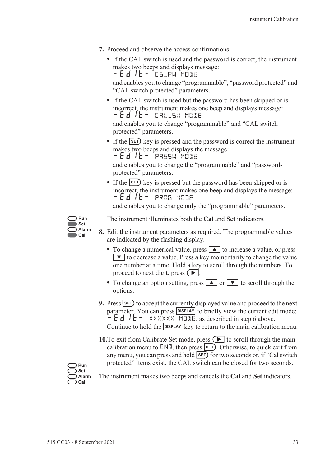- **7.** Proceed and observe the access confirmations.
	- **•** If the CAL switch is used and the password is correct, the instrument makes two beeps and displays message: - Ed IL - CS\_PW MODE

and enables you to change "programmable", "password protected" and "CAL switch protected" parameters.

**•** If the CAL switch is used but the password has been skipped or is incorrect, the instrument makes one beep and displays message: -EDIT- CAL\_SW MODE

and enables you to change "programmable" and "CAL switch protected" parameters.

• If the **SET**) key is pressed and the password is correct the instrument makes two beeps and displays the message:

 $-Ed$  it - PASSW MODE

and enables you to change the "programmable" and "passwordprotected" parameters.

• If the **SET**) key is pressed but the password has been skipped or is incorrect, the instrument makes one beep and displays the message: -EDIT- PROG MODE

and enables you to change only the "programmable" parameters.



The instrument illuminates both the **Cal** and **Set** indicators.

- **8.** Edit the instrument parameters as required. The programmable values are indicated by the flashing display.
	- To change a numerical value, press **A** to increase a value, or press  $\blacktriangledown$  to decrease a value. Press a key momentarily to change the value one number at a time. Hold a key to scroll through the numbers. To proceed to next digit, press  $( \blacktriangleright ).$
	- To change an option setting, press **A** or **V** to scroll through the options.
- **9.** Press **SET** to accept the currently displayed value and proceed to the next parameter. You can press **DISPLAY** to briefly view the current edit mode:  $-Ed$   $E - \frac{2}{x}$  XXXXXX MODE, as described in step 6 above. Continue to hold the **DISPLAY** key to return to the main calibration menu.
- **10.**To exit from Calibrate Set mode, press  $\left( \blacktriangleright \right)$  to scroll through the main calibration menu to  $ENI$ , then press  $SET$ . Otherwise, to quick exit from any menu, you can press and hold **SET** for two seconds or, if "Cal switch protected" items exist, the CAL switch can be closed for two seconds.

**Run Set Alarm Cal**

The instrument makes two beeps and cancels the **Cal** and **Set** indicators.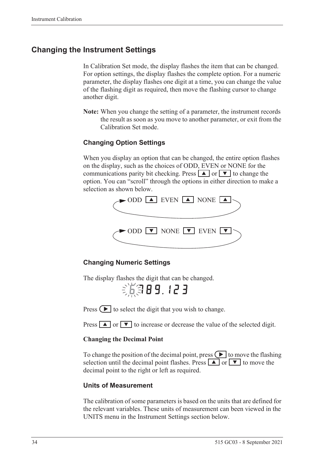### **Changing the Instrument Settings**

In Calibration Set mode, the display flashes the item that can be changed. For option settings, the display flashes the complete option. For a numeric parameter, the display flashes one digit at a time, you can change the value of the flashing digit as required, then move the flashing cursor to change another digit.

**Note:** When you change the setting of a parameter, the instrument records the result as soon as you move to another parameter, or exit from the Calibration Set mode.

#### **Changing Option Settings**

When you display an option that can be changed, the entire option flashes on the display, such as the choices of ODD, EVEN or NONE for the communications parity bit checking. Press  $\boxed{\blacktriangle}$  or  $\boxed{\blacktriangledown}$  to change the option. You can "scroll" through the options in either direction to make a selection as shown below.



#### **Changing Numeric Settings**

The display flashes the digit that can be changed.

第第89.123

Press  $\left( \blacktriangleright \right)$  to select the digit that you wish to change.

Press  $\boxed{\blacktriangle}$  or  $\boxed{\blacktriangledown}$  to increase or decrease the value of the selected digit.

#### **Changing the Decimal Point**

To change the position of the decimal point, press  $\Box$  to move the flashing selection until the decimal point flashes. Press  $\boxed{\blacktriangle}$  or  $\boxed{\blacktriangledown}$  to move the decimal point to the right or left as required.

#### **Units of Measurement**

The calibration of some parameters is based on the units that are defined for the relevant variables. These units of measurement can been viewed in the UNITS menu in the Instrument Settings section below.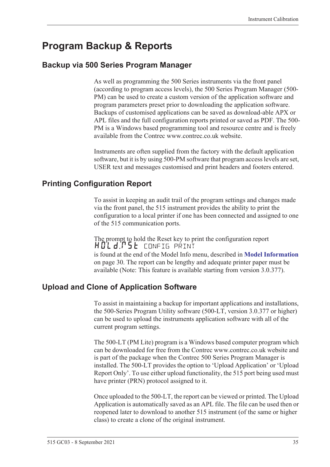## <span id="page-44-0"></span>**Program Backup & Reports**

### **Backup via 500 Series Program Manager**

As well as programming the 500 Series instruments via the front panel (according to program access levels), the 500 Series Program Manager (500- PM) can be used to create a custom version of the application software and program parameters preset prior to downloading the application software. Backups of customised applications can be saved as download-able APX or APL files and the full configuration reports printed or saved as PDF. The 500- PM is a Windows based programming tool and resource centre and is freely available from the Contrec www.contrec.co.uk website.

Instruments are often supplied from the factory with the default application software, but it is by using 500-PM software that program access levels are set, USER text and messages customised and print headers and footers entered.

### **Printing Configuration Report**

To assist in keeping an audit trail of the program settings and changes made via the front panel, the 515 instrument provides the ability to print the configuration to a local printer if one has been connected and assigned to one of the 515 communication ports.

The prompt to hold the Reset key to print the configuration report HOLd:P5E config print is found at the end of the Model Info menu, described in **[Model Information](#page-39-1)** [on page 30](#page-39-1). The report can be lengthy and adequate printer paper must be available (Note: This feature is available starting from version 3.0.377).

### **Upload and Clone of Application Software**

To assist in maintaining a backup for important applications and installations, the 500-Series Program Utility software (500-LT, version 3.0.377 or higher) can be used to upload the instruments application software with all of the current program settings.

The 500-LT (PM Lite) program is a Windows based computer program which can be downloaded for free from the Contrec www.contrec.co.uk website and is part of the package when the Contrec 500 Series Program Manager is installed. The 500-LT provides the option to 'Upload Application' or 'Upload Report Only'. To use either upload functionality, the 515 port being used must have printer (PRN) protocol assigned to it.

Once uploaded to the 500-LT, the report can be viewed or printed. The Upload Application is automatically saved as an APL file. The file can be used then or reopened later to download to another 515 instrument (of the same or higher class) to create a clone of the original instrument.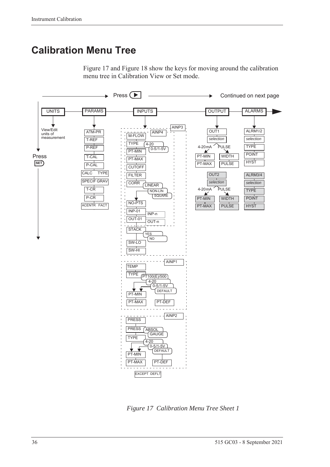## **Calibration Menu Tree**

[Figure 17](#page-45-0) and [Figure 18](#page-46-0) show the keys for moving around the calibration menu tree in Calibration View or Set mode.



<span id="page-45-0"></span>*Figure 17 Calibration Menu Tree Sheet 1*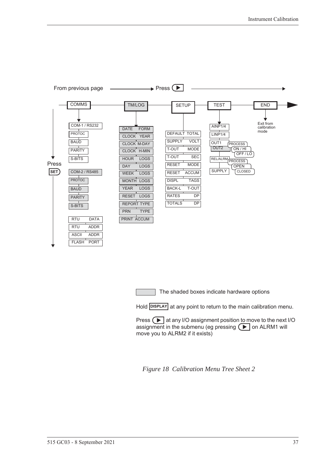

The shaded boxes indicate hardware options

Hold **DISPLAY** at any point to return to the main calibration menu.

Press  $\Box$  at any I/O assignment position to move to the next I/O assignment in the submenu (eg pressing  $\left( \blacktriangleright \right)$  on ALRM1 will move you to ALRM2 if it exists)

<span id="page-46-0"></span>*Figure 18 Calibration Menu Tree Sheet 2*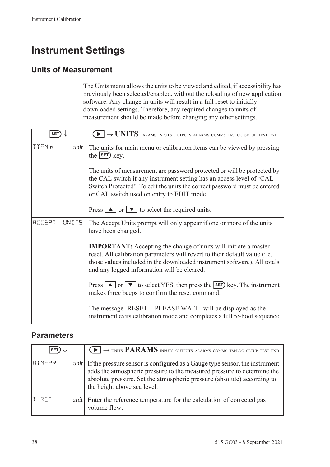## **Instrument Settings**

### **Units of Measurement**

The Units menu allows the units to be viewed and edited, if accessibility has previously been selected/enabled, without the reloading of new application software. Any change in units will result in a full reset to initially downloaded settings. Therefore, any required changes to units of measurement should be made before changing any other settings.

| <b>SET</b>             | $\blacktriangleright$ $\rightarrow$ UNITS params inputs outputs alarms comms tm/log setup test end                                                                                                                                                                              |  |
|------------------------|---------------------------------------------------------------------------------------------------------------------------------------------------------------------------------------------------------------------------------------------------------------------------------|--|
| ITEMn<br>unit          | The units for main menu or calibration items can be viewed by pressing<br>the $\left  \text{set} \right $ key.                                                                                                                                                                  |  |
|                        | The units of measurement are password protected or will be protected by<br>the CAL switch if any instrument setting has an access level of 'CAL<br>Switch Protected'. To edit the units the correct password must be entered<br>or CAL switch used on entry to EDIT mode.       |  |
|                        | Press $\boxed{\blacktriangle}$ or $\boxed{\blacktriangledown}$ to select the required units.                                                                                                                                                                                    |  |
| <b>ACCEPT</b><br>UNIT5 | The Accept Units prompt will only appear if one or more of the units<br>have been changed.                                                                                                                                                                                      |  |
|                        | <b>IMPORTANT:</b> Accepting the change of units will initiate a master<br>reset. All calibration parameters will revert to their default value (i.e.<br>those values included in the downloaded instrument software). All totals<br>and any logged information will be cleared. |  |
|                        | Press $\Box$ or $\nabla$ to select YES, then press the <b>SET</b> ) key. The instrument<br>makes three beeps to confirm the reset command.                                                                                                                                      |  |
|                        | The message -RESET- PLEASE WAIT will be displayed as the<br>instrument exits calibration mode and completes a full re-boot sequence.                                                                                                                                            |  |

### **Parameters**

| <b>SET</b> |      | $\left(\blacktriangleright\right)\rightarrow$ units PARAMS inputs outputs alarms comms tm/log setup test end                                                                                                                                                            |
|------------|------|-------------------------------------------------------------------------------------------------------------------------------------------------------------------------------------------------------------------------------------------------------------------------|
| IATM-PR    |      | $unit$ If the pressure sensor is configured as a Gauge type sensor, the instrument<br>adds the atmospheric pressure to the measured pressure to determine the<br>absolute pressure. Set the atmospheric pressure (absolute) according to<br>the height above sea level. |
| $T-RFF$    | unit | Enter the reference temperature for the calculation of corrected gas<br>volume flow.                                                                                                                                                                                    |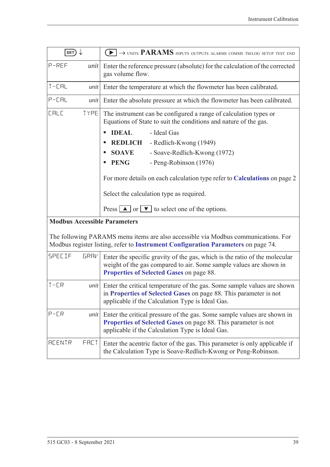| SET)                                | $\blacktriangleright$ $\rightarrow$ units PARAMS inputs outputs alarms comms tm/log setup test end                                                                                                   |  |
|-------------------------------------|------------------------------------------------------------------------------------------------------------------------------------------------------------------------------------------------------|--|
| P-REF<br>unit                       | Enter the reference pressure (absolute) for the calculation of the corrected<br>gas volume flow.                                                                                                     |  |
| $T - L H$<br>unit                   | Enter the temperature at which the flowmeter has been calibrated.                                                                                                                                    |  |
| $P-CHL$<br>unit                     | Enter the absolute pressure at which the flowmeter has been calibrated.                                                                                                                              |  |
| <b>CALC</b><br><b>TYPE</b>          | The instrument can be configured a range of calculation types or<br>Equations of State to suit the conditions and nature of the gas.                                                                 |  |
|                                     | <b>IDEAL</b><br>- Ideal Gas                                                                                                                                                                          |  |
|                                     | <b>REDLICH</b> - Redlich-Kwong (1949)                                                                                                                                                                |  |
|                                     | <b>SOAVE</b><br>- Soave-Redlich-Kwong (1972)                                                                                                                                                         |  |
|                                     | <b>PENG</b><br>- Peng-Robinson (1976)                                                                                                                                                                |  |
|                                     | For more details on each calculation type refer to <b>Calculations</b> on page 2                                                                                                                     |  |
|                                     | Select the calculation type as required.                                                                                                                                                             |  |
|                                     | Press $\boxed{\blacktriangle}$ or $\boxed{\blacktriangledown}$ to select one of the options.                                                                                                         |  |
| <b>Modbus Accessible Parameters</b> |                                                                                                                                                                                                      |  |
|                                     | The following PARAMS menu items are also accessible via Modbus communications. For<br>Modbus register listing, refer to Instrument Configuration Parameters on page 74.                              |  |
| SPECIF<br><b>GRAV</b>               | Enter the specific gravity of the gas, which is the ratio of the molecular<br>weight of the gas compared to air. Some sample values are shown in<br>Properties of Selected Gases on page 88.         |  |
| $T - \square R$<br>unit             | Enter the critical temperature of the gas. Some sample values are shown<br>in Properties of Selected Gases on page 88. This parameter is not<br>applicable if the Calculation Type is Ideal Gas.     |  |
| $P-LR$<br>unit                      | Enter the critical pressure of the gas. Some sample values are shown in<br><b>Properties of Selected Gases on page 88. This parameter is not</b><br>applicable if the Calculation Type is Ideal Gas. |  |
| <b>REENTR</b><br>FACT               | Enter the acentric factor of the gas. This parameter is only applicable if<br>the Calculation Type is Soave-Redlich-Kwong or Peng-Robinson.                                                          |  |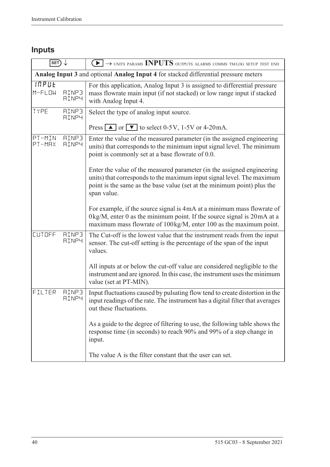## **Inputs**

| SET)              |                              | $\rightarrow$ UNITS PARAMS INPUTS OUTPUTS ALARMS COMMS TM/LOG SETUP TEST END                                                                                                                                                               |  |
|-------------------|------------------------------|--------------------------------------------------------------------------------------------------------------------------------------------------------------------------------------------------------------------------------------------|--|
|                   |                              | Analog Input 3 and optional Analog Input 4 for stacked differential pressure meters                                                                                                                                                        |  |
| INPUE<br>$M-FLUM$ | <b>AINP3</b><br><b>AINP4</b> | For this application, Analog Input 3 is assigned to differential pressure<br>mass flowrate main input (if not stacked) or low range input if stacked<br>with Analog Input 4.                                                               |  |
| TYPE              | <b>AINP3</b><br><b>AINP4</b> | Select the type of analog input source.                                                                                                                                                                                                    |  |
|                   |                              | Press $\boxed{\blacktriangle}$ or $\boxed{\blacktriangledown}$ to select 0-5V, 1-5V or 4-20mA.                                                                                                                                             |  |
| PT-MIN<br>PT-MRX  | <b>AINP3</b><br><b>AINP4</b> | Enter the value of the measured parameter (in the assigned engineering<br>units) that corresponds to the minimum input signal level. The minimum<br>point is commonly set at a base flowrate of 0.0.                                       |  |
|                   |                              | Enter the value of the measured parameter (in the assigned engineering<br>units) that corresponds to the maximum input signal level. The maximum<br>point is the same as the base value (set at the minimum point) plus the<br>span value. |  |
|                   |                              | For example, if the source signal is 4mA at a minimum mass flowrate of<br>$0\text{kg/M}$ , enter 0 as the minimum point. If the source signal is $20\text{mA}$ at a<br>maximum mass flowrate of 100 kg/M, enter 100 as the maximum point.  |  |
| <b>CUTOFF</b>     | <b>AINP3</b><br><b>AINP4</b> | The Cut-off is the lowest value that the instrument reads from the input<br>sensor. The cut-off setting is the percentage of the span of the input<br>values.                                                                              |  |
|                   |                              | All inputs at or below the cut-off value are considered negligible to the<br>instrument and are ignored. In this case, the instrument uses the minimum<br>value (set at PT-MIN).                                                           |  |
| FILTER            | <b>AINP3</b><br><b>AINP4</b> | Input fluctuations caused by pulsating flow tend to create distortion in the<br>input readings of the rate. The instrument has a digital filter that averages<br>out these fluctuations.                                                   |  |
|                   |                              | As a guide to the degree of filtering to use, the following table shows the<br>response time (in seconds) to reach 90% and 99% of a step change in<br>input.                                                                               |  |
|                   |                              | The value A is the filter constant that the user can set.                                                                                                                                                                                  |  |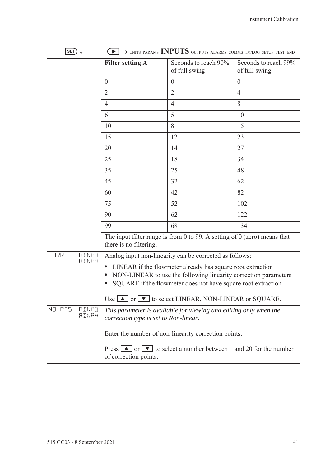| SET)                                        |                                       | $\blacktriangleright$ $\rightarrow$ units params INPUTS outputs alarms comms tm/log setup test end                                                                                                                                                                            |                                       |
|---------------------------------------------|---------------------------------------|-------------------------------------------------------------------------------------------------------------------------------------------------------------------------------------------------------------------------------------------------------------------------------|---------------------------------------|
|                                             | <b>Filter setting A</b>               | Seconds to reach 90%<br>of full swing                                                                                                                                                                                                                                         | Seconds to reach 99%<br>of full swing |
|                                             | $\overline{0}$                        | $\overline{0}$                                                                                                                                                                                                                                                                | $\overline{0}$                        |
|                                             | $\overline{2}$                        | $\overline{2}$                                                                                                                                                                                                                                                                | $\overline{4}$                        |
|                                             | $\overline{4}$                        | $\overline{4}$                                                                                                                                                                                                                                                                | 8                                     |
|                                             | 6                                     | 5                                                                                                                                                                                                                                                                             | 10                                    |
|                                             | 10                                    | 8                                                                                                                                                                                                                                                                             | 15                                    |
|                                             | 15                                    | 12                                                                                                                                                                                                                                                                            | 23                                    |
|                                             | 20                                    | 14                                                                                                                                                                                                                                                                            | 27                                    |
|                                             | 25                                    | 18                                                                                                                                                                                                                                                                            | 34                                    |
|                                             | 35                                    | 25                                                                                                                                                                                                                                                                            | 48                                    |
|                                             | 45                                    | 32                                                                                                                                                                                                                                                                            | 62                                    |
|                                             | 60                                    | 42                                                                                                                                                                                                                                                                            | 82                                    |
|                                             | 75                                    | 52                                                                                                                                                                                                                                                                            | 102                                   |
|                                             | 90                                    | 62                                                                                                                                                                                                                                                                            | 122                                   |
|                                             | 99                                    | 68                                                                                                                                                                                                                                                                            | 134                                   |
|                                             | there is no filtering.                | The input filter range is from 0 to 99. A setting of $0$ (zero) means that                                                                                                                                                                                                    |                                       |
| <b>AINP3</b><br><b>CORR</b><br><b>AINP4</b> |                                       | Analog input non-linearity can be corrected as follows:                                                                                                                                                                                                                       |                                       |
|                                             |                                       | LINEAR if the flowmeter already has square root extraction<br>NON-LINEAR to use the following linearity correction parameters<br>SQUARE if the flowmeter does not have square root extraction<br>Use $\blacksquare$ or $\blacksquare$ to select LINEAR, NON-LINEAR or SQUARE. |                                       |
| NO-PT5<br>RINP3<br><b>AINP4</b>             | correction type is set to Non-linear. | This parameter is available for viewing and editing only when the                                                                                                                                                                                                             |                                       |
|                                             |                                       | Enter the number of non-linearity correction points.                                                                                                                                                                                                                          |                                       |
|                                             | of correction points.                 | Press $\boxed{\blacktriangle}$ or $\boxed{\blacktriangledown}$ to select a number between 1 and 20 for the number                                                                                                                                                             |                                       |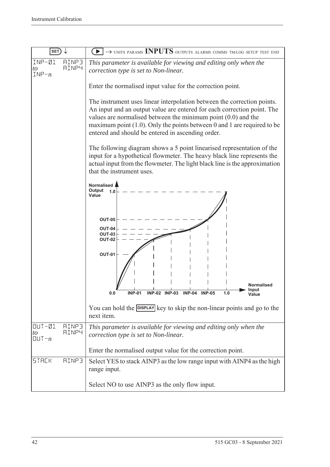| <b>SET</b>                                                                                                                                                                                                                                                                                                                                                                                                                                                                                                                                             | $\rightarrow$ units params INPUTS outputs alarms comms tm/log setup test end                                                                                                                                                                                                                                                                             |
|--------------------------------------------------------------------------------------------------------------------------------------------------------------------------------------------------------------------------------------------------------------------------------------------------------------------------------------------------------------------------------------------------------------------------------------------------------------------------------------------------------------------------------------------------------|----------------------------------------------------------------------------------------------------------------------------------------------------------------------------------------------------------------------------------------------------------------------------------------------------------------------------------------------------------|
| $INP - Q1$<br><b>AINP3</b><br><b>AINP4</b><br>to<br>$INP - n$                                                                                                                                                                                                                                                                                                                                                                                                                                                                                          | This parameter is available for viewing and editing only when the<br>correction type is set to Non-linear.                                                                                                                                                                                                                                               |
|                                                                                                                                                                                                                                                                                                                                                                                                                                                                                                                                                        | Enter the normalised input value for the correction point.                                                                                                                                                                                                                                                                                               |
|                                                                                                                                                                                                                                                                                                                                                                                                                                                                                                                                                        | The instrument uses linear interpolation between the correction points.<br>An input and an output value are entered for each correction point. The<br>values are normalised between the minimum point $(0.0)$ and the<br>maximum point $(1.0)$ . Only the points between 0 and 1 are required to be<br>entered and should be entered in ascending order. |
|                                                                                                                                                                                                                                                                                                                                                                                                                                                                                                                                                        | The following diagram shows a 5 point linearised representation of the<br>input for a hypothetical flowmeter. The heavy black line represents the<br>actual input from the flowmeter. The light black line is the approximation<br>that the instrument uses.                                                                                             |
|                                                                                                                                                                                                                                                                                                                                                                                                                                                                                                                                                        | <b>Normalised</b><br>Output<br>1.0<br>Value                                                                                                                                                                                                                                                                                                              |
|                                                                                                                                                                                                                                                                                                                                                                                                                                                                                                                                                        | <b>OUT-05</b><br>OUT-04                                                                                                                                                                                                                                                                                                                                  |
|                                                                                                                                                                                                                                                                                                                                                                                                                                                                                                                                                        | <b>OUT-03</b><br><b>OUT-02</b>                                                                                                                                                                                                                                                                                                                           |
|                                                                                                                                                                                                                                                                                                                                                                                                                                                                                                                                                        | <b>OUT-01</b>                                                                                                                                                                                                                                                                                                                                            |
|                                                                                                                                                                                                                                                                                                                                                                                                                                                                                                                                                        | <b>Normalised</b><br>Input<br><b>INP-01</b><br><b>INP-02</b><br>INP-04 INP-05<br><b>INP-03</b><br>0.0<br>1.0<br>value                                                                                                                                                                                                                                    |
|                                                                                                                                                                                                                                                                                                                                                                                                                                                                                                                                                        | You can hold the DISPLAY key to skip the non-linear points and go to the<br>next item.                                                                                                                                                                                                                                                                   |
| $[[]] \begin{minipage}{.4\linewidth} \begin{tabular}{l} \hline \multicolumn{3}{c}{\textbf{0} } \multicolumn{3}{c}{\textbf{0} } \multicolumn{3}{c}{\textbf{1}} \end{tabular} \end{minipage} \vspace{0.05in} \begin{minipage}{.4\linewidth} \begin{tabular}{l} \hline \multicolumn{3}{c}{\textbf{0} } \multicolumn{3}{c}{\textbf{1}} \end{tabular} \end{minipage} \vspace{0.05in} \begin{minipage}{.4\linewidth} \begin{tabular}{l} \hline \multicolumn{3}{c}{\textbf{0} } \multicolumn{3}{c$<br><b>AINP3</b><br><b>AINP4</b><br>to<br>$[[] \cup T - n]$ | This parameter is available for viewing and editing only when the<br>correction type is set to Non-linear.                                                                                                                                                                                                                                               |
|                                                                                                                                                                                                                                                                                                                                                                                                                                                                                                                                                        | Enter the normalised output value for the correction point.                                                                                                                                                                                                                                                                                              |
| <b>STACK</b><br><b>AINP3</b>                                                                                                                                                                                                                                                                                                                                                                                                                                                                                                                           | Select YES to stack AINP3 as the low range input with AINP4 as the high<br>range input.                                                                                                                                                                                                                                                                  |
|                                                                                                                                                                                                                                                                                                                                                                                                                                                                                                                                                        | Select NO to use AINP3 as the only flow input.                                                                                                                                                                                                                                                                                                           |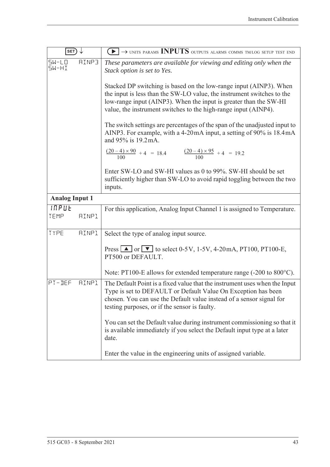| $ $ SET $)$                                                 | $\blacktriangleright$ $\rightarrow$ units params INPUTS outputs alarms comms tm/log setup test end                                                                                                                                                                                   |
|-------------------------------------------------------------|--------------------------------------------------------------------------------------------------------------------------------------------------------------------------------------------------------------------------------------------------------------------------------------|
| <b>AINP3</b><br>$5W - L$ <sup><math>0</math></sup><br>SW-HI | These parameters are available for viewing and editing only when the<br>Stack option is set to Yes.                                                                                                                                                                                  |
|                                                             | Stacked DP switching is based on the low-range input (AINP3). When<br>the input is less than the SW-LO value, the instrument switches to the<br>low-range input (AINP3). When the input is greater than the SW-HI<br>value, the instrument switches to the high-range input (AINP4). |
|                                                             | The switch settings are percentages of the span of the unadjusted input to<br>AINP3. For example, with a 4-20mA input, a setting of 90% is 18.4mA<br>and 95% is 19.2 mA.                                                                                                             |
|                                                             | $\frac{(20-4)\times 90}{100} + 4 = 18.4$ $\frac{(20-4)\times 95}{100} + 4 = 19.2$                                                                                                                                                                                                    |
|                                                             | Enter SW-LO and SW-HI values as 0 to 99%. SW-HI should be set<br>sufficiently higher than SW-LO to avoid rapid toggling between the two<br>inputs.                                                                                                                                   |
| <b>Analog Input 1</b>                                       |                                                                                                                                                                                                                                                                                      |
| INPUE<br>TEMP<br><b>AINP1</b>                               | For this application, Analog Input Channel 1 is assigned to Temperature.                                                                                                                                                                                                             |
| TYPE<br><b>AINP1</b>                                        | Select the type of analog input source.                                                                                                                                                                                                                                              |
|                                                             | Press $\blacksquare$ or $\blacksquare$ to select 0-5V, 1-5V, 4-20mA, PT100, PT100-E,<br>PT500 or DEFAULT.                                                                                                                                                                            |
|                                                             | Note: PT100-E allows for extended temperature range (-200 to 800°C).                                                                                                                                                                                                                 |
| PT-DEF<br><b>AINP1</b>                                      | The Default Point is a fixed value that the instrument uses when the Input<br>Type is set to DEFAULT or Default Value On Exception has been<br>chosen. You can use the Default value instead of a sensor signal for<br>testing purposes, or if the sensor is faulty.                 |
|                                                             | You can set the Default value during instrument commissioning so that it<br>is available immediately if you select the Default input type at a later<br>date.                                                                                                                        |
|                                                             | Enter the value in the engineering units of assigned variable.                                                                                                                                                                                                                       |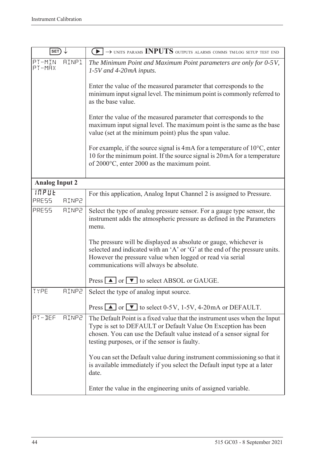| SET                   |              | $\blacktriangleright$ $\rightarrow$ units params INPUTS outputs alarms comms tmlog setup test end                                                                                                                                                                    |
|-----------------------|--------------|----------------------------------------------------------------------------------------------------------------------------------------------------------------------------------------------------------------------------------------------------------------------|
| PT-MIN<br>PT-MRX      | AINP1        | The Minimum Point and Maximum Point parameters are only for 0-5V,<br>$1-5V$ and 4-20mA inputs.                                                                                                                                                                       |
|                       |              | Enter the value of the measured parameter that corresponds to the<br>minimum input signal level. The minimum point is commonly referred to<br>as the base value.                                                                                                     |
|                       |              | Enter the value of the measured parameter that corresponds to the<br>maximum input signal level. The maximum point is the same as the base<br>value (set at the minimum point) plus the span value.                                                                  |
|                       |              | For example, if the source signal is $4mA$ for a temperature of $10^{\circ}$ C, enter<br>10 for the minimum point. If the source signal is 20 mA for a temperature<br>of 2000°C, enter 2000 as the maximum point.                                                    |
| <b>Analog Input 2</b> |              |                                                                                                                                                                                                                                                                      |
| <b>INPUE</b><br>PRESS | <b>AINP2</b> | For this application, Analog Input Channel 2 is assigned to Pressure.                                                                                                                                                                                                |
| PRESS                 | <b>AINP2</b> | Select the type of analog pressure sensor. For a gauge type sensor, the<br>instrument adds the atmospheric pressure as defined in the Parameters<br>menu.                                                                                                            |
|                       |              | The pressure will be displayed as absolute or gauge, whichever is<br>selected and indicated with an 'A' or 'G' at the end of the pressure units.<br>However the pressure value when logged or read via serial<br>communications will always be absolute.             |
|                       |              | Press $\boxed{\blacktriangle}$ or $\boxed{\blacktriangledown}$ to select ABSOL or GAUGE.                                                                                                                                                                             |
| TYPE                  | SANTR        | Select the type of analog input source.                                                                                                                                                                                                                              |
|                       |              | Press $\Box$ or $\nabla$ to select 0-5V, 1-5V, 4-20mA or DEFAULT.                                                                                                                                                                                                    |
| PT-DEF                | <b>AINP2</b> | The Default Point is a fixed value that the instrument uses when the Input<br>Type is set to DEFAULT or Default Value On Exception has been<br>chosen. You can use the Default value instead of a sensor signal for<br>testing purposes, or if the sensor is faulty. |
|                       |              | You can set the Default value during instrument commissioning so that it<br>is available immediately if you select the Default input type at a later<br>date.                                                                                                        |
|                       |              | Enter the value in the engineering units of assigned variable.                                                                                                                                                                                                       |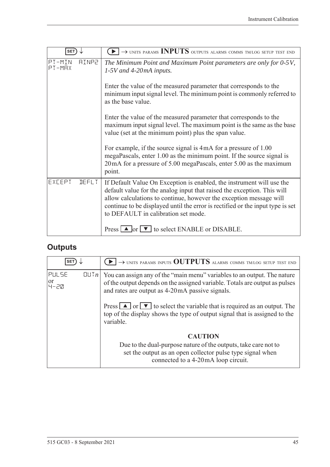| <b>SET</b>                       | $\rightarrow$ units params INPUTS outputs alarms comms tm/log setup test end                                                                                                                                                                                                                                                                    |
|----------------------------------|-------------------------------------------------------------------------------------------------------------------------------------------------------------------------------------------------------------------------------------------------------------------------------------------------------------------------------------------------|
| PT-MIN<br><b>AINP2</b><br>PT-MAX | The Minimum Point and Maximum Point parameters are only for 0-5V,<br>$1-5V$ and 4-20mA inputs.                                                                                                                                                                                                                                                  |
|                                  | Enter the value of the measured parameter that corresponds to the<br>minimum input signal level. The minimum point is commonly referred to<br>as the base value.                                                                                                                                                                                |
|                                  | Enter the value of the measured parameter that corresponds to the<br>maximum input signal level. The maximum point is the same as the base<br>value (set at the minimum point) plus the span value.                                                                                                                                             |
|                                  | For example, if the source signal is 4mA for a pressure of 1.00<br>megaPascals, enter 1.00 as the minimum point. If the source signal is<br>20mA for a pressure of 5.00 megaPascals, enter 5.00 as the maximum<br>point.                                                                                                                        |
| EXCEPT<br><b>DEFLT</b>           | If Default Value On Exception is enabled, the instrument will use the<br>default value for the analog input that raised the exception. This will<br>allow calculations to continue, however the exception message will<br>continue to be displayed until the error is rectified or the input type is set<br>to DEFAULT in calibration set mode. |
|                                  | Press $\Box$ or $\nabla$ to select ENABLE or DISABLE.                                                                                                                                                                                                                                                                                           |

## **Outputs**

| <b>SET</b>            |      | $\rightarrow$ UNITS PARAMS INPUTS OUTPUTS ALARMS COMMS TM/LOG SETUP TEST END                                                                                                                               |
|-----------------------|------|------------------------------------------------------------------------------------------------------------------------------------------------------------------------------------------------------------|
| PULSE<br> or<br> 닉-근Q | [[]] | You can assign any of the "main menu" variables to an output. The nature<br>of the output depends on the assigned variable. Totals are output as pulses<br>and rates are output as 4-20mA passive signals. |
|                       |      | Press $\Box$ or $\nabla$ to select the variable that is required as an output. The<br>top of the display shows the type of output signal that is assigned to the<br>variable.                              |
|                       |      | <b>CAUTION</b><br>Due to the dual-purpose nature of the outputs, take care not to<br>set the output as an open collector pulse type signal when<br>connected to a 4-20mA loop circuit.                     |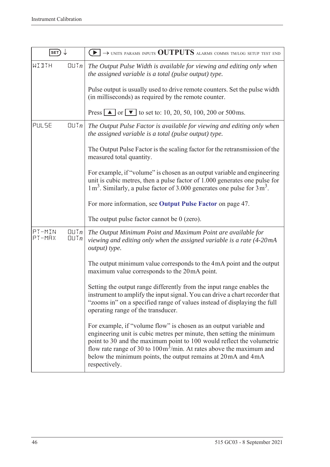| SET)             |                                           | $\rightarrow$ units params inputs OUTPUTS alarms comms tm/log setup test end<br>$\blacktriangleright$ 1                                                                                                                                                                                                                                                                                         |
|------------------|-------------------------------------------|-------------------------------------------------------------------------------------------------------------------------------------------------------------------------------------------------------------------------------------------------------------------------------------------------------------------------------------------------------------------------------------------------|
| WIJTH            | QUTn                                      | The Output Pulse Width is available for viewing and editing only when<br>the assigned variable is a total (pulse output) type.                                                                                                                                                                                                                                                                  |
|                  |                                           | Pulse output is usually used to drive remote counters. Set the pulse width<br>(in milliseconds) as required by the remote counter.                                                                                                                                                                                                                                                              |
|                  |                                           | Press $\triangle$ or $\triangledown$ to set to: 10, 20, 50, 100, 200 or 500 ms.                                                                                                                                                                                                                                                                                                                 |
| PULSE            | QUTn                                      | The Output Pulse Factor is available for viewing and editing only when<br>the assigned variable is a total (pulse output) type.                                                                                                                                                                                                                                                                 |
|                  |                                           | The Output Pulse Factor is the scaling factor for the retransmission of the<br>measured total quantity.                                                                                                                                                                                                                                                                                         |
|                  |                                           | For example, if "volume" is chosen as an output variable and engineering<br>unit is cubic metres, then a pulse factor of 1.000 generates one pulse for<br>$1 \text{ m}^3$ . Similarly, a pulse factor of 3.000 generates one pulse for $3 \text{ m}^3$ .                                                                                                                                        |
|                  |                                           | For more information, see Output Pulse Factor on page 47.                                                                                                                                                                                                                                                                                                                                       |
|                  |                                           | The output pulse factor cannot be $0$ (zero).                                                                                                                                                                                                                                                                                                                                                   |
| PT-MIN<br>PT-MRX | $\Box$ l $Tn$<br>$\Box$ $\Box$ $\Box$ $n$ | The Output Minimum Point and Maximum Point are available for<br>viewing and editing only when the assigned variable is a rate (4-20mA<br>output) type.                                                                                                                                                                                                                                          |
|                  |                                           | The output minimum value corresponds to the 4mA point and the output<br>maximum value corresponds to the 20mA point.                                                                                                                                                                                                                                                                            |
|                  |                                           | Setting the output range differently from the input range enables the<br>instrument to amplify the input signal. You can drive a chart recorder that<br>"zooms in" on a specified range of values instead of displaying the full<br>operating range of the transducer.                                                                                                                          |
|                  |                                           | For example, if "volume flow" is chosen as an output variable and<br>engineering unit is cubic metres per minute, then setting the minimum<br>point to 30 and the maximum point to 100 would reflect the volumetric<br>flow rate range of 30 to $100 \text{m}^3/\text{min}$ . At rates above the maximum and<br>below the minimum points, the output remains at 20 mA and 4 mA<br>respectively. |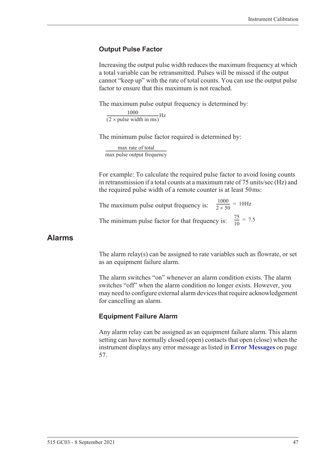#### <span id="page-56-0"></span>**Output Pulse Factor**

Increasing the output pulse width reduces the maximum frequency at which a total variable can be retransmitted. Pulses will be missed if the output cannot "keep up" with the rate of total counts. You can use the output pulse factor to ensure that this maximum is not reached.

The maximum pulse output frequency is determined by:

 $\frac{1000}{(2 \times \text{pulse width in ms)}}$ Hz

The minimum pulse factor required is determined by:

max rate of total max pulse output frequency ------------------------------------------------------------------

For example: To calculate the required pulse factor to avoid losing counts in retransmission if a total counts at a maximum rate of 75 units/sec (Hz) and the required pulse width of a remote counter is at least 50 ms:

The maximum pulse output frequency is:  $\frac{1000}{2 \times 50}$  = 10Hz The minimum pulse factor for that frequency is:  $\frac{75}{10}$  $\frac{73}{10}$  = 7.5

#### **Alarms**

The alarm relay(s) can be assigned to rate variables such as flowrate, or set as an equipment failure alarm.

The alarm switches "on" whenever an alarm condition exists. The alarm switches "off" when the alarm condition no longer exists. However, you may need to configure external alarm devices that require acknowledgement for cancelling an alarm.

#### **Equipment Failure Alarm**

Any alarm relay can be assigned as an equipment failure alarm. This alarm setting can have normally closed (open) contacts that open (close) when the instrument displays any error message as listed in **[Error Messages](#page-66-0)** on page [57.](#page-66-0)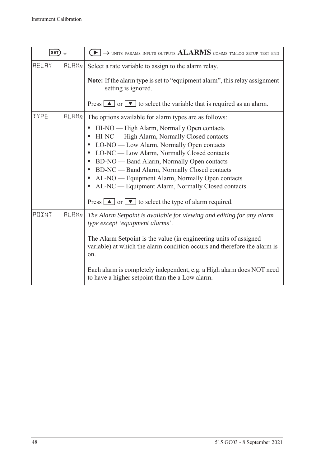| SET)  |       | $\rightarrow$ units params inputs outputs $\rm ALARMS$ comms tm/log setup test end                                                                                                                                                                                                                                                                                                                                                                                                                                                                                                                  |
|-------|-------|-----------------------------------------------------------------------------------------------------------------------------------------------------------------------------------------------------------------------------------------------------------------------------------------------------------------------------------------------------------------------------------------------------------------------------------------------------------------------------------------------------------------------------------------------------------------------------------------------------|
| RELAY | HLRMn | Select a rate variable to assign to the alarm relay.<br><b>Note:</b> If the alarm type is set to "equipment alarm", this relay assignment<br>setting is ignored.<br>Press $\boxed{\blacktriangle}$ or $\boxed{\blacktriangledown}$ to select the variable that is required as an alarm.                                                                                                                                                                                                                                                                                                             |
| TYPE  | HLRMn | The options available for alarm types are as follows:<br>HI-NO — High Alarm, Normally Open contacts<br>HI-NC — High Alarm, Normally Closed contacts<br>$\bullet$<br>LO-NO — Low Alarm, Normally Open contacts<br>$\bullet$<br>LO-NC — Low Alarm, Normally Closed contacts<br>BD-NO — Band Alarm, Normally Open contacts<br>$\bullet$<br>BD-NC — Band Alarm, Normally Closed contacts<br>$\bullet$<br>AL-NO — Equipment Alarm, Normally Open contacts<br>$\bullet$<br>AL-NC — Equipment Alarm, Normally Closed contacts<br>$\bullet$<br>Press $\Box$ or $\Box$ to select the type of alarm required. |
| POINT | HLRMn | The Alarm Setpoint is available for viewing and editing for any alarm<br>type except 'equipment alarms'.<br>The Alarm Setpoint is the value (in engineering units of assigned<br>variable) at which the alarm condition occurs and therefore the alarm is<br>on.<br>Each alarm is completely independent, e.g. a High alarm does NOT need<br>to have a higher setpoint than the a Low alarm.                                                                                                                                                                                                        |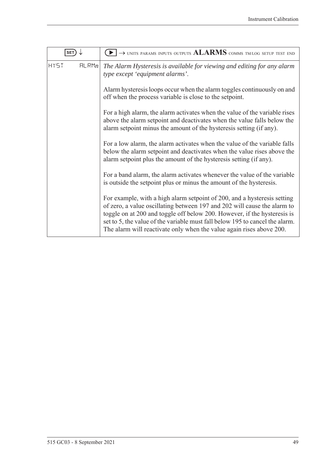| <b>SET</b>           | $\blacktriangleright$ $\rightarrow$ units params inputs outputs $ALARMS$ comms tm/log setup test end                                                                                                                                                                                                                                                                                     |
|----------------------|------------------------------------------------------------------------------------------------------------------------------------------------------------------------------------------------------------------------------------------------------------------------------------------------------------------------------------------------------------------------------------------|
| <b>HY5T</b><br>FLRMn | The Alarm Hysteresis is available for viewing and editing for any alarm<br>type except 'equipment alarms'.                                                                                                                                                                                                                                                                               |
|                      | Alarm hysteresis loops occur when the alarm toggles continuously on and<br>off when the process variable is close to the setpoint.                                                                                                                                                                                                                                                       |
|                      | For a high alarm, the alarm activates when the value of the variable rises<br>above the alarm setpoint and deactivates when the value falls below the<br>alarm setpoint minus the amount of the hysteresis setting (if any).                                                                                                                                                             |
|                      | For a low alarm, the alarm activates when the value of the variable falls<br>below the alarm setpoint and deactivates when the value rises above the<br>alarm setpoint plus the amount of the hysteresis setting (if any).                                                                                                                                                               |
|                      | For a band alarm, the alarm activates whenever the value of the variable<br>is outside the setpoint plus or minus the amount of the hysteresis.                                                                                                                                                                                                                                          |
|                      | For example, with a high alarm setpoint of 200, and a hysteresis setting<br>of zero, a value oscillating between 197 and 202 will cause the alarm to<br>toggle on at 200 and toggle off below 200. However, if the hysteresis is<br>set to 5, the value of the variable must fall below 195 to cancel the alarm.<br>The alarm will reactivate only when the value again rises above 200. |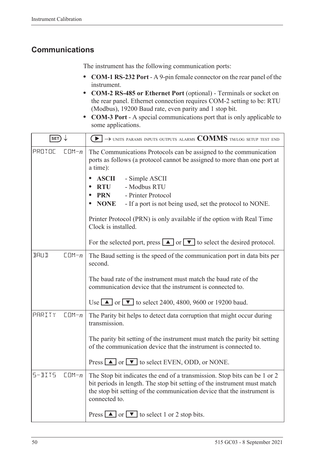### **Communications**

The instrument has the following communication ports:

- **• COM-1 RS-232 Port** A 9-pin female connector on the rear panel of the instrument.
- **• COM-2 RS-485 or Ethernet Port** (optional) Terminals or socket on the rear panel. Ethernet connection requires COM-2 setting to be: RTU (Modbus), 19200 Baud rate, even parity and 1 stop bit.
- **• COM-3 Port** A special communications port that is only applicable to some applications.

| SET)                               | $\left(\blacktriangleright\right)\rightarrow$ units params inputs outputs alarms $\text{COMMS}$ tm/log setup test end                                                                                                                             |
|------------------------------------|---------------------------------------------------------------------------------------------------------------------------------------------------------------------------------------------------------------------------------------------------|
| PROTOC<br>$CDM - n$                | The Communications Protocols can be assigned to the communication<br>ports as follows (a protocol cannot be assigned to more than one port at<br>a time):                                                                                         |
|                                    | <b>ASCII</b><br>- Simple ASCII<br>- Modbus RTU<br><b>RTU</b><br>- Printer Protocol<br><b>PRN</b><br><b>NONE</b><br>- If a port is not being used, set the protocol to NONE.                                                                       |
|                                    | Printer Protocol (PRN) is only available if the option with Real Time<br>Clock is installed.                                                                                                                                                      |
|                                    | For the selected port, press $\Box$ or $\Box$ to select the desired protocol.                                                                                                                                                                     |
| $CDM - n$<br><b>BAUD</b>           | The Baud setting is the speed of the communication port in data bits per<br>second.                                                                                                                                                               |
|                                    | The baud rate of the instrument must match the baud rate of the<br>communication device that the instrument is connected to.                                                                                                                      |
|                                    | Use 1 or $\bullet$ or $\bullet$ to select 2400, 4800, 9600 or 19200 baud.                                                                                                                                                                         |
| PARITY<br>$CDM - n$                | The Parity bit helps to detect data corruption that might occur during<br>transmission.                                                                                                                                                           |
|                                    | The parity bit setting of the instrument must match the parity bit setting<br>of the communication device that the instrument is connected to.                                                                                                    |
|                                    | Press $\Box$ or $\nabla$ to select EVEN, ODD, or NONE.                                                                                                                                                                                            |
| $5 - B1$ <sup>T</sup><br>$CDM - n$ | The Stop bit indicates the end of a transmission. Stop bits can be 1 or 2<br>bit periods in length. The stop bit setting of the instrument must match<br>the stop bit setting of the communication device that the instrument is<br>connected to. |
|                                    | Press $\boxed{\blacktriangle}$ or $\boxed{\blacktriangledown}$ to select 1 or 2 stop bits.                                                                                                                                                        |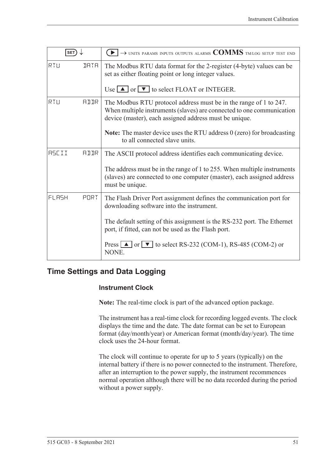| <b>SET</b>   |             | $\rightarrow$ units params inputs outputs alarms $\text{COMMS}$ tm/log setup test end                                                                                                                |
|--------------|-------------|------------------------------------------------------------------------------------------------------------------------------------------------------------------------------------------------------|
| RTU          | <b>JATA</b> | The Modbus RTU data format for the 2-register (4-byte) values can be<br>set as either floating point or long integer values.                                                                         |
|              |             | Use $\Box$ or $\nabla$ to select FLOAT or INTEGER.                                                                                                                                                   |
| RTU          | <b>ALLR</b> | The Modbus RTU protocol address must be in the range of 1 to 247.<br>When multiple instruments (slaves) are connected to one communication<br>device (master), each assigned address must be unique. |
|              |             | <b>Note:</b> The master device uses the RTU address 0 (zero) for broadcasting<br>to all connected slave units.                                                                                       |
| <b>ASCII</b> | AIIR        | The ASCII protocol address identifies each communicating device.                                                                                                                                     |
|              |             | The address must be in the range of 1 to 255. When multiple instruments<br>(slaves) are connected to one computer (master), each assigned address<br>must be unique.                                 |
| FLASH        | PORT        | The Flash Driver Port assignment defines the communication port for<br>downloading software into the instrument.                                                                                     |
|              |             | The default setting of this assignment is the RS-232 port. The Ethernet<br>port, if fitted, can not be used as the Flash port.                                                                       |
|              |             | Press $\Box$ or $\nabla$ to select RS-232 (COM-1), RS-485 (COM-2) or<br>NONE.                                                                                                                        |

### **Time Settings and Data Logging**

#### **Instrument Clock**

**Note:** The real-time clock is part of the advanced option package.

The instrument has a real-time clock for recording logged events. The clock displays the time and the date. The date format can be set to European format (day/month/year) or American format (month/day/year). The time clock uses the 24-hour format.

The clock will continue to operate for up to 5 years (typically) on the internal battery if there is no power connected to the instrument. Therefore, after an interruption to the power supply, the instrument recommences normal operation although there will be no data recorded during the period without a power supply.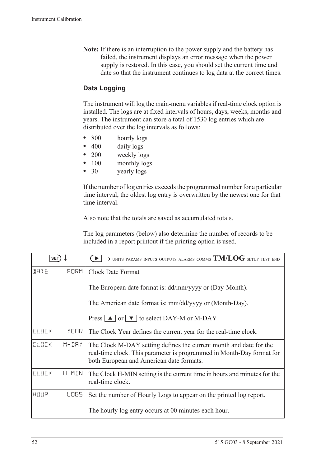**Note:** If there is an interruption to the power supply and the battery has failed, the instrument displays an error message when the power supply is restored. In this case, you should set the current time and date so that the instrument continues to log data at the correct times.

#### **Data Logging**

The instrument will log the main-menu variables if real-time clock option is installed. The logs are at fixed intervals of hours, days, weeks, months and years. The instrument can store a total of 1530 log entries which are distributed over the log intervals as follows:

- 800 hourly logs
- 400 daily logs
- 200 weekly logs
- 100 monthly logs
- 30 yearly logs

If the number of log entries exceeds the programmed number for a particular time interval, the oldest log entry is overwritten by the newest one for that time interval.

Also note that the totals are saved as accumulated totals.

The log parameters (below) also determine the number of records to be included in a report printout if the printing option is used.

| <b>SET</b>   |           | $\rightarrow$ units params inputs outputs alarms comms $TM/LOG$ setup test end                                                                                                          |
|--------------|-----------|-----------------------------------------------------------------------------------------------------------------------------------------------------------------------------------------|
| <b>JATE</b>  | FORM      | <b>Clock Date Format</b>                                                                                                                                                                |
|              |           | The European date format is: dd/mm/yyyy or (Day-Month).                                                                                                                                 |
|              |           | The American date format is: mm/dd/yyyy or (Month-Day).                                                                                                                                 |
|              |           | Press $\Delta$ or $\nabla$ to select DAY-M or M-DAY                                                                                                                                     |
| <b>ELDEK</b> | YEAR      | The Clock Year defines the current year for the real-time clock.                                                                                                                        |
| <b>CLOCK</b> | $M - JHY$ | The Clock M-DAY setting defines the current month and date for the<br>real-time clock. This parameter is programmed in Month-Day format for<br>both European and American date formats. |
| <b>ELDEK</b> | H-MIN     | The Clock H-MIN setting is the current time in hours and minutes for the<br>real-time clock.                                                                                            |
| HOUR         | LOG5      | Set the number of Hourly Logs to appear on the printed log report.                                                                                                                      |
|              |           | The hourly log entry occurs at 00 minutes each hour.                                                                                                                                    |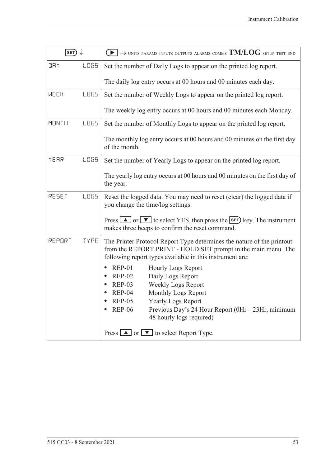| SET)         |             | $\left\{ \blacktriangleright\right\} \rightarrow$ units params inputs outputs alarms comms $\text{TM}/\text{LOG}$ setup test end                                                                                                                                                                                                |
|--------------|-------------|---------------------------------------------------------------------------------------------------------------------------------------------------------------------------------------------------------------------------------------------------------------------------------------------------------------------------------|
| <b>IRY</b>   | <b>LOGS</b> | Set the number of Daily Logs to appear on the printed log report.                                                                                                                                                                                                                                                               |
|              |             | The daily log entry occurs at 00 hours and 00 minutes each day.                                                                                                                                                                                                                                                                 |
| <b>WEEK</b>  | <b>LOGS</b> | Set the number of Weekly Logs to appear on the printed log report.                                                                                                                                                                                                                                                              |
|              |             | The weekly log entry occurs at 00 hours and 00 minutes each Monday.                                                                                                                                                                                                                                                             |
| <b>MONTH</b> | <b>LOGS</b> | Set the number of Monthly Logs to appear on the printed log report.                                                                                                                                                                                                                                                             |
|              |             | The monthly log entry occurs at 00 hours and 00 minutes on the first day<br>of the month.                                                                                                                                                                                                                                       |
| YEAR         | <b>LOGS</b> | Set the number of Yearly Logs to appear on the printed log report.                                                                                                                                                                                                                                                              |
|              |             | The yearly log entry occurs at 00 hours and 00 minutes on the first day of<br>the year.                                                                                                                                                                                                                                         |
| RESET        | <b>LOGS</b> | Reset the logged data. You may need to reset (clear) the logged data if<br>you change the time/log settings.                                                                                                                                                                                                                    |
|              |             | Press $\Box$ or $\nabla$ to select YES, then press the <b>SET</b> ) key. The instrument<br>makes three beeps to confirm the reset command.                                                                                                                                                                                      |
| REPORT       | <b>TYPE</b> | The Printer Protocol Report Type determines the nature of the printout<br>from the REPORT PRINT - HOLD.SET prompt in the main menu. The<br>following report types available in this instrument are:                                                                                                                             |
|              |             | $REP-01$<br><b>Hourly Logs Report</b><br>$\bullet$<br>Daily Logs Report<br><b>REP-02</b><br><b>Weekly Logs Report</b><br><b>REP-03</b><br><b>REP-04</b><br>Monthly Logs Report<br><b>REP-05</b><br><b>Yearly Logs Report</b><br><b>REP-06</b><br>Previous Day's 24 Hour Report (0Hr - 23Hr, minimum<br>48 hourly logs required) |
|              |             | Press $\boxed{\blacktriangle}$ or $\boxed{\blacktriangledown}$ to select Report Type.                                                                                                                                                                                                                                           |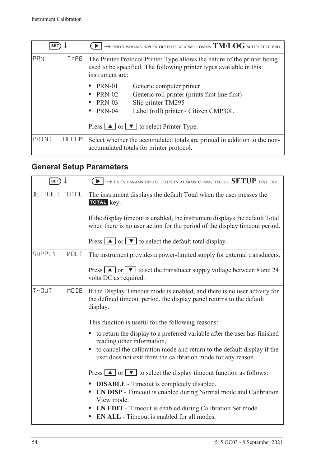|       | <b>SET</b>   | $\rightarrow$ units params inputs outputs alarms comms $\mathrm{TM}/\mathrm{LOG}$ setup test end                                                                   |
|-------|--------------|--------------------------------------------------------------------------------------------------------------------------------------------------------------------|
| PRN   | <b>TYPE</b>  | The Printer Protocol Printer Type allows the nature of the printer being<br>used to be specified. The following printer types available in this<br>instrument are: |
|       |              | <b>PRN-01</b><br>Generic computer printer<br>$\bullet$                                                                                                             |
|       |              | <b>PRN-02</b><br>Generic roll printer (prints first line first)<br>$\bullet$                                                                                       |
|       |              | Slip printer TM295<br><b>PRN-03</b><br>٠                                                                                                                           |
|       |              | <b>PRN-04</b><br>Label (roll) printer - Citizen CMP30L<br>$\bullet$                                                                                                |
|       |              | Press $\boxed{\blacktriangle}$ or $\boxed{\blacktriangledown}$ to select Printer Type.                                                                             |
| PRINT | <b>ACCUM</b> | Select whether the accumulated totals are printed in addition to the non-<br>accumulated totals for printer protocol.                                              |

## <span id="page-63-0"></span>**General Setup Parameters**

| SET) $\downarrow$                | $\rightarrow$ units params inputs outputs alarms comms tm/log SETUP test end                                                                                       |
|----------------------------------|--------------------------------------------------------------------------------------------------------------------------------------------------------------------|
| DEFAULT TOTAL                    | The instrument displays the default Total when the user presses the<br>TOTAL key.                                                                                  |
|                                  | If the display timeout is enabled, the instrument displays the default Total<br>when there is no user action for the period of the display timeout period.         |
|                                  | Press $\boxed{\blacktriangle}$ or $\boxed{\blacktriangledown}$ to select the default total display.                                                                |
| <b>SUPPLY</b><br>$V \square L$ T | The instrument provides a power-limited supply for external transducers.                                                                                           |
|                                  | Press $\Box$ or $\Box$ to set the transducer supply voltage between 8 and 24<br>volts DC as required.                                                              |
| $T - 11T$<br>MODE                | If the Display Timeout mode is enabled, and there is no user activity for<br>the defined timeout period, the display panel returns to the default<br>display.      |
|                                  | This function is useful for the following reasons:                                                                                                                 |
|                                  | to return the display to a preferred variable after the user has finished<br>$\bullet$<br>reading other information,                                               |
|                                  | to cancel the calibration mode and return to the default display if the<br>user does not exit from the calibration mode for any reason.                            |
|                                  | Press $\boxed{\blacktriangle}$ or $\boxed{\blacktriangledown}$ to select the display timeout function as follows:                                                  |
|                                  | <b>DISABLE</b> - Timeout is completely disabled.<br>$\bullet$<br><b>EN DISP</b> - Timeout is enabled during Normal mode and Calibration<br>$\bullet$<br>View mode. |
|                                  | <b>EN EDIT</b> - Timeout is enabled during Calibration Set mode.<br><b>EN ALL</b> - Timeout is enabled for all modes.                                              |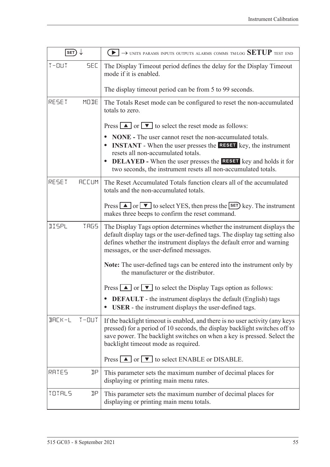| SET)          |              |                                                                                                                                                                                                                                                                                                                                                     |
|---------------|--------------|-----------------------------------------------------------------------------------------------------------------------------------------------------------------------------------------------------------------------------------------------------------------------------------------------------------------------------------------------------|
| $T - 111T$    | <b>SEC</b>   | The Display Timeout period defines the delay for the Display Timeout<br>mode if it is enabled.                                                                                                                                                                                                                                                      |
|               |              | The display timeout period can be from 5 to 99 seconds.                                                                                                                                                                                                                                                                                             |
| RESET         | MODE         | The Totals Reset mode can be configured to reset the non-accumulated<br>totals to zero.                                                                                                                                                                                                                                                             |
|               |              | Press $\boxed{\blacktriangle}$ or $\boxed{\blacktriangledown}$ to select the reset mode as follows:                                                                                                                                                                                                                                                 |
|               |              | <b>NONE</b> - The user cannot reset the non-accumulated totals.<br><b>INSTANT</b> - When the user presses the <b>RESET</b> key, the instrument<br>resets all non-accumulated totals.<br><b>DELAYED</b> - When the user presses the <b>RESET</b> key and holds it for<br>$\bullet$<br>two seconds, the instrument resets all non-accumulated totals. |
| RESET         | <b>REEUM</b> | The Reset Accumulated Totals function clears all of the accumulated<br>totals and the non-accumulated totals.                                                                                                                                                                                                                                       |
|               |              | Press $\Box$ or $\nabla$ to select YES, then press the <b>SET</b> ) key. The instrument<br>makes three beeps to confirm the reset command.                                                                                                                                                                                                          |
| <b>IISPL</b>  | <b>TRGS</b>  | The Display Tags option determines whether the instrument displays the<br>default display tags or the user-defined tags. The display tag setting also<br>defines whether the instrument displays the default error and warning<br>messages, or the user-defined messages.                                                                           |
|               |              | Note: The user-defined tags can be entered into the instrument only by<br>the manufacturer or the distributor.                                                                                                                                                                                                                                      |
|               |              | Press $\Box$ or $\Box$ to select the Display Tags option as follows:                                                                                                                                                                                                                                                                                |
|               |              | <b>DEFAULT</b> - the instrument displays the default (English) tags<br><b>USER</b> - the instrument displays the user-defined tags.                                                                                                                                                                                                                 |
| $B H L K - L$ | $T - 11T$    | If the backlight timeout is enabled, and there is no user activity (any keys<br>pressed) for a period of 10 seconds, the display backlight switches off to<br>save power. The backlight switches on when a key is pressed. Select the<br>backlight timeout mode as required.                                                                        |
|               |              | Press $\Box$ or $\Box$ to select ENABLE or DISABLE.                                                                                                                                                                                                                                                                                                 |
| RATES         | IJΡ          | This parameter sets the maximum number of decimal places for<br>displaying or printing main menu rates.                                                                                                                                                                                                                                             |
| TOTALS        | IJΡ          | This parameter sets the maximum number of decimal places for<br>displaying or printing main menu totals.                                                                                                                                                                                                                                            |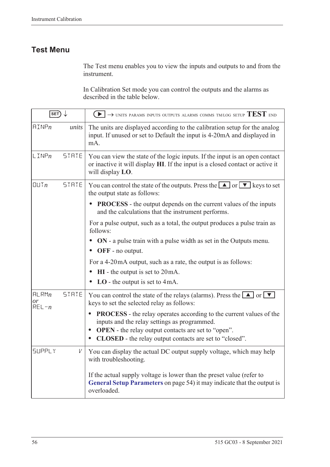### **Test Menu**

The Test menu enables you to view the inputs and outputs to and from the instrument.

In Calibration Set mode you can control the outputs and the alarms as described in the table below.

| $SET) \downarrow$        |              | $\blacktriangleright$ $\rightarrow$ units params inputs outputs alarms comms tm/log setup TEST end                                                                                                                                                               |
|--------------------------|--------------|------------------------------------------------------------------------------------------------------------------------------------------------------------------------------------------------------------------------------------------------------------------|
| $\text{HIMP}_n$          | units        | The units are displayed according to the calibration setup for the analog<br>input. If unused or set to Default the input is 4-20mA and displayed in<br>mA.                                                                                                      |
| $L$ INP $n$              | <b>STRTE</b> | You can view the state of the logic inputs. If the input is an open contact<br>or inactive it will display HI. If the input is a closed contact or active it<br>will display LO.                                                                                 |
| UITn                     | STRTE        | You can control the state of the outputs. Press the $\Box$ or $\nabla$ keys to set<br>the output state as follows:                                                                                                                                               |
|                          |              | <b>PROCESS</b> - the output depends on the current values of the inputs<br>and the calculations that the instrument performs.                                                                                                                                    |
|                          |              | For a pulse output, such as a total, the output produces a pulse train as<br>follows:                                                                                                                                                                            |
|                          |              | ON - a pulse train with a pulse width as set in the Outputs menu.<br><b>OFF</b> - no output.                                                                                                                                                                     |
|                          |              | For a 4-20 mA output, such as a rate, the output is as follows:                                                                                                                                                                                                  |
|                          |              | $HI$ - the output is set to $20mA$ .                                                                                                                                                                                                                             |
|                          |              | $LO$ - the output is set to 4mA.                                                                                                                                                                                                                                 |
| HLRMn<br>or<br>$REL - n$ | STRTE        | You can control the state of the relays (alarms). Press the $\Box$ or $\nabla$<br>keys to set the selected relay as follows:                                                                                                                                     |
|                          |              | <b>PROCESS</b> - the relay operates according to the current values of the<br>inputs and the relay settings as programmed.<br><b>OPEN</b> - the relay output contacts are set to "open".<br>$\bullet$<br>CLOSED - the relay output contacts are set to "closed". |
| <b>SUPPLY</b>            | V            | You can display the actual DC output supply voltage, which may help<br>with troubleshooting.                                                                                                                                                                     |
|                          |              | If the actual supply voltage is lower than the preset value (refer to<br>General Setup Parameters on page 54) it may indicate that the output is<br>overloaded.                                                                                                  |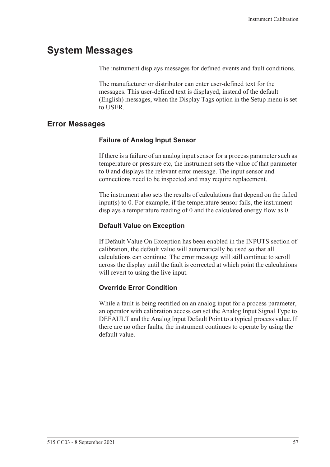## **System Messages**

The instrument displays messages for defined events and fault conditions.

The manufacturer or distributor can enter user-defined text for the messages. This user-defined text is displayed, instead of the default (English) messages, when the Display Tags option in the Setup menu is set to USER.

### <span id="page-66-0"></span>**Error Messages**

#### **Failure of Analog Input Sensor**

If there is a failure of an analog input sensor for a process parameter such as temperature or pressure etc, the instrument sets the value of that parameter to 0 and displays the relevant error message. The input sensor and connections need to be inspected and may require replacement.

The instrument also sets the results of calculations that depend on the failed input(s) to 0. For example, if the temperature sensor fails, the instrument displays a temperature reading of 0 and the calculated energy flow as 0.

#### **Default Value on Exception**

If Default Value On Exception has been enabled in the INPUTS section of calibration, the default value will automatically be used so that all calculations can continue. The error message will still continue to scroll across the display until the fault is corrected at which point the calculations will revert to using the live input.

#### **Override Error Condition**

While a fault is being rectified on an analog input for a process parameter, an operator with calibration access can set the Analog Input Signal Type to DEFAULT and the Analog Input Default Point to a typical process value. If there are no other faults, the instrument continues to operate by using the default value.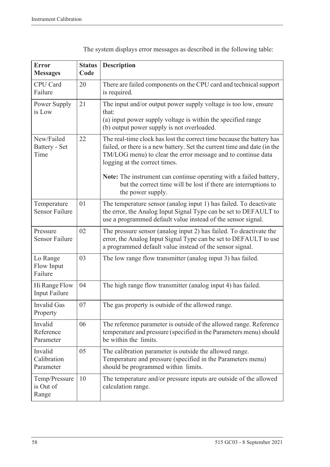| <b>Error</b><br><b>Messages</b>       | <b>Status</b><br>Code | <b>Description</b>                                                                                                                                                                                                                                 |
|---------------------------------------|-----------------------|----------------------------------------------------------------------------------------------------------------------------------------------------------------------------------------------------------------------------------------------------|
| CPU Card<br>Failure                   | 20                    | There are failed components on the CPU card and technical support<br>is required.                                                                                                                                                                  |
| Power Supply<br>is Low                | 21                    | The input and/or output power supply voltage is too low, ensure<br>that:<br>(a) input power supply voltage is within the specified range<br>(b) output power supply is not overloaded.                                                             |
| New/Failed<br>Battery - Set<br>Time   | 22                    | The real-time clock has lost the correct time because the battery has<br>failed, or there is a new battery. Set the current time and date (in the<br>TM/LOG menu) to clear the error message and to continue data<br>logging at the correct times. |
|                                       |                       | Note: The instrument can continue operating with a failed battery,<br>but the correct time will be lost if there are interruptions to<br>the power supply.                                                                                         |
| Temperature<br><b>Sensor Failure</b>  | 01                    | The temperature sensor (analog input 1) has failed. To deactivate<br>the error, the Analog Input Signal Type can be set to DEFAULT to<br>use a programmed default value instead of the sensor signal.                                              |
| Pressure<br><b>Sensor Failure</b>     | 02                    | The pressure sensor (analog input 2) has failed. To deactivate the<br>error, the Analog Input Signal Type can be set to DEFAULT to use<br>a programmed default value instead of the sensor signal.                                                 |
| Lo Range<br>Flow Input<br>Failure     | 03                    | The low range flow transmitter (analog input 3) has failed.                                                                                                                                                                                        |
| Hi Range Flow<br><b>Input Failure</b> | 04                    | The high range flow transmitter (analog input 4) has failed.                                                                                                                                                                                       |
| <b>Invalid Gas</b><br>Property        | 07                    | The gas property is outside of the allowed range.                                                                                                                                                                                                  |
| Invalid<br>Reference<br>Parameter     | 06                    | The reference parameter is outside of the allowed range. Reference<br>temperature and pressure (specified in the Parameters menu) should<br>be within the limits.                                                                                  |
| Invalid<br>Calibration<br>Parameter   | 05                    | The calibration parameter is outside the allowed range.<br>Temperature and pressure (specified in the Parameters menu)<br>should be programmed within limits.                                                                                      |
| Temp/Pressure<br>is Out of<br>Range   | 10                    | The temperature and/or pressure inputs are outside of the allowed<br>calculation range.                                                                                                                                                            |

The system displays error messages as described in the following table: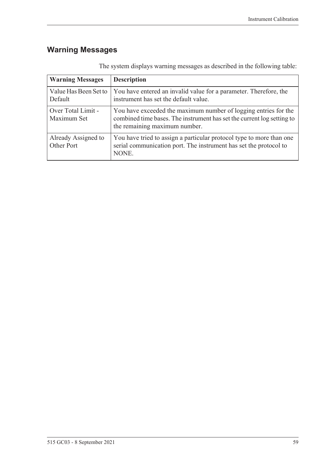## **Warning Messages**

| <b>Warning Messages</b>           | <b>Description</b>                                                                                                                                                         |
|-----------------------------------|----------------------------------------------------------------------------------------------------------------------------------------------------------------------------|
| Value Has Been Set to<br>Default  | You have entered an invalid value for a parameter. Therefore, the<br>instrument has set the default value.                                                                 |
| Over Total Limit -<br>Maximum Set | You have exceeded the maximum number of logging entries for the<br>combined time bases. The instrument has set the current log setting to<br>the remaining maximum number. |
| Already Assigned to<br>Other Port | You have tried to assign a particular protocol type to more than one<br>serial communication port. The instrument has set the protocol to<br>NONE.                         |

The system displays warning messages as described in the following table: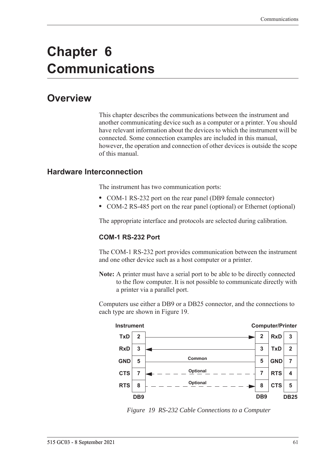# **Chapter 6 Communications**

## **Overview**

This chapter describes the communications between the instrument and another communicating device such as a computer or a printer. You should have relevant information about the devices to which the instrument will be connected. Some connection examples are included in this manual, however, the operation and connection of other devices is outside the scope of this manual.

#### **Hardware Interconnection**

The instrument has two communication ports:

- **•** COM-1 RS-232 port on the rear panel (DB9 female connector)
- **•** COM-2 RS-485 port on the rear panel (optional) or Ethernet (optional)

The appropriate interface and protocols are selected during calibration.

#### **COM-1 RS-232 Port**

The COM-1 RS-232 port provides communication between the instrument and one other device such as a host computer or a printer.

**Note:** A printer must have a serial port to be able to be directly connected to the flow computer. It is not possible to communicate directly with a printer via a parallel port.

Computers use either a DB9 or a DB25 connector, and the connections to each type are shown in [Figure 19.](#page-70-0)



<span id="page-70-0"></span>*Figure 19 RS-232 Cable Connections to a Computer*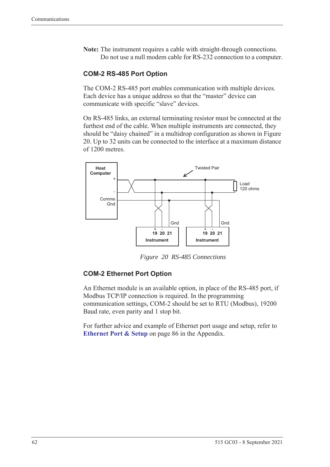**Note:** The instrument requires a cable with straight-through connections. Do not use a null modem cable for RS-232 connection to a computer.

#### **COM-2 RS-485 Port Option**

The COM-2 RS-485 port enables communication with multiple devices. Each device has a unique address so that the "master" device can communicate with specific "slave" devices.

On RS-485 links, an external terminating resistor must be connected at the furthest end of the cable. When multiple instruments are connected, they should be "daisy chained" in a multidrop configuration as shown in Figure [20](#page-71-0). Up to 32 units can be connected to the interface at a maximum distance of 1200 metres.



*Figure 20 RS-485 Connections*

#### <span id="page-71-0"></span>**COM-2 Ethernet Port Option**

An Ethernet module is an available option, in place of the RS-485 port, if Modbus TCP/IP connection is required. In the programming communication settings, COM-2 should be set to RTU (Modbus), 19200 Baud rate, even parity and 1 stop bit.

For further advice and example of Ethernet port usage and setup, refer to **[Ethernet Port & Setup](#page-95-0)** on page 86 in the Appendix.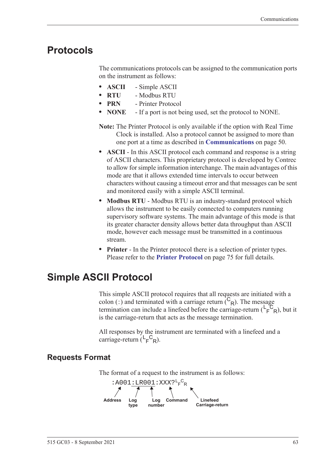### **Protocols**

<span id="page-72-1"></span>The communications protocols can be assigned to the communication ports on the instrument as follows:

- **• ASCII** Simple ASCII
- **• RTU** Modbus RTU
- **• PRN** Printer Protocol
- **• NONE** If a port is not being used, set the protocol to NONE.
- **Note:** The Printer Protocol is only available if the option with Real Time Clock is installed. Also a protocol cannot be assigned to more than one port at a time as described in **[Communications](#page-59-0)** on page 50.
- **• ASCII** In this ASCII protocol each command and response is a string of ASCII characters. This proprietary protocol is developed by Contrec to allow for simple information interchange. The main advantages of this mode are that it allows extended time intervals to occur between characters without causing a timeout error and that messages can be sent and monitored easily with a simple ASCII terminal.
- **• Modbus RTU** Modbus RTU is an industry-standard protocol which allows the instrument to be easily connected to computers running supervisory software systems. The main advantage of this mode is that its greater character density allows better data throughput than ASCII mode, however each message must be transmitted in a continuous stream.
- <span id="page-72-0"></span>**• Printer** - In the Printer protocol there is a selection of printer types. Please refer to the **[Printer Protocol](#page-84-0)** on page 75 for full details.

### **Simple ASCII Protocol**

This simple ASCII protocol requires that all requests are initiated with a colon (:) and terminated with a carriage return  $\binom{C_R}{R}$ . The message termination can include a linefeed before the carriage-return  $(\mathsf{L}_\mathsf{F}^\mathsf{C}_{\mathsf{R}})$ , but it is the carriage-return that acts as the message termination.

<span id="page-72-2"></span>All responses by the instrument are terminated with a linefeed and a carriage-return  $(L_F^C_R)$ .

### **Requests Format**

The format of a request to the instrument is as follows:

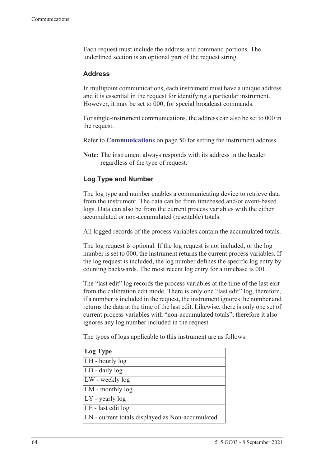Each request must include the address and command portions. The underlined section is an optional part of the request string.

### <span id="page-73-0"></span>**Address**

In multipoint communications, each instrument must have a unique address and it is essential in the request for identifying a particular instrument. However, it may be set to 000, for special broadcast commands.

For single-instrument communications, the address can also be set to 000 in the request.

Refer to **[Communications](#page-59-0)** on page 50 for setting the instrument address.

**Note:** The instrument always responds with its address in the header regardless of the type of request.

### **Log Type and Number**

The log type and number enables a communicating device to retrieve data from the instrument. The data can be from timebased and/or event-based logs. Data can also be from the current process variables with the either accumulated or non-accumulated (resettable) totals.

All logged records of the process variables contain the accumulated totals.

The log request is optional. If the log request is not included, or the log number is set to 000, the instrument returns the current process variables. If the log request is included, the log number defines the specific log entry by counting backwards. The most recent log entry for a timebase is 001.

The "last edit" log records the process variables at the time of the last exit from the calibration edit mode. There is only one "last edit" log, therefore, if a number is included in the request, the instrument ignores the number and returns the data at the time of the last edit. Likewise, there is only one set of current process variables with "non-accumulated totals", therefore it also ignores any log number included in the request.

The types of logs applicable to this instrument are as follows:

| Log Type                                         |
|--------------------------------------------------|
| LH - hourly log                                  |
| LD - daily log                                   |
| LW - weekly log                                  |
| LM - monthly log                                 |
| $LY$ - yearly log                                |
| LE - last edit log                               |
| LN - current totals displayed as Non-accumulated |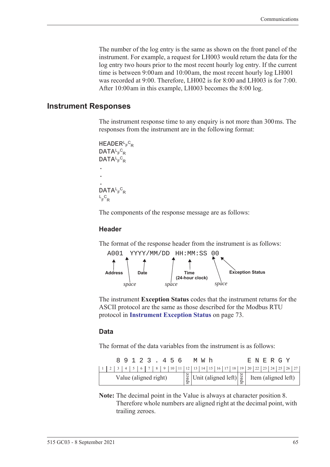The number of the log entry is the same as shown on the front panel of the instrument. For example, a request for LH003 would return the data for the log entry two hours prior to the most recent hourly log entry. If the current time is between 9:00 am and 10:00 am, the most recent hourly log LH001 was recorded at 9:00. Therefore, LH002 is for 8:00 and LH003 is for 7:00. After 10:00 am in this example, LH003 becomes the 8:00 log.

### **Instrument Responses**

<span id="page-74-1"></span>The instrument response time to any enquiry is not more than 300 ms. The responses from the instrument are in the following format:

```
HEADER<sup>L</sup>F<sup>C</sup>R
DATA<sup>L</sup>F<sup>C</sup>R
DATA<sup>L</sup>F<sup>C</sup>R
.
.
.
DATA<sup>L</sup>F<sup>C</sup>R
L_F^CR
```
The components of the response message are as follows:

### **Header**

The format of the response header from the instrument is as follows:



<span id="page-74-0"></span>The instrument **Exception Status** codes that the instrument returns for the ASCII protocol are the same as those described for the Modbus RTU protocol in **[Instrument Exception Status](#page-82-0)** on page 73.

#### **Data**

The format of the data variables from the instrument is as follows:

|                       |  |  |  |  | 89123.456 |  |  |                                                                                                                                                               |  | M W h |  |  |  |  | E N E R G Y |  |  |
|-----------------------|--|--|--|--|-----------|--|--|---------------------------------------------------------------------------------------------------------------------------------------------------------------|--|-------|--|--|--|--|-------------|--|--|
|                       |  |  |  |  |           |  |  |                                                                                                                                                               |  |       |  |  |  |  |             |  |  |
| Value (aligned right) |  |  |  |  |           |  |  | $\begin{bmatrix} \frac{8}{9} \\ \frac{8}{9} \end{bmatrix}$ Unit (aligned left) $\begin{bmatrix} \frac{8}{9} \\ \frac{8}{9} \end{bmatrix}$ Item (aligned left) |  |       |  |  |  |  |             |  |  |

**Note:** The decimal point in the Value is always at character position 8. Therefore whole numbers are aligned right at the decimal point, with trailing zeroes.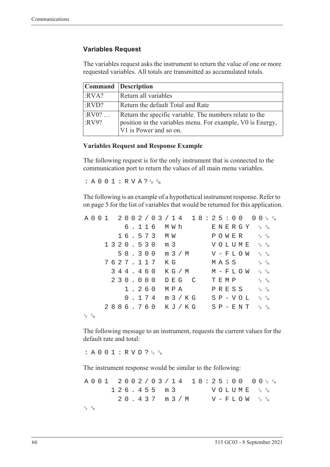### **Variables Request**

The variables request asks the instrument to return the value of one or more requested variables. All totals are transmitted as accumulated totals.

|                  | <b>Command</b> Description                                                                                                                      |
|------------------|-------------------------------------------------------------------------------------------------------------------------------------------------|
| :RVA?            | Return all variables                                                                                                                            |
| :RVD?            | Return the default Total and Rate                                                                                                               |
| $:RV0?$<br>:RV9? | Return the specific variable. The numbers relate to the<br>position in the variables menu. For example, V0 is Energy,<br>V1 is Power and so on. |

### **Variables Request and Response Example**

The following request is for the only instrument that is connected to the communication port to return the values of all main menu variables.

:  $A 0 0 1 : R V A ? \frac{c}{r} c_R$ 

The following is an example of a hypothetical instrument response. Refer to [on page 5](#page-14-0) for the list of variables that would be returned for this application.

|             |  |  |  |          |  |              |  |                  | $A\ 0\ 0\ 1\ 2\ 0\ 0\ 2\ / \ 0\ 3\ / \ 1\ 4\ 1\ 8\ :\ 2\ 5\ : \ 0\ 0\ 0\ 0\ _\mathsf{F}\ ^\mathrm{c}_\mathsf{R}$ |  |         |  |                                    |  |                 |  |
|-------------|--|--|--|----------|--|--------------|--|------------------|------------------------------------------------------------------------------------------------------------------|--|---------|--|------------------------------------|--|-----------------|--|
|             |  |  |  |          |  |              |  |                  | 6.116 MWh $ENERGY$ $\vdash$ ${}^C_R$                                                                             |  |         |  |                                    |  |                 |  |
|             |  |  |  |          |  | 16.573 MW    |  |                  |                                                                                                                  |  |         |  | POWER                              |  | $L_F$ $C_R$     |  |
|             |  |  |  |          |  | 1320.530 m 3 |  |                  |                                                                                                                  |  |         |  | VOLUME <sup>L</sup> <sup>C</sup> R |  |                 |  |
|             |  |  |  |          |  |              |  |                  | 58.300 m 3 / M V - F L O W 'F <sup>C</sup> R                                                                     |  |         |  |                                    |  |                 |  |
|             |  |  |  | 7627.117 |  | КG           |  |                  |                                                                                                                  |  | MASS    |  |                                    |  | $L_F$ $C_R$     |  |
|             |  |  |  | 344.460  |  |              |  | K G / M          |                                                                                                                  |  |         |  | M – F L O W                        |  | $L_{F}$ $C_{R}$ |  |
|             |  |  |  | 230.000  |  |              |  | D E G C          |                                                                                                                  |  | T E M P |  |                                    |  | $L_F$ $C_R$     |  |
|             |  |  |  | 1.260    |  | МРА          |  |                  |                                                                                                                  |  |         |  | PRESS                              |  | $L_F$ $C_R$     |  |
|             |  |  |  |          |  |              |  | $0.174$ m $3/KG$ |                                                                                                                  |  |         |  | $S P - V O L$                      |  | $L_{F}$ $C_{R}$ |  |
|             |  |  |  |          |  |              |  | 2886.760 KJ/KG   |                                                                                                                  |  |         |  | $S$ $P$ – $E$ $N$ $T$              |  | $L_{F}$ $C_{R}$ |  |
| $L_F$ $C_R$ |  |  |  |          |  |              |  |                  |                                                                                                                  |  |         |  |                                    |  |                 |  |

The following message to an instrument, requests the current values for the default rate and total:

: A 0 0 1 : R V D ?  $L_F$   $C_R$ 

The instrument response would be similar to the following:

A001 2002/03/14 18:25:00  $F$   $\circ$ <sub>R</sub>  $126.455 m3$ <sup>F</sup> <sup>C</sup> R  $20.437$  m  $3/M$  $F$   $\circ$ <sub>R</sub> L <sup>F</sup> <sup>C</sup> R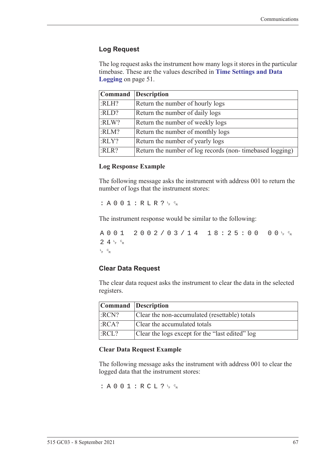### **Log Request**

The log request asks the instrument how many logs it stores in the particular timebase. These are the values described in **[Time Settings and Data](#page-60-0)  Logging** [on page 51](#page-60-0).

|       | Command Description                                      |
|-------|----------------------------------------------------------|
| :RLH? | Return the number of hourly logs                         |
| :RLD? | Return the number of daily logs                          |
| :RLW? | Return the number of weekly logs                         |
| :RLM? | Return the number of monthly logs                        |
| :RLY? | Return the number of yearly logs                         |
| :RLR? | Return the number of log records (non-timebased logging) |

### **Log Response Example**

The following message asks the instrument with address 001 to return the number of logs that the instrument stores:

 $: A 0 0 1 : R L R ? \nmid R$ 

The instrument response would be similar to the following:

A001 2002/03/14 18:25:00  $F$   $\circ$ R  $24r$ <sub>F</sub>  $c_R$ L <sup>F</sup> <sup>C</sup> R

### **Clear Data Request**

The clear data request asks the instrument to clear the data in the selected registers.

| Command Description |                                                 |
|---------------------|-------------------------------------------------|
| :RCN?               | Clear the non-accumulated (resettable) totals   |
| :RCA?               | Clear the accumulated totals                    |
| :RCL?               | Clear the logs except for the "last edited" log |

#### **Clear Data Request Example**

The following message asks the instrument with address 001 to clear the logged data that the instrument stores:

: A 0 0 1 : R C L ?  $L_F$   $c_R$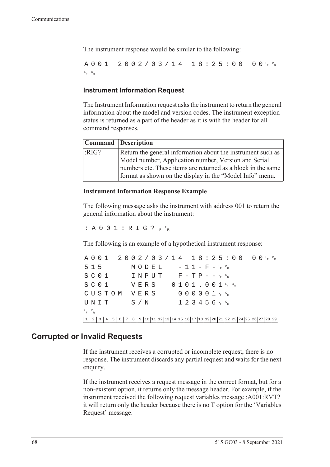The instrument response would be similar to the following:

A001 2002/03/14 18:25:00  $F$   $\circ$ <sub>R</sub> L <sup>F</sup> <sup>C</sup> R

### **Instrument Information Request**

The Instrument Information request asks the instrument to return the general information about the model and version codes. The instrument exception status is returned as a part of the header as it is with the header for all command responses.

|      | Command Description                                                                                                      |
|------|--------------------------------------------------------------------------------------------------------------------------|
| RIG? | Return the general information about the instrument such as                                                              |
|      | Model number, Application number, Version and Serial                                                                     |
|      | numbers etc. These items are returned as a block in the same<br>format as shown on the display in the "Model Info" menu. |

### **Instrument Information Response Example**

The following message asks the instrument with address 001 to return the general information about the instrument:

: A 0 0 1 : R I G ?  $L_F$   $C_R$ 

The following is an example of a hypothetical instrument response:

A001 2002/03/14 18:25:00 <sup>F</sup> <sup>C</sup> R  $515$   $MODEL$   $-11-F-F_{R}^{c}$  $S$  C O  $1$  I N P U T F - T P - - <sup>L</sup><sub>F</sub> <sup>C</sup>R  $S$  C O  $1$  V E R S O  $1$  O  $1$  J  $1$  , O  $0$   $1$   $1$   $1$   $6$   $8$ CUSTOM VERS 000001<sup>t</sup>F<sup>c</sup>r  $\texttt{UNIT}$  S/N 123456<sup>L</sup><sub>F</sub>  $\texttt{C}_{\texttt{R}}$ L <sup>F</sup> <sup>C</sup> R 1 2 3 4 5 6 7 8 9 10 11 12 13 14 15 16 17 18 19 20 21 22 23 24 25 26 27 28 29

### **Corrupted or Invalid Requests**

If the instrument receives a corrupted or incomplete request, there is no response. The instrument discards any partial request and waits for the next enquiry.

If the instrument receives a request message in the correct format, but for a non-existent option, it returns only the message header. For example, if the instrument received the following request variables message :A001:RVT? it will return only the header because there is no T option for the 'Variables Request' message.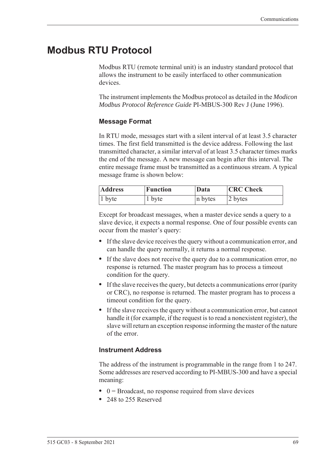## **Modbus RTU Protocol**

<span id="page-78-0"></span>Modbus RTU (remote terminal unit) is an industry standard protocol that allows the instrument to be easily interfaced to other communication devices.

The instrument implements the Modbus protocol as detailed in the *Modicon Modbus Protocol Reference Guide* PI-MBUS-300 Rev J (June 1996).

### **Message Format**

In RTU mode, messages start with a silent interval of at least 3.5 character times. The first field transmitted is the device address. Following the last transmitted character, a similar interval of at least 3.5 character times marks the end of the message. A new message can begin after this interval. The entire message frame must be transmitted as a continuous stream. A typical message frame is shown below:

| <b>Address</b> | <b>Function</b> | Data    | <b>CRC</b> Check |  |  |  |  |
|----------------|-----------------|---------|------------------|--|--|--|--|
| $ 1$ byte      | 1 byte          | n bytes | 2 bytes          |  |  |  |  |

Except for broadcast messages, when a master device sends a query to a slave device, it expects a normal response. One of four possible events can occur from the master's query:

- **•** If the slave device receives the query without a communication error, and can handle the query normally, it returns a normal response.
- **•** If the slave does not receive the query due to a communication error, no response is returned. The master program has to process a timeout condition for the query.
- **•** If the slave receives the query, but detects a communications error (parity or CRC), no response is returned. The master program has to process a timeout condition for the query.
- **•** If the slave receives the query without a communication error, but cannot handle it (for example, if the request is to read a nonexistent register), the slave will return an exception response informing the master of the nature of the error.

### **Instrument Address**

The address of the instrument is programmable in the range from 1 to 247. Some addresses are reserved according to PI-MBUS-300 and have a special meaning:

- 0 = Broadcast, no response required from slave devices
- **•** 248 to 255 Reserved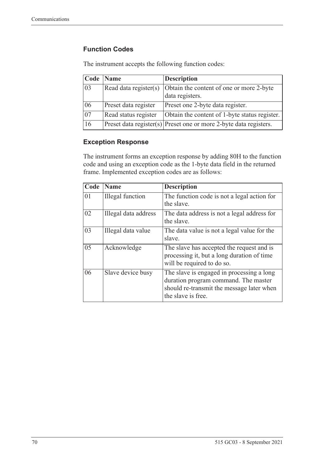### **Function Codes**

| Code            | <b>Name</b>           | <b>Description</b>                                                    |
|-----------------|-----------------------|-----------------------------------------------------------------------|
| 03              | Read data register(s) | Obtain the content of one or more 2-byte<br>data registers.           |
| 06              | Preset data register  | Preset one 2-byte data register.                                      |
| $\overline{07}$ | Read status register  | Obtain the content of 1-byte status register.                         |
| 16              |                       | $ $ Preset data register(s) Preset one or more 2-byte data registers. |

The instrument accepts the following function codes:

### **Exception Response**

The instrument forms an exception response by adding 80H to the function code and using an exception code as the 1-byte data field in the returned frame. Implemented exception codes are as follows:

| Code | Name                    | <b>Description</b>                                                                                                                                   |
|------|-------------------------|------------------------------------------------------------------------------------------------------------------------------------------------------|
| 01   | <b>Illegal</b> function | The function code is not a legal action for<br>the slave.                                                                                            |
| 02   | Illegal data address    | The data address is not a legal address for<br>the slave.                                                                                            |
| 03   | Illegal data value      | The data value is not a legal value for the<br>slave.                                                                                                |
| 05   | Acknowledge             | The slave has accepted the request and is<br>processing it, but a long duration of time<br>will be required to do so.                                |
| 06   | Slave device busy       | The slave is engaged in processing a long<br>duration program command. The master<br>should re-transmit the message later when<br>the slave is free. |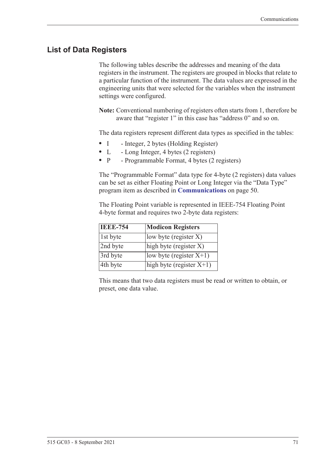### **List of Data Registers**

The following tables describe the addresses and meaning of the data registers in the instrument. The registers are grouped in blocks that relate to a particular function of the instrument. The data values are expressed in the engineering units that were selected for the variables when the instrument settings were configured.

**Note:** Conventional numbering of registers often starts from 1, therefore be aware that "register 1" in this case has "address 0" and so on.

The data registers represent different data types as specified in the tables:

- I Integer, 2 bytes (Holding Register)
- L Long Integer, 4 bytes (2 registers)
- P Programmable Format, 4 bytes (2 registers)

The "Programmable Format" data type for 4-byte (2 registers) data values can be set as either Floating Point or Long Integer via the "Data Type" program item as described in **[Communications](#page-59-0)** on page 50.

The Floating Point variable is represented in IEEE-754 Floating Point 4-byte format and requires two 2-byte data registers:

| <b>IEEE-754</b> | <b>Modicon Registers</b>                       |
|-----------------|------------------------------------------------|
| 1st byte        | low byte (register $X$ )                       |
| 2nd byte        | $\left  \text{high byte (register X)} \right $ |
| 3rd byte        | low byte (register $X+1$ )                     |
| 4th byte        | high byte (register $X+1$ )                    |

This means that two data registers must be read or written to obtain, or preset, one data value.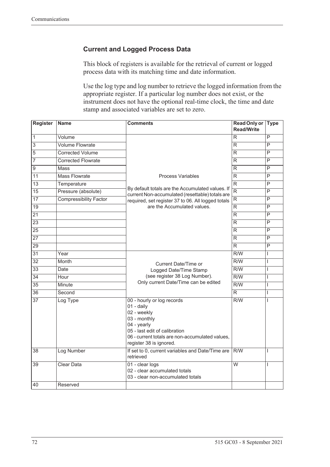### **Current and Logged Process Data**

This block of registers is available for the retrieval of current or logged process data with its matching time and date information.

Use the log type and log number to retrieve the logged information from the appropriate register. If a particular log number does not exist, or the instrument does not have the optional real-time clock, the time and date stamp and associated variables are set to zero.

| Register        | <b>Name</b>                   | <b>Comments</b>                                                                                                                                                                                                | <b>Read Only or</b><br><b>Read/Write</b> | <b>Type</b>             |
|-----------------|-------------------------------|----------------------------------------------------------------------------------------------------------------------------------------------------------------------------------------------------------------|------------------------------------------|-------------------------|
| $\overline{1}$  | Volume                        |                                                                                                                                                                                                                | R                                        | P                       |
| $\overline{3}$  | <b>Volume Flowrate</b>        |                                                                                                                                                                                                                | R                                        | $\overline{\mathsf{P}}$ |
| $\overline{5}$  | <b>Corrected Volume</b>       |                                                                                                                                                                                                                | R                                        | P                       |
| $\overline{7}$  | <b>Corrected Flowrate</b>     |                                                                                                                                                                                                                | R                                        | P                       |
| $\overline{9}$  | Mass                          |                                                                                                                                                                                                                | R                                        | P                       |
| $\overline{11}$ | <b>Mass Flowrate</b>          | <b>Process Variables</b>                                                                                                                                                                                       | $\overline{R}$                           | $\overline{\mathsf{P}}$ |
| $\overline{13}$ | Temperature                   |                                                                                                                                                                                                                | $\overline{\mathsf{R}}$                  | P                       |
| 15              | Pressure (absolute)           | By default totals are the Accumulated values. If<br>current Non-accumulated (resettable) totals are                                                                                                            | $\overline{\mathsf{R}}$                  | P                       |
| $\overline{17}$ | <b>Compressibility Factor</b> | required, set register 37 to 06. All logged totals                                                                                                                                                             | $\overline{\mathsf{R}}$                  | $\overline{P}$          |
| $\overline{19}$ |                               | are the Accumulated values.                                                                                                                                                                                    | R                                        | P                       |
| $\overline{21}$ |                               |                                                                                                                                                                                                                | R                                        | P                       |
| 23              |                               |                                                                                                                                                                                                                | $\overline{\mathsf{R}}$                  | P                       |
| $\overline{25}$ |                               |                                                                                                                                                                                                                | R                                        | $\overline{\mathsf{P}}$ |
| $\overline{27}$ |                               |                                                                                                                                                                                                                | $\overline{R}$                           | $\overline{\mathsf{P}}$ |
| $\overline{29}$ |                               |                                                                                                                                                                                                                | R.                                       | P                       |
| $\overline{31}$ | Year                          |                                                                                                                                                                                                                | R/W                                      | T                       |
| $\overline{32}$ | Month                         | Current Date/Time or                                                                                                                                                                                           | $\overline{R/W}$                         | $\mathsf{I}$            |
| $\overline{33}$ | Date                          | Logged Date/Time Stamp                                                                                                                                                                                         | $\overline{R/W}$                         | T                       |
| $\overline{34}$ | Hour                          | (see register 38 Log Number).                                                                                                                                                                                  | R/W                                      | $\overline{1}$          |
| $\overline{35}$ | Minute                        | Only current Date/Time can be edited                                                                                                                                                                           | $\overline{R/W}$                         | $\mathsf{I}$            |
| $\overline{36}$ | Second                        |                                                                                                                                                                                                                | $\overline{\mathsf{R}}$                  | $\overline{1}$          |
| $\overline{37}$ | Log Type                      | 00 - hourly or log records<br>$01 - \text{daily}$<br>02 - weekly<br>03 - monthly<br>04 - yearly<br>05 - last edit of calibration<br>06 - current totals are non-accumulated values,<br>register 38 is ignored. | R/W                                      | $\overline{1}$          |
| 38              | Log Number                    | If set to 0, current variables and Date/Time are<br>retrieved                                                                                                                                                  | R/W                                      | T                       |
| 39              | <b>Clear Data</b>             | 01 - clear logs<br>02 - clear accumulated totals<br>03 - clear non-accumulated totals                                                                                                                          | W                                        | $\mathbf{I}$            |
| 40              | Reserved                      |                                                                                                                                                                                                                |                                          |                         |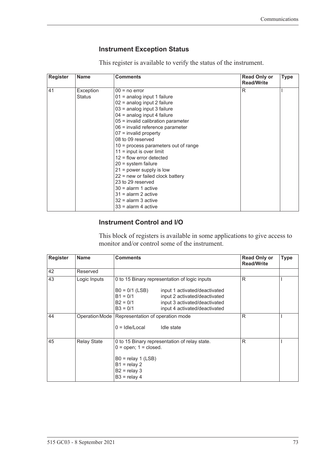### <span id="page-82-1"></span><span id="page-82-0"></span>**Instrument Exception Status**

This register is available to verify the status of the instrument.

| <b>Register</b> | <b>Name</b> | <b>Comments</b>                        | <b>Read Only or</b><br><b>Read/Write</b> | <b>Type</b> |
|-----------------|-------------|----------------------------------------|------------------------------------------|-------------|
| 41              | Exception   | $00 = no error$                        | R                                        |             |
|                 | Status      | $01$ = analog input 1 failure          |                                          |             |
|                 |             | 02 = analog input 2 failure            |                                          |             |
|                 |             | 03 = analog input 3 failure            |                                          |             |
|                 |             | $04$ = analog input 4 failure          |                                          |             |
|                 |             | 05 = invalid calibration parameter     |                                          |             |
|                 |             | 06 = invalid reference parameter       |                                          |             |
|                 |             | $07$ = invalid property                |                                          |             |
|                 |             | 08 to 09 reserved                      |                                          |             |
|                 |             | $10$ = process parameters out of range |                                          |             |
|                 |             | $11 =$ input is over limit             |                                          |             |
|                 |             | $12$ = flow error detected             |                                          |             |
|                 |             | $20 =$ system failure                  |                                          |             |
|                 |             | $21$ = power supply is low             |                                          |             |
|                 |             | $22$ = new or failed clock battery     |                                          |             |
|                 |             | 23 to 29 reserved                      |                                          |             |
|                 |             | $30 =$ alarm 1 active                  |                                          |             |
|                 |             | $31$ = alarm 2 active                  |                                          |             |
|                 |             | $32$ = alarm 3 active                  |                                          |             |
|                 |             | $33$ = alarm 4 active                  |                                          |             |

### **Instrument Control and I/O**

This block of registers is available in some applications to give access to monitor and/or control some of the instrument.

| <b>Register</b> | <b>Name</b>        | <b>Comments</b>                                                                                                                                          | <b>Read Only or</b><br><b>Read/Write</b> | <b>Type</b> |
|-----------------|--------------------|----------------------------------------------------------------------------------------------------------------------------------------------------------|------------------------------------------|-------------|
| 42              | Reserved           |                                                                                                                                                          |                                          |             |
| 43              | Logic Inputs       | 0 to 15 Binary representation of logic inputs                                                                                                            | R                                        |             |
|                 |                    | $B0 = 0/1$ (LSB)<br>input 1 activated/deactivated<br>$B1 = 0/1$<br>input 2 activated/deactivated<br>$B2 = 0/1$<br>input 3 activated/deactivated          |                                          |             |
|                 |                    | $B3 = 0/1$<br>input 4 activated/deactivated                                                                                                              |                                          |             |
| 44              |                    | Operation Mode   Representation of operation mode<br>$0 =$ Idle/Local<br>Idle state                                                                      | R                                        |             |
| 45              | <b>Relay State</b> | 0 to 15 Binary representation of relay state.<br>$0 =$ open; $1 =$ closed.<br>$B0 =$ relay 1 (LSB)<br>$B1 =$ relay 2<br>$B2 =$ relay 3<br>$B3 =$ relay 4 | R                                        |             |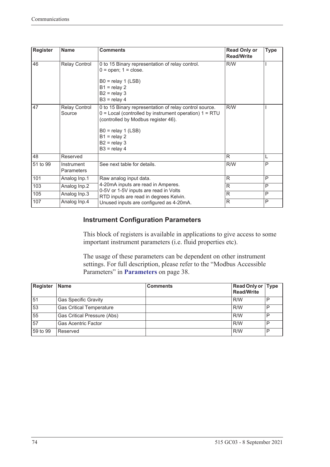| <b>Register</b> | <b>Name</b>              | <b>Comments</b>                                                                                                                                                                                                                           | <b>Read Only or</b><br><b>Read/Write</b> | <b>Type</b> |
|-----------------|--------------------------|-------------------------------------------------------------------------------------------------------------------------------------------------------------------------------------------------------------------------------------------|------------------------------------------|-------------|
| 46              | Relay Control            | 0 to 15 Binary representation of relay control.<br>$0 =$ open; $1 =$ close.<br>$B0 =$ relay 1 (LSB)<br>$B1 =$ relay 2<br>$B2 =$ relay 3<br>$B3 =$ relay 4                                                                                 | R/W                                      |             |
| 47              | Relay Control<br>Source  | 0 to 15 Binary representation of relay control source.<br>$0 =$ Local (controlled by instrument operation) $1 = RTU$<br>(controlled by Modbus register 46).<br>$B0 =$ relay 1 (LSB)<br>$B1 =$ relay 2<br>$B2 =$ relay 3<br>$B3 =$ relay 4 | R/W                                      |             |
| 48              | Reserved                 |                                                                                                                                                                                                                                           | R                                        | L           |
| 51 to 99        | Instrument<br>Parameters | See next table for details.                                                                                                                                                                                                               | R/W                                      | P           |
| 101             | Analog Inp.1             | Raw analog input data.                                                                                                                                                                                                                    | R                                        | P           |
| 103             | Analog Inp.2             | 4-20mA inputs are read in Amperes.<br>0-5V or 1-5V inputs are read in Volts                                                                                                                                                               | R                                        | P           |
| 105             | Analog Inp.3             | RTD inputs are read in degrees Kelvin.                                                                                                                                                                                                    | R                                        | P           |
| 107             | Analog Inp.4             | Unused inputs are configured as 4-20mA.                                                                                                                                                                                                   | R                                        | P           |

### **Instrument Configuration Parameters**

This block of registers is available in applications to give access to some important instrument parameters (i.e. fluid properties etc).

The usage of these parameters can be dependent on other instrument settings. For full description, please refer to the "Modbus Accessible Parameters" in **[Parameters](#page-47-0)** on page 38.

| <b>Register</b> | <b>Name</b>                     | <b>Comments</b> | <b>Read Only or Type</b><br>Read/Write |   |
|-----------------|---------------------------------|-----------------|----------------------------------------|---|
| 51              | <b>Gas Specific Gravity</b>     |                 | R/W                                    | P |
| 53              | <b>Gas Critical Temperature</b> |                 | IR/W                                   | P |
| 55              | Gas Critical Pressure (Abs)     |                 | R/W                                    | P |
| 57              | <b>Gas Acentric Factor</b>      |                 | R/W                                    | P |
| 59 to 99        | Reserved                        |                 | R/W                                    | P |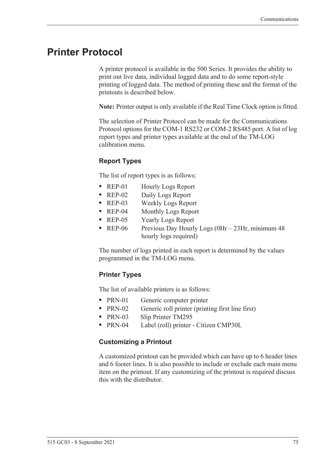### <span id="page-84-0"></span>**Printer Protocol**

<span id="page-84-2"></span>A printer protocol is available in the 500 Series. It provides the ability to print out live data, individual logged data and to do some report-style printing of logged data. The method of printing these and the format of the printouts is described below.

**Note:** Printer output is only available if the Real Time Clock option is fitted.

The selection of Printer Protocol can be made for the Communications Protocol options for the COM-1 RS232 or COM-2 RS485 port. A list of log report types and printer types available at the end of the TM-LOG calibration menu.

### <span id="page-84-3"></span>**Report Types**

The list of report types is as follows:

- REP-01 Hourly Logs Report
- **•** REP-02 Daily Logs Report
- **•** REP-03 Weekly Logs Report
- **•** REP-04 Monthly Logs Report
- **•** REP-05 Yearly Logs Report
- REP-06 Previous Day Hourly Logs (0Hr 23Hr, minimum 48 hourly logs required)

The number of logs printed in each report is determined by the values programmed in the TM-LOG menu.

### <span id="page-84-4"></span>**Printer Types**

The list of available printers is as follows:

- PRN-01 Generic computer printer
- PRN-02 Generic roll printer (printing first line first)
- **•** PRN-03 Slip Printer TM295
- **•** PRN-04 Label (roll) printer Citizen CMP30L

### <span id="page-84-1"></span>**Customizing a Printout**

A customized printout can be provided which can have up to 6 header lines and 6 footer lines. It is also possible to include or exclude each main menu item on the printout. If any customizing of the printout is required discuss this with the distributor.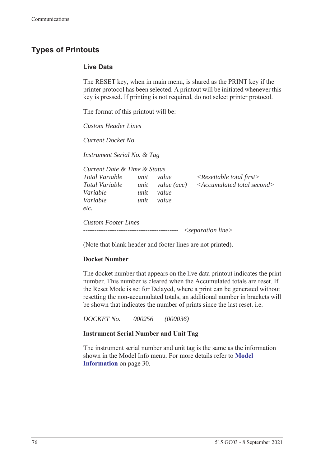### <span id="page-85-1"></span>**Types of Printouts**

### <span id="page-85-0"></span>**Live Data**

The RESET key, when in main menu, is shared as the PRINT key if the printer protocol has been selected. A printout will be initiated whenever this key is pressed. If printing is not required, do not select printer protocol.

The format of this printout will be:

*Custom Header Lines*

*Current Docket No.* 

*Instrument Serial No. & Tag*

| Current Date & Time & Status                 |                      |                               |                                                                                   |
|----------------------------------------------|----------------------|-------------------------------|-----------------------------------------------------------------------------------|
| Total Variable<br>Total Variable<br>Variable | unit<br>unit<br>unit | value<br>value (acc)<br>value | $\langle$ Resettable total first $\rangle$<br>$\leq$ Accumulated total second $>$ |
| Variable<br>etc.                             | unit                 | value                         |                                                                                   |
| <b>Custom Footer Lines</b>                   |                      |                               | $\leq$ separation line $>$                                                        |

(Note that blank header and footer lines are not printed).

### **Docket Number**

The docket number that appears on the live data printout indicates the print number. This number is cleared when the Accumulated totals are reset. If the Reset Mode is set for Delayed, where a print can be generated without resetting the non-accumulated totals, an additional number in brackets will be shown that indicates the number of prints since the last reset. i.e.

*DOCKET No. 000256 (000036)*

### **Instrument Serial Number and Unit Tag**

The instrument serial number and unit tag is the same as the information shown in the Model Info menu. For more details refer to **[Model](#page-39-0)  [Information](#page-39-0)** on page 30.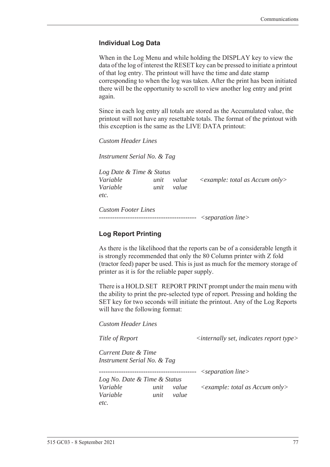### <span id="page-86-0"></span>**Individual Log Data**

When in the Log Menu and while holding the DISPLAY key to view the data of the log of interest the RESET key can be pressed to initiate a printout of that log entry. The printout will have the time and date stamp corresponding to when the log was taken. After the print has been initiated there will be the opportunity to scroll to view another log entry and print again.

Since in each log entry all totals are stored as the Accumulated value, the printout will not have any resettable totals. The format of the printout with this exception is the same as the LIVE DATA printout:

*Custom Header Lines*

*Instrument Serial No. & Tag*

*Log Date & Time & Status Variable unit value <example: total as Accum only> Variable unit value etc.*

*Custom Footer Lines -------------------------------------------- <separation line>*

### <span id="page-86-1"></span>**Log Report Printing**

As there is the likelihood that the reports can be of a considerable length it is strongly recommended that only the 80 Column printer with Z fold (tractor feed) paper be used. This is just as much for the memory storage of printer as it is for the reliable paper supply.

There is a HOLD.SET REPORT PRINT prompt under the main menu with the ability to print the pre-selected type of report. Pressing and holding the SET key for two seconds will initiate the printout. Any of the Log Reports will have the following format:

*Custom Header Lines*

*Title of Report*  $\langle$  *internally set, indicates report type>* 

*Current Date & Time Instrument Serial No. & Tag*

*-------------------------------------------- <separation line>*

*Log No. Date & Time & Status Variable unit value <example: total as Accum only> Variable unit value etc.*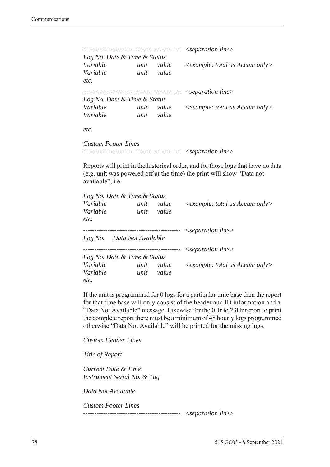|                              |      |           | $\leq$ separation line $>$              |
|------------------------------|------|-----------|-----------------------------------------|
| Log No. Date & Time & Status |      |           |                                         |
| Variable                     | unit | value     | $\leq$ example: total as Accum only $>$ |
| Variable                     | unit | value     |                                         |
| etc.                         |      |           |                                         |
|                              |      | --------- | $\leq$ separation line $>$              |
| Log No. Date & Time & Status |      |           |                                         |
| Variable                     | unit | value     | $\leq$ example: total as Accum only $>$ |
| Variable                     | unit | value     |                                         |
| etc.                         |      |           |                                         |
| <b>Custom Footer Lines</b>   |      |           |                                         |

```
-------------------------------------------- <separation line>
```
Reports will print in the historical order, and for those logs that have no data (e.g. unit was powered off at the time) the print will show "Data not available", i.e.

| Log No. Date & Time & Status |      |           |                                                  |
|------------------------------|------|-----------|--------------------------------------------------|
| Variable                     | unit | value     | $\langle$ example: total as Accum only $\rangle$ |
| Variable                     | unit | value     |                                                  |
| etc.                         |      |           |                                                  |
|                              |      |           | $\leq$ separation line $>$                       |
| Log No. Data Not Available   |      |           |                                                  |
|                              |      | --------- | $\leq$ separation line $>$                       |
| Log No. Date & Time & Status |      |           |                                                  |
| Variable                     | unit | value     | $\leq$ example: total as Accum only $>$          |
| Variable                     | unit | value     |                                                  |
| etc.                         |      |           |                                                  |

If the unit is programmed for 0 logs for a particular time base then the report for that time base will only consist of the header and ID information and a "Data Not Available" message. Likewise for the 0Hr to 23Hr report to print the complete report there must be a minimum of 48 hourly logs programmed otherwise "Data Not Available" will be printed for the missing logs.

*Custom Header Lines*

*Title of Report*

*Current Date & Time Instrument Serial No. & Tag*

*Data Not Available*

*Custom Footer Lines* 

*-------------------------------------------- <separation line>*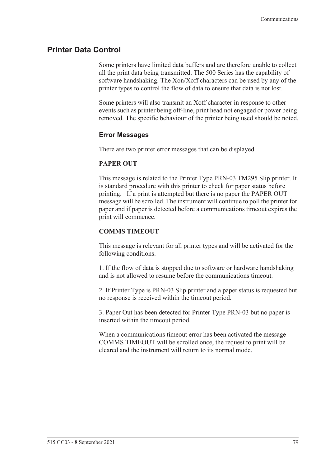### <span id="page-88-0"></span>**Printer Data Control**

Some printers have limited data buffers and are therefore unable to collect all the print data being transmitted. The 500 Series has the capability of software handshaking. The Xon/Xoff characters can be used by any of the printer types to control the flow of data to ensure that data is not lost.

Some printers will also transmit an Xoff character in response to other events such as printer being off-line, print head not engaged or power being removed. The specific behaviour of the printer being used should be noted.

### <span id="page-88-1"></span>**Error Messages**

There are two printer error messages that can be displayed.

### **PAPER OUT**

This message is related to the Printer Type PRN-03 TM295 Slip printer. It is standard procedure with this printer to check for paper status before printing. If a print is attempted but there is no paper the PAPER OUT message will be scrolled. The instrument will continue to poll the printer for paper and if paper is detected before a communications timeout expires the print will commence.

### **COMMS TIMEOUT**

This message is relevant for all printer types and will be activated for the following conditions.

1. If the flow of data is stopped due to software or hardware handshaking and is not allowed to resume before the communications timeout.

2. If Printer Type is PRN-03 Slip printer and a paper status is requested but no response is received within the timeout period.

3. Paper Out has been detected for Printer Type PRN-03 but no paper is inserted within the timeout period.

When a communications timeout error has been activated the message COMMS TIMEOUT will be scrolled once, the request to print will be cleared and the instrument will return to its normal mode.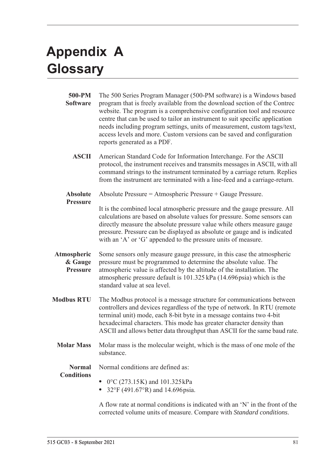# <span id="page-90-1"></span>**Appendix A Glossary**

<span id="page-90-0"></span>

| 500-PM<br><b>Software</b>                 | The 500 Series Program Manager (500-PM software) is a Windows based<br>program that is freely available from the download section of the Contrec<br>website. The program is a comprehensive configuration tool and resource<br>centre that can be used to tailor an instrument to suit specific application<br>needs including program settings, units of measurement, custom tags/text,<br>access levels and more. Custom versions can be saved and configuration<br>reports generated as a PDF. |
|-------------------------------------------|---------------------------------------------------------------------------------------------------------------------------------------------------------------------------------------------------------------------------------------------------------------------------------------------------------------------------------------------------------------------------------------------------------------------------------------------------------------------------------------------------|
| <b>ASCII</b>                              | American Standard Code for Information Interchange. For the ASCII<br>protocol, the instrument receives and transmits messages in ASCII, with all<br>command strings to the instrument terminated by a carriage return. Replies<br>from the instrument are terminated with a line-feed and a carriage-return.                                                                                                                                                                                      |
| <b>Absolute</b>                           | Absolute Pressure = Atmospheric Pressure + Gauge Pressure.                                                                                                                                                                                                                                                                                                                                                                                                                                        |
| <b>Pressure</b>                           | It is the combined local atmospheric pressure and the gauge pressure. All<br>calculations are based on absolute values for pressure. Some sensors can<br>directly measure the absolute pressure value while others measure gauge<br>pressure. Pressure can be displayed as absolute or gauge and is indicated<br>with an 'A' or 'G' appended to the pressure units of measure.                                                                                                                    |
| Atmospheric<br>& Gauge<br><b>Pressure</b> | Some sensors only measure gauge pressure, in this case the atmospheric<br>pressure must be programmed to determine the absolute value. The<br>atmospheric value is affected by the altitude of the installation. The<br>atmospheric pressure default is 101.325 kPa (14.696 psia) which is the<br>standard value at sea level.                                                                                                                                                                    |
| <b>Modbus RTU</b>                         | The Modbus protocol is a message structure for communications between<br>controllers and devices regardless of the type of network. In RTU (remote<br>terminal unit) mode, each 8-bit byte in a message contains two 4-bit<br>hexadecimal characters. This mode has greater character density than<br>ASCII and allows better data throughput than ASCII for the same baud rate.                                                                                                                  |
| <b>Molar Mass</b>                         | Molar mass is the molecular weight, which is the mass of one mole of the<br>substance.                                                                                                                                                                                                                                                                                                                                                                                                            |
| <b>Normal</b>                             | Normal conditions are defined as:                                                                                                                                                                                                                                                                                                                                                                                                                                                                 |
| <b>Conditions</b>                         | $0^{\circ}$ C (273.15K) and 101.325 kPa<br>32°F (491.67°R) and 14.696 psia.<br>٠                                                                                                                                                                                                                                                                                                                                                                                                                  |
|                                           | A flow rate at normal conditions is indicated with an 'N' in the front of the                                                                                                                                                                                                                                                                                                                                                                                                                     |

corrected volume units of measure. Compare with *Standard conditions*.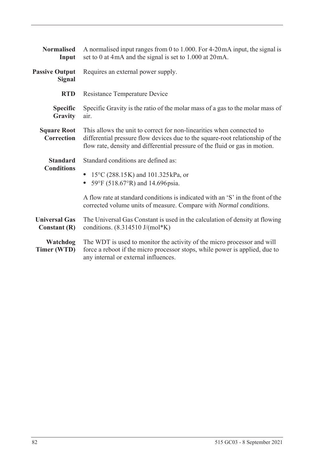| <b>Normalised</b><br>Input                  | A normalised input ranges from 0 to 1.000. For 4-20 mA input, the signal is<br>set to 0 at 4mA and the signal is set to 1.000 at 20mA.                                                                                                |
|---------------------------------------------|---------------------------------------------------------------------------------------------------------------------------------------------------------------------------------------------------------------------------------------|
| <b>Passive Output</b><br><b>Signal</b>      | Requires an external power supply.                                                                                                                                                                                                    |
| <b>RTD</b>                                  | Resistance Temperature Device                                                                                                                                                                                                         |
| <b>Specific</b><br>Gravity                  | Specific Gravity is the ratio of the molar mass of a gas to the molar mass of<br>air.                                                                                                                                                 |
| <b>Square Root</b><br>Correction            | This allows the unit to correct for non-linearities when connected to<br>differential pressure flow devices due to the square-root relationship of the<br>flow rate, density and differential pressure of the fluid or gas in motion. |
| <b>Standard</b>                             | Standard conditions are defined as:                                                                                                                                                                                                   |
| <b>Conditions</b>                           | • 15°C (288.15K) and 101.325kPa, or<br>• 59°F (518.67°R) and 14.696 psia.                                                                                                                                                             |
|                                             | A flow rate at standard conditions is indicated with an 'S' in the front of the<br>corrected volume units of measure. Compare with Normal conditions.                                                                                 |
| <b>Universal Gas</b><br><b>Constant (R)</b> | The Universal Gas Constant is used in the calculation of density at flowing<br>conditions. $(8.314510 \text{ J/(mol*K)})$                                                                                                             |
| Watchdog<br>Timer (WTD)                     | The WDT is used to monitor the activity of the micro processor and will<br>force a reboot if the micro processor stops, while power is applied, due to<br>any internal or external influences.                                        |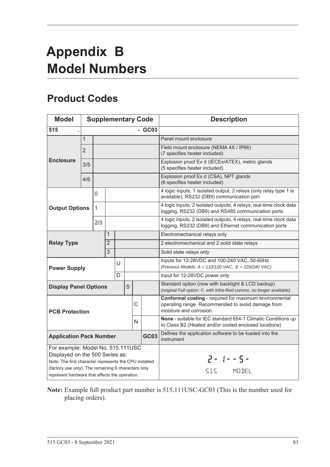## <span id="page-92-1"></span>**Appendix B Model Numbers**

## <span id="page-92-0"></span>**Product Codes**

| <b>Model</b>                                                                                                                                                                          | <b>Supplementary Code</b> |                |   |   |                                                                                                                        |  |                                              | <b>Description</b>                                                                                                                     |  |
|---------------------------------------------------------------------------------------------------------------------------------------------------------------------------------------|---------------------------|----------------|---|---|------------------------------------------------------------------------------------------------------------------------|--|----------------------------------------------|----------------------------------------------------------------------------------------------------------------------------------------|--|
| 515                                                                                                                                                                                   |                           |                |   |   |                                                                                                                        |  | $-$ GC03                                     |                                                                                                                                        |  |
|                                                                                                                                                                                       | $\mathbf{1}$              |                |   |   |                                                                                                                        |  |                                              | Panel mount enclosure                                                                                                                  |  |
|                                                                                                                                                                                       | $\overline{2}$            |                |   |   |                                                                                                                        |  |                                              | Field mount enclosure (NEMA 4X / IP66)<br>(7 specifies heater included)                                                                |  |
| <b>Enclosure</b>                                                                                                                                                                      | 3/5                       |                |   |   |                                                                                                                        |  |                                              | Explosion proof Ex d (IECEx/ATEX), metric glands<br>(5 specifies heater included)                                                      |  |
|                                                                                                                                                                                       | 4/6                       |                |   |   |                                                                                                                        |  |                                              | Explosion proof Ex d (CSA), NPT glands<br>(6 specifies heater included)                                                                |  |
|                                                                                                                                                                                       |                           | 0              |   |   |                                                                                                                        |  |                                              | 4 logic inputs, 1 isolated output, 2 relays (only relay type 1 is<br>available), RS232 (DB9) communication port                        |  |
| <b>Output Options</b>                                                                                                                                                                 |                           | $\mathbf{1}$   |   |   |                                                                                                                        |  |                                              | 4 logic inputs, 2 isolated outputs, 4 relays, real-time clock data<br>logging, RS232 (DB9) and RS485 communication ports               |  |
|                                                                                                                                                                                       |                           | 2/3            |   |   |                                                                                                                        |  |                                              | 4 logic inputs, 2 isolated outputs, 4 relays, real-time clock data<br>logging, RS232 (DB9) and Ethernet communication ports            |  |
| 1                                                                                                                                                                                     |                           |                |   |   | Electromechanical relays only                                                                                          |  |                                              |                                                                                                                                        |  |
| <b>Relay Type</b>                                                                                                                                                                     |                           | $\overline{2}$ |   |   |                                                                                                                        |  | 2 electromechanical and 2 solid state relays |                                                                                                                                        |  |
|                                                                                                                                                                                       |                           |                | 3 |   |                                                                                                                        |  |                                              | Solid state relays only                                                                                                                |  |
| <b>Power Supply</b>                                                                                                                                                                   |                           |                |   | U |                                                                                                                        |  |                                              | Inputs for 12-28VDC and 100-240 VAC, 50-60Hz<br>(Previous Models: $A = 110/120$ VAC, $E = 220/240$ VAC)                                |  |
|                                                                                                                                                                                       |                           |                |   | D |                                                                                                                        |  |                                              | Input for 12-28VDC power only                                                                                                          |  |
| <b>Display Panel Options</b>                                                                                                                                                          |                           |                |   |   | S                                                                                                                      |  |                                              | Standard option (now with backlight & LCD backup)<br>(original Full option: F, with Infra-Red comms, no longer available)              |  |
| C<br><b>PCB Protection</b>                                                                                                                                                            |                           |                |   |   |                                                                                                                        |  |                                              | Conformal coating - required for maximum environmental<br>operating range. Recommended to avoid damage from<br>moisture and corrosion. |  |
| N                                                                                                                                                                                     |                           |                |   |   | None - suitable for IEC standard 654-1 Climatic Conditions up<br>to Class B2 (Heated and/or cooled enclosed locations) |  |                                              |                                                                                                                                        |  |
| <b>GC03</b><br><b>Application Pack Number</b>                                                                                                                                         |                           |                |   |   | Defines the application software to be loaded into the<br>instrument                                                   |  |                                              |                                                                                                                                        |  |
| For example: Model No. 515.111USC<br>Displayed on the 500 Series as:<br>Note: The first character represents the CPU installed<br>(factory use only). The remaining 6 characters only |                           |                |   |   |                                                                                                                        |  | $2 - 1 - 5 -$<br>515 MODEL                   |                                                                                                                                        |  |
| represent hardware that affects the operation.                                                                                                                                        |                           |                |   |   |                                                                                                                        |  |                                              |                                                                                                                                        |  |

**Note:** Example full product part number is 515.111USC-GC03 (This is the number used for placing orders).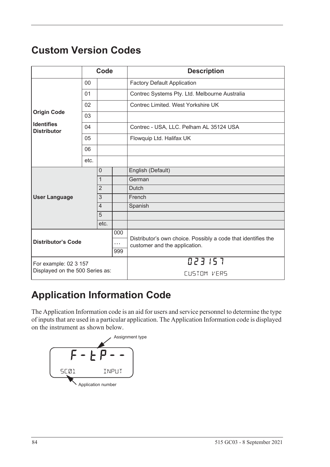## <span id="page-93-1"></span>**Custom Version Codes**

|                                         | Code                  |                |  | <b>Description</b>                                                                             |
|-----------------------------------------|-----------------------|----------------|--|------------------------------------------------------------------------------------------------|
|                                         | 00                    |                |  | <b>Factory Default Application</b>                                                             |
|                                         | 01                    |                |  | Contrec Systems Pty. Ltd. Melbourne Australia                                                  |
|                                         | 02                    |                |  | Contrec Limited, West Yorkshire UK                                                             |
| <b>Origin Code</b>                      | 03                    |                |  |                                                                                                |
| <b>Identifies</b><br><b>Distributor</b> | 04                    |                |  | Contrec - USA, LLC. Pelham AL 35124 USA                                                        |
|                                         | 05                    |                |  | Flowquip Ltd. Halifax UK                                                                       |
|                                         | 06                    |                |  |                                                                                                |
|                                         | etc.                  |                |  |                                                                                                |
|                                         |                       | $\Omega$       |  | English (Default)                                                                              |
|                                         |                       | $\mathbf{1}$   |  | German                                                                                         |
|                                         |                       | $\overline{2}$ |  | Dutch                                                                                          |
| <b>User Language</b>                    |                       | 3              |  | French                                                                                         |
|                                         |                       | $\overline{4}$ |  | Spanish                                                                                        |
|                                         |                       | 5              |  |                                                                                                |
|                                         |                       | etc.           |  |                                                                                                |
|                                         | 000                   |                |  |                                                                                                |
| <b>Distributor's Code</b><br>$\cdots$   |                       |                |  | Distributor's own choice. Possibly a code that identifies the<br>customer and the application. |
| 999                                     |                       |                |  |                                                                                                |
|                                         | For example: 02 3 157 |                |  | 023157                                                                                         |
| Displayed on the 500 Series as:         |                       |                |  | CUSTOM VERS                                                                                    |

## **Application Information Code**

The Application Information code is an aid for users and service personnel to determine the type of inputs that are used in a particular application. The Application Information code is displayed on the instrument as shown below.

<span id="page-93-0"></span>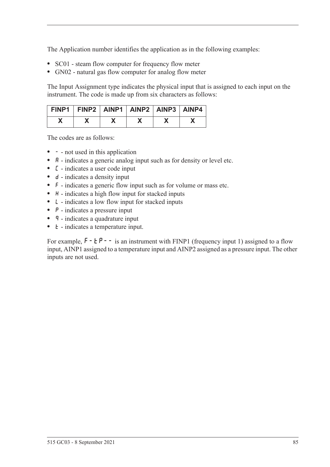The Application number identifies the application as in the following examples:

- **•** SC01 steam flow computer for frequency flow meter
- **•** GN02 natural gas flow computer for analog flow meter

The Input Assignment type indicates the physical input that is assigned to each input on the instrument. The code is made up from six characters as follows:

| FINP1   FINP2   AINP1   AINP2   AINP3   AINP4 |  |  |  |
|-----------------------------------------------|--|--|--|
|                                               |  |  |  |

The codes are as follows:

- - not used in this application
- **A** indicates a generic analog input such as for density or level etc.
- **•** C indicates a user code input
- d indicates a density input
- **•** F indicates a generic flow input such as for volume or mass etc.
- H indicates a high flow input for stacked inputs
- **•** L indicates a low flow input for stacked inputs
- **•** P indicates a pressure input
- **q** indicates a quadrature input
- *k* indicates a temperature input.

For example,  $F - tP - -$  is an instrument with FINP1 (frequency input 1) assigned to a flow input, AINP1 assigned to a temperature input and AINP2 assigned as a pressure input. The other inputs are not used.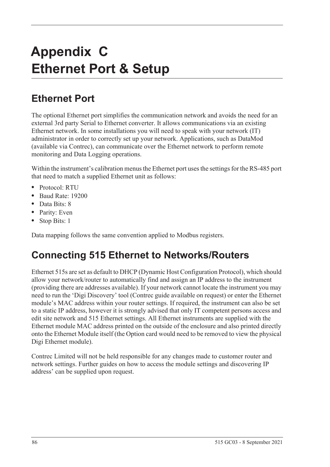# **Appendix C Ethernet Port & Setup**

## **Ethernet Port**

The optional Ethernet port simplifies the communication network and avoids the need for an external 3rd party Serial to Ethernet converter. It allows communications via an existing Ethernet network. In some installations you will need to speak with your network (IT) administrator in order to correctly set up your network. Applications, such as DataMod (available via Contrec), can communicate over the Ethernet network to perform remote monitoring and Data Logging operations.

Within the instrument's calibration menus the Ethernet port uses the settings for the RS-485 port that need to match a supplied Ethernet unit as follows:

- **•** Protocol: RTU
- **•** Baud Rate: 19200
- **•** Data Bits: 8
- **•** Parity: Even
- **•** Stop Bits: 1

Data mapping follows the same convention applied to Modbus registers.

## **Connecting 515 Ethernet to Networks/Routers**

Ethernet 515s are set as default to DHCP (Dynamic Host Configuration Protocol), which should allow your network/router to automatically find and assign an IP address to the instrument (providing there are addresses available). If your network cannot locate the instrument you may need to run the 'Digi Discovery' tool (Contrec guide available on request) or enter the Ethernet module's MAC address within your router settings. If required, the instrument can also be set to a static IP address, however it is strongly advised that only IT competent persons access and edit site network and 515 Ethernet settings. All Ethernet instruments are supplied with the Ethernet module MAC address printed on the outside of the enclosure and also printed directly onto the Ethernet Module itself (the Option card would need to be removed to view the physical Digi Ethernet module).

Contrec Limited will not be held responsible for any changes made to customer router and network settings. Further guides on how to access the module settings and discovering IP address' can be supplied upon request.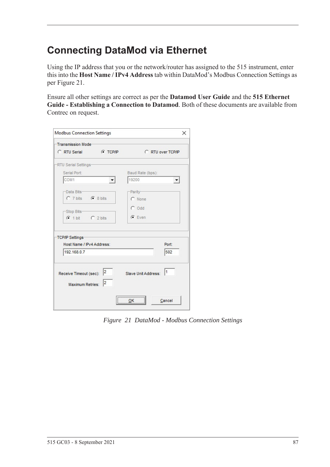## **Connecting DataMod via Ethernet**

Using the IP address that you or the network/router has assigned to the 515 instrument, enter this into the **Host Name / IPv4 Address** tab within DataMod's Modbus Connection Settings as per [Figure 21.](#page-96-0)

Ensure all other settings are correct as per the **Datamod User Guide** and the **515 Ethernet Guide - Establishing a Connection to Datamod**. Both of these documents are available from Contrec on request.

| Transmission Mode-                                   |                 |                     |                      |
|------------------------------------------------------|-----------------|---------------------|----------------------|
| C RTU Serial                                         | <b>C</b> TCP/IP | C RTU over TCP/IP   |                      |
| -RTU Serial Settings-                                |                 |                     |                      |
| Serial Port:                                         |                 | Baud Rate (bps):    |                      |
| COM1                                                 |                 | 19200               | $\blacktriangledown$ |
| -Data Bits-                                          |                 | -Parity-            |                      |
| C 7 bits C 8 bits                                    |                 | C None              |                      |
|                                                      |                 | $C$ Odd             |                      |
| -Stop Bits-                                          |                 | $G$ Even            |                      |
| $C$ 1 bit $C$ 2 bits                                 |                 |                     |                      |
| TCP/IP Settings                                      |                 |                     |                      |
| Host Name / IPv4 Address:                            |                 |                     | Port:                |
| 192.168.0.7                                          |                 |                     | 502                  |
| Receive Timeout (sec): $\vert^2$<br>Maximum Retries: | 2               | Slave Unit Address: | 11                   |
|                                                      |                 | ,                   | Cancel               |

<span id="page-96-0"></span>*Figure 21 DataMod - Modbus Connection Settings*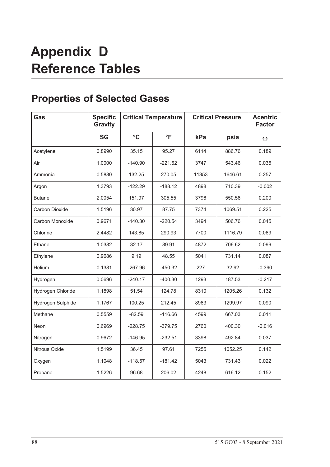## **Appendix D Reference Tables**

## <span id="page-97-0"></span>**Properties of Selected Gases**

| Gas                   | <b>Specific</b><br><b>Gravity</b> | <b>Critical Temperature</b> |              | <b>Critical Pressure</b> |         | <b>Acentric</b><br><b>Factor</b> |
|-----------------------|-----------------------------------|-----------------------------|--------------|--------------------------|---------|----------------------------------|
|                       | <b>SG</b>                         | $\rm ^{\circ}C$             | $\mathsf{P}$ | kPa                      | psia    | $\omega$                         |
| Acetylene             | 0.8990                            | 35.15                       | 95.27        | 6114                     | 886.76  | 0.189                            |
| Air                   | 1.0000                            | $-140.90$                   | $-221.62$    | 3747                     | 543.46  | 0.035                            |
| Ammonia               | 0.5880                            | 132.25                      | 270.05       | 11353                    | 1646.61 | 0.257                            |
| Argon                 | 1.3793                            | $-122.29$                   | $-188.12$    | 4898                     | 710.39  | $-0.002$                         |
| <b>Butane</b>         | 2.0054                            | 151.97                      | 305.55       | 3796                     | 550.56  | 0.200                            |
| <b>Carbon Dioxide</b> | 1.5196                            | 30.97                       | 87.75        | 7374                     | 1069.51 | 0.225                            |
| Carbon Monoxide       | 0.9671                            | $-140.30$                   | $-220.54$    | 3494                     | 506.76  | 0.045                            |
| Chlorine              | 2.4482                            | 143.85                      | 290.93       | 7700                     | 1116.79 | 0.069                            |
| Ethane                | 1.0382                            | 32.17                       | 89.91        | 4872                     | 706.62  | 0.099                            |
| Ethylene              | 0.9686                            | 9.19                        | 48.55        | 5041                     | 731.14  | 0.087                            |
| Helium                | 0.1381                            | $-267.96$                   | $-450.32$    | 227                      | 32.92   | $-0.390$                         |
| Hydrogen              | 0.0696                            | $-240.17$                   | $-400.30$    | 1293                     | 187.53  | $-0.217$                         |
| Hydrogen Chloride     | 1.1898                            | 51.54                       | 124.78       | 8310                     | 1205.26 | 0.132                            |
| Hydrogen Sulphide     | 1.1767                            | 100.25                      | 212.45       | 8963                     | 1299.97 | 0.090                            |
| Methane               | 0.5559                            | $-82.59$                    | $-116.66$    | 4599                     | 667.03  | 0.011                            |
| Neon                  | 0.6969                            | $-228.75$                   | $-379.75$    | 2760                     | 400.30  | $-0.016$                         |
| Nitrogen              | 0.9672                            | $-146.95$                   | $-232.51$    | 3398                     | 492.84  | 0.037                            |
| Nitrous Oxide         | 1.5199                            | 36.45                       | 97.61        | 7255                     | 1052.25 | 0.142                            |
| Oxygen                | 1.1048                            | $-118.57$                   | $-181.42$    | 5043                     | 731.43  | 0.022                            |
| Propane               | 1.5226                            | 96.68                       | 206.02       | 4248                     | 616.12  | 0.152                            |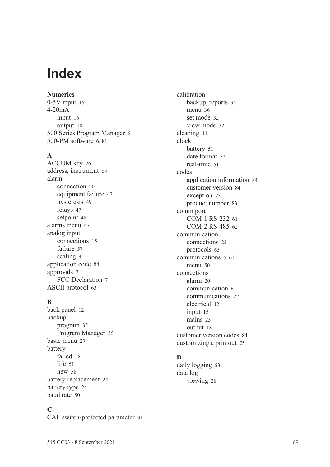## **Index**

**Numerics** 0-5V inpu[t 15](#page-24-0) 4-20mA input [16](#page-25-0) output [18](#page-27-0) 500 Series Program Manage[r 6](#page-15-0) 500-PM software [6,](#page-15-0) [81](#page-90-0)

### **A**

ACCUM ke[y 26](#page-35-0) address, instrumen[t 64](#page-73-0) alarm connection [20](#page-29-0) equipment failur[e 47](#page-56-0) hysteresi[s 49](#page-58-0) relays [47](#page-56-1) setpoin[t 48](#page-57-0) alarms menu [47](#page-56-2) analog input connection[s 15](#page-24-1) failur[e 57](#page-66-0) scalin[g 4](#page-13-0) application cod[e 84](#page-93-0) approvals [7](#page-16-0) FCC Declaration [7](#page-16-1) ASCII protoco[l 63](#page-72-0)

### **B**

back panel [12](#page-21-0) backup program [35](#page-44-0) Program Manage[r 35](#page-44-1) basic men[u 27](#page-36-0) battery faile[d 58](#page-67-0) lif[e 51](#page-60-1) ne[w 58](#page-67-0) battery replacemen[t 24](#page-33-0) battery typ[e 24](#page-33-1) baud rat[e 50](#page-59-1)

### **C**

CAL switch-protected parameter [31](#page-40-0)

calibration backup, reports [35](#page-44-0) menu [36](#page-45-0) set mode [32](#page-41-0) view mode [32](#page-41-1) cleaning [11](#page-20-0) clock batter[y 51](#page-60-1) date format [52](#page-61-0) real-tim[e 51](#page-60-2) codes application information [84](#page-93-0) customer versio[n 84](#page-93-1) exception [73](#page-82-1) product numbe[r 83](#page-92-0) comm port COM-1 RS-232 [61](#page-70-0) COM-2 RS-485 [62](#page-71-0) communication connection[s 22](#page-31-0) protocols [63](#page-72-1) communication[s 5,](#page-14-1) [61](#page-70-1) menu [50](#page-59-2) connections alar[m 20](#page-29-0) communication [61](#page-70-2) communication[s 22](#page-31-0) electrical [12](#page-21-1) input [15](#page-24-2) mains [23](#page-32-0) output [18](#page-27-1) customer version codes [84](#page-93-1) customizing a printout [75](#page-84-1)

### **D**

daily logging [53](#page-62-0) data log viewing [28](#page-37-0)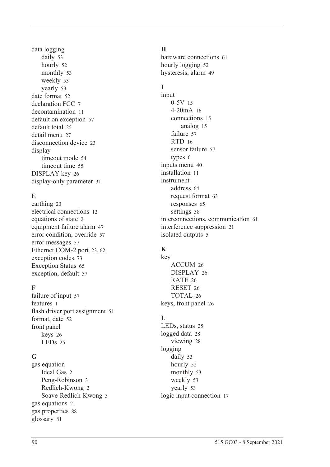data logging daily [53](#page-62-0) hourl[y 52](#page-61-1) monthly [53](#page-62-1) weekl[y 53](#page-62-2) yearly [53](#page-62-3) date format [52](#page-61-0) declaration FCC [7](#page-16-1) decontamination [11](#page-20-0) default on exception [57](#page-66-1) default tota[l 25](#page-34-0) detail men[u 27](#page-36-0) disconnection device [23](#page-32-1) display timeout mod[e 54](#page-63-0) timeout time [55](#page-64-0) DISPLAY key [26](#page-35-1) display-only parameter [31](#page-40-1)

### **E**

earthin[g 23](#page-32-2) electrical connections [12](#page-21-1) equations of state [2](#page-11-0) equipment failure alarm [47](#page-56-0) error condition, overrid[e 57](#page-66-2) error message[s 57](#page-66-3) Ethernet COM-2 por[t 23,](#page-32-3) [62](#page-71-1) exception codes [73](#page-82-1) Exception Status [65](#page-74-0) exception, default [57](#page-66-1)

### **F**

failure of input [57](#page-66-0) features [1](#page-10-0) flash driver port assignmen[t 51](#page-60-3) format, date [52](#page-61-0) front panel keys [26](#page-35-2) LEDs [25](#page-34-1)

### **G**

gas equation Ideal Ga[s 2](#page-11-1) Peng-Robinson [3](#page-12-0) Redlich-Kwon[g 2](#page-11-2) Soave-Redlich-Kwong [3](#page-12-1) gas equations [2](#page-11-0) gas properties [88](#page-97-0) glossary [81](#page-90-1)

### **H**

hardware connections [61](#page-70-2) hourly logging [52](#page-61-1) hysteresis, alar[m 49](#page-58-0)

### **I**

input 0-5[V 15](#page-24-0) 4-20mA [16](#page-25-0) connections [15](#page-24-2) analog [15](#page-24-1) failure [57](#page-66-0) RTD [16](#page-25-1) sensor failure [57](#page-66-0) types [6](#page-15-1) inputs menu [40](#page-49-0) installation [11](#page-20-1) instrument address [64](#page-73-0) request forma[t 63](#page-72-2) response[s 65](#page-74-1) setting[s 38](#page-47-1) interconnections, communication [61](#page-70-2) interference suppression [21](#page-30-0) isolated output[s 5](#page-14-2)

### **K**

key ACCUM [26](#page-35-0) DISPLA[Y 26](#page-35-1) RATE [26](#page-35-3) RESE[T 26](#page-35-4) TOTAL [26](#page-35-5) keys, front panel [26](#page-35-2)

### **L**

LEDs, status [25](#page-34-1) logged dat[a 28](#page-37-0) viewin[g 28](#page-37-1) logging daily [53](#page-62-0) hourly [52](#page-61-1) monthly [53](#page-62-1) weekl[y 53](#page-62-2) yearly [53](#page-62-3) logic input connection [17](#page-26-0)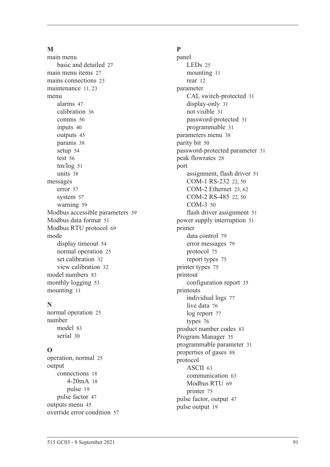main menu basic and detaile[d 27](#page-36-0) main menu items [27](#page-36-1) mains connection[s 23](#page-32-0) maintenance [11,](#page-20-1) [23](#page-32-4) menu alarm[s 47](#page-56-2) calibratio[n 36](#page-45-0) comms [50](#page-59-2) input[s 40](#page-49-0) output[s 45](#page-54-0) params [38](#page-47-2) setu[p 54](#page-63-1) test [56](#page-65-0) tm/lo[g 51](#page-60-4) unit[s 38](#page-47-3) messages erro[r 57](#page-66-3) syste[m 57](#page-66-4) warnin[g 59](#page-68-0) Modbus accessible parameters [39](#page-48-0) Modbus data forma[t 51](#page-60-5) Modbus RTU protoco[l 69](#page-78-0) mode display timeou[t 54](#page-63-0) normal operatio[n 25](#page-34-2) set calibration [32](#page-41-0) view calibration [32](#page-41-1) model number[s 83](#page-92-1) monthly logging [53](#page-62-1) mountin[g 11](#page-20-2)

### **N**

normal operatio[n 25](#page-34-2) number mode[l 83](#page-92-1) seria[l 30](#page-39-1)

### **O**

operation, norma[l 25](#page-34-2) output connection[s 18](#page-27-1) 4-20m[A 18](#page-27-0) puls[e 19](#page-28-0) pulse facto[r 47](#page-56-3) outputs men[u 45](#page-54-0) override error condition [57](#page-66-2)

### **P**

M<br>
main mean identical 21<br>
main mean identical 21<br>
main mean identical 21<br>
main control distribution 21<br>
main control distribution 35<br>
main september 2021<br>
control distribution 36<br>
control distribution 36<br>
proposers of th panel LEDs [25](#page-34-1) mounting [11](#page-20-2) rear [12](#page-21-0) parameter CAL switch-protected [31](#page-40-0) display-only [31](#page-40-1) not visibl[e 31](#page-40-2) password-protected [31](#page-40-3) programmable [31](#page-40-4) parameters men[u 38](#page-47-2) parity bit [50](#page-59-3) password-protected parameter [31](#page-40-3) peak flowrate[s 28](#page-37-2) port assignment, flash driver [51](#page-60-3) COM-1 RS-232 [22,](#page-31-1) [50](#page-59-4) COM-2 Ethernet [23,](#page-32-3) [62](#page-71-1) COM-2 RS-485 [22,](#page-31-2) [50](#page-59-5) COM-[3 50](#page-59-6) flash driver assignment [51](#page-60-3) power supply interruption [51](#page-60-1) printer data control [79](#page-88-0) error messages [79](#page-88-1) protocol [75](#page-84-2) report types [75](#page-84-3) printer type[s 75](#page-84-4) printout configuration repor[t 35](#page-44-2) printouts individual logs [77](#page-86-0) live data [76](#page-85-0) log report [77](#page-86-1) type[s 76](#page-85-1) product number codes [83](#page-92-0) Program Manager [35](#page-44-1) programmable parameter [31](#page-40-4) properties of gases [88](#page-97-0) protocol ASCI[I 63](#page-72-0) communication [63](#page-72-1) Modbus RT[U 69](#page-78-0) printer [75](#page-84-2) pulse factor, output [47](#page-56-3) pulse output [19](#page-28-0)